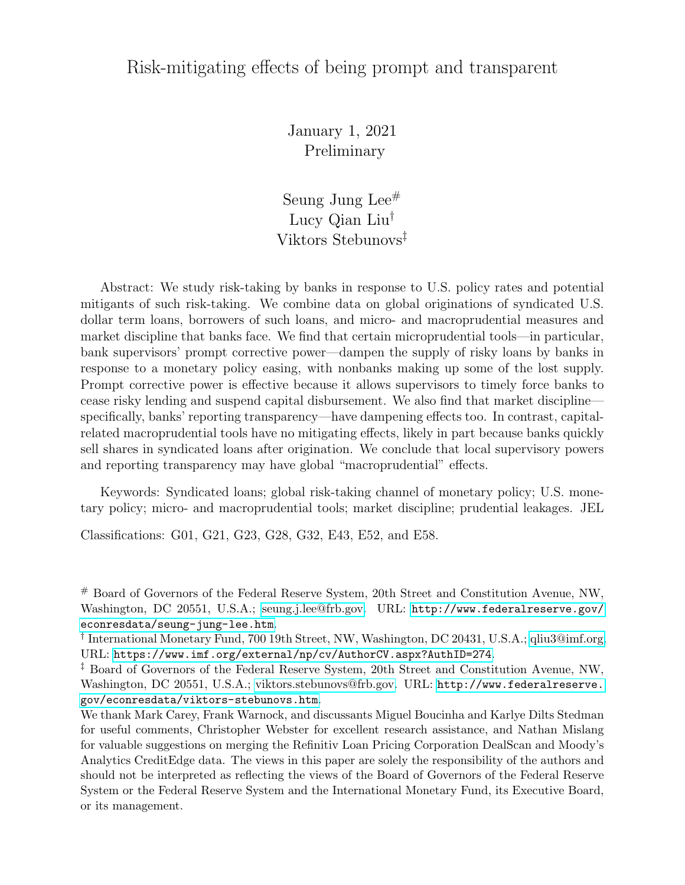## Risk-mitigating effects of being prompt and transparent

January 1, 2021 Preliminary

Seung Jung Lee# Lucy Qian Liu† Viktors Stebunovs‡

Abstract: We study risk-taking by banks in response to U.S. policy rates and potential mitigants of such risk-taking. We combine data on global originations of syndicated U.S. dollar term loans, borrowers of such loans, and micro- and macroprudential measures and market discipline that banks face. We find that certain microprudential tools—in particular, bank supervisors' prompt corrective power—dampen the supply of risky loans by banks in response to a monetary policy easing, with nonbanks making up some of the lost supply. Prompt corrective power is effective because it allows supervisors to timely force banks to cease risky lending and suspend capital disbursement. We also find that market discipline specifically, banks' reporting transparency—have dampening effects too. In contrast, capitalrelated macroprudential tools have no mitigating effects, likely in part because banks quickly sell shares in syndicated loans after origination. We conclude that local supervisory powers and reporting transparency may have global "macroprudential" effects.

Keywords: Syndicated loans; global risk-taking channel of monetary policy; U.S. monetary policy; micro- and macroprudential tools; market discipline; prudential leakages. JEL

Classifications: G01, G21, G23, G28, G32, E43, E52, and E58.

# Board of Governors of the Federal Reserve System, 20th Street and Constitution Avenue, NW, Washington, DC 20551, U.S.A.; [seung.j.lee@frb.gov.](mailto:seung.j.lee@frb.gov) URL: [http://www.federalreserve.gov/](http://www.federalreserve.gov/econresdata/seung-jung-lee.htm) [econresdata/seung-jung-lee.htm](http://www.federalreserve.gov/econresdata/seung-jung-lee.htm).

† International Monetary Fund, 700 19th Street, NW, Washington, DC 20431, U.S.A.; [qliu3@imf.org.](qliu3@imf.org) URL: <https://www.imf.org/external/np/cv/AuthorCV.aspx?AuthID=274>.

‡ Board of Governors of the Federal Reserve System, 20th Street and Constitution Avenue, NW, Washington, DC 20551, U.S.A.; [viktors.stebunovs@frb.gov.](mailto:viktors.stebunovs@frb.gov) URL: [http://www.federalreserve.](http://www.federalreserve.gov/econresdata/viktors-stebunovs.htm) [gov/econresdata/viktors-stebunovs.htm](http://www.federalreserve.gov/econresdata/viktors-stebunovs.htm).

We thank Mark Carey, Frank Warnock, and discussants Miguel Boucinha and Karlye Dilts Stedman for useful comments, Christopher Webster for excellent research assistance, and Nathan Mislang for valuable suggestions on merging the Refinitiv Loan Pricing Corporation DealScan and Moody's Analytics CreditEdge data. The views in this paper are solely the responsibility of the authors and should not be interpreted as reflecting the views of the Board of Governors of the Federal Reserve System or the Federal Reserve System and the International Monetary Fund, its Executive Board, or its management.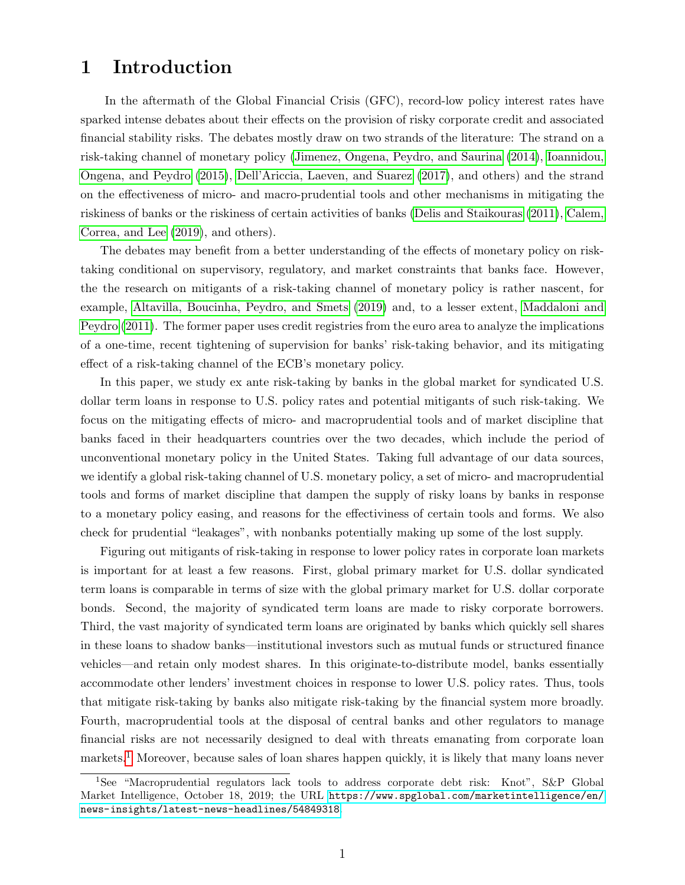## 1 Introduction

In the aftermath of the Global Financial Crisis (GFC), record-low policy interest rates have sparked intense debates about their effects on the provision of risky corporate credit and associated financial stability risks. The debates mostly draw on two strands of the literature: The strand on a risk-taking channel of monetary policy [\(Jimenez, Ongena, Peydro, and Saurina](#page-25-0) [\(2014\)](#page-25-0), [Ioannidou,](#page-25-1) [Ongena, and Peydro](#page-25-1) [\(2015\)](#page-25-1), [Dell'Ariccia, Laeven, and Suarez](#page-24-0) [\(2017\)](#page-24-0), and others) and the strand on the effectiveness of micro- and macro-prudential tools and other mechanisms in mitigating the riskiness of banks or the riskiness of certain activities of banks [\(Delis and Staikouras](#page-24-1) [\(2011\)](#page-24-1), [Calem,](#page-24-2) [Correa, and Lee](#page-24-2) [\(2019\)](#page-24-2), and others).

The debates may benefit from a better understanding of the effects of monetary policy on risktaking conditional on supervisory, regulatory, and market constraints that banks face. However, the the research on mitigants of a risk-taking channel of monetary policy is rather nascent, for example, [Altavilla, Boucinha, Peydro, and Smets](#page-23-0) [\(2019\)](#page-23-0) and, to a lesser extent, [Maddaloni and](#page-25-2) [Peydro](#page-25-2) [\(2011\)](#page-25-2). The former paper uses credit registries from the euro area to analyze the implications of a one-time, recent tightening of supervision for banks' risk-taking behavior, and its mitigating effect of a risk-taking channel of the ECB's monetary policy.

In this paper, we study ex ante risk-taking by banks in the global market for syndicated U.S. dollar term loans in response to U.S. policy rates and potential mitigants of such risk-taking. We focus on the mitigating effects of micro- and macroprudential tools and of market discipline that banks faced in their headquarters countries over the two decades, which include the period of unconventional monetary policy in the United States. Taking full advantage of our data sources, we identify a global risk-taking channel of U.S. monetary policy, a set of micro- and macroprudential tools and forms of market discipline that dampen the supply of risky loans by banks in response to a monetary policy easing, and reasons for the effectiviness of certain tools and forms. We also check for prudential "leakages", with nonbanks potentially making up some of the lost supply.

Figuring out mitigants of risk-taking in response to lower policy rates in corporate loan markets is important for at least a few reasons. First, global primary market for U.S. dollar syndicated term loans is comparable in terms of size with the global primary market for U.S. dollar corporate bonds. Second, the majority of syndicated term loans are made to risky corporate borrowers. Third, the vast majority of syndicated term loans are originated by banks which quickly sell shares in these loans to shadow banks—institutional investors such as mutual funds or structured finance vehicles—and retain only modest shares. In this originate-to-distribute model, banks essentially accommodate other lenders' investment choices in response to lower U.S. policy rates. Thus, tools that mitigate risk-taking by banks also mitigate risk-taking by the financial system more broadly. Fourth, macroprudential tools at the disposal of central banks and other regulators to manage financial risks are not necessarily designed to deal with threats emanating from corporate loan markets.<sup>[1](#page-1-0)</sup> Moreover, because sales of loan shares happen quickly, it is likely that many loans never

<span id="page-1-0"></span><sup>&</sup>lt;sup>1</sup>See "Macroprudential regulators lack tools to address corporate debt risk: Knot", S&P Global Market Intelligence, October 18, 2019; the URL [https://www.spglobal.com/marketintelligence/en/](https://www.spglobal.com/marketintelligence/en/news-insights/latest-news-headlines/54849318) [news-insights/latest-news-headlines/54849318](https://www.spglobal.com/marketintelligence/en/news-insights/latest-news-headlines/54849318).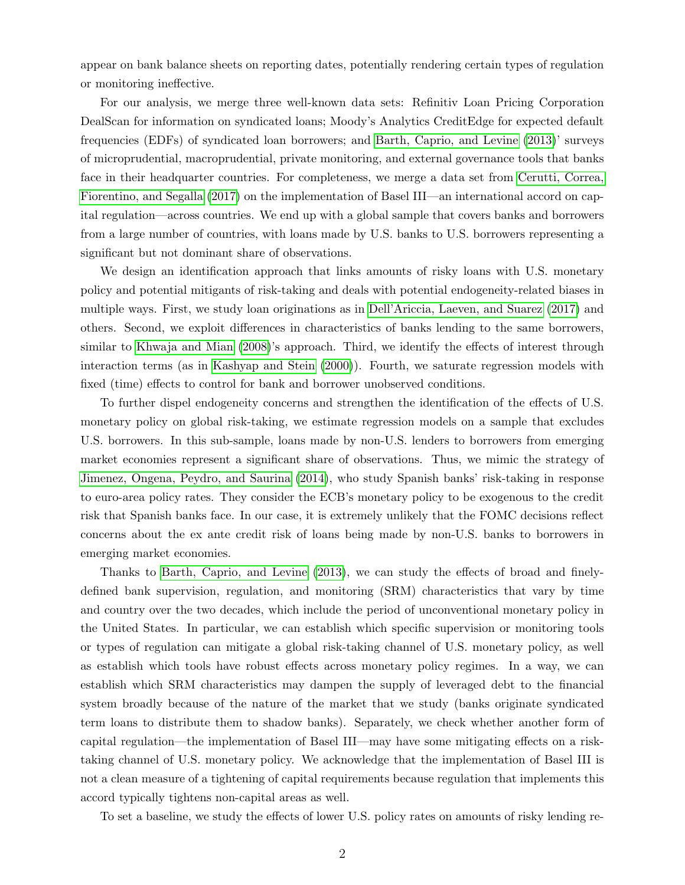appear on bank balance sheets on reporting dates, potentially rendering certain types of regulation or monitoring ineffective.

For our analysis, we merge three well-known data sets: Refinitiv Loan Pricing Corporation DealScan for information on syndicated loans; Moody's Analytics CreditEdge for expected default frequencies (EDFs) of syndicated loan borrowers; and [Barth, Caprio, and Levine](#page-24-3) [\(2013\)](#page-24-3)' surveys of microprudential, macroprudential, private monitoring, and external governance tools that banks face in their headquarter countries. For completeness, we merge a data set from [Cerutti, Correa,](#page-24-4) [Fiorentino, and Segalla](#page-24-4) [\(2017\)](#page-24-4) on the implementation of Basel III—an international accord on capital regulation—across countries. We end up with a global sample that covers banks and borrowers from a large number of countries, with loans made by U.S. banks to U.S. borrowers representing a significant but not dominant share of observations.

We design an identification approach that links amounts of risky loans with U.S. monetary policy and potential mitigants of risk-taking and deals with potential endogeneity-related biases in multiple ways. First, we study loan originations as in [Dell'Ariccia, Laeven, and Suarez](#page-24-0) [\(2017\)](#page-24-0) and others. Second, we exploit differences in characteristics of banks lending to the same borrowers, similar to [Khwaja and Mian](#page-25-3) [\(2008\)](#page-25-3)'s approach. Third, we identify the effects of interest through interaction terms (as in [Kashyap and Stein](#page-25-4) [\(2000\)](#page-25-4)). Fourth, we saturate regression models with fixed (time) effects to control for bank and borrower unobserved conditions.

To further dispel endogeneity concerns and strengthen the identification of the effects of U.S. monetary policy on global risk-taking, we estimate regression models on a sample that excludes U.S. borrowers. In this sub-sample, loans made by non-U.S. lenders to borrowers from emerging market economies represent a significant share of observations. Thus, we mimic the strategy of [Jimenez, Ongena, Peydro, and Saurina](#page-25-0) [\(2014\)](#page-25-0), who study Spanish banks' risk-taking in response to euro-area policy rates. They consider the ECB's monetary policy to be exogenous to the credit risk that Spanish banks face. In our case, it is extremely unlikely that the FOMC decisions reflect concerns about the ex ante credit risk of loans being made by non-U.S. banks to borrowers in emerging market economies.

Thanks to [Barth, Caprio, and Levine](#page-24-3) [\(2013\)](#page-24-3), we can study the effects of broad and finelydefined bank supervision, regulation, and monitoring (SRM) characteristics that vary by time and country over the two decades, which include the period of unconventional monetary policy in the United States. In particular, we can establish which specific supervision or monitoring tools or types of regulation can mitigate a global risk-taking channel of U.S. monetary policy, as well as establish which tools have robust effects across monetary policy regimes. In a way, we can establish which SRM characteristics may dampen the supply of leveraged debt to the financial system broadly because of the nature of the market that we study (banks originate syndicated term loans to distribute them to shadow banks). Separately, we check whether another form of capital regulation—the implementation of Basel III—may have some mitigating effects on a risktaking channel of U.S. monetary policy. We acknowledge that the implementation of Basel III is not a clean measure of a tightening of capital requirements because regulation that implements this accord typically tightens non-capital areas as well.

To set a baseline, we study the effects of lower U.S. policy rates on amounts of risky lending re-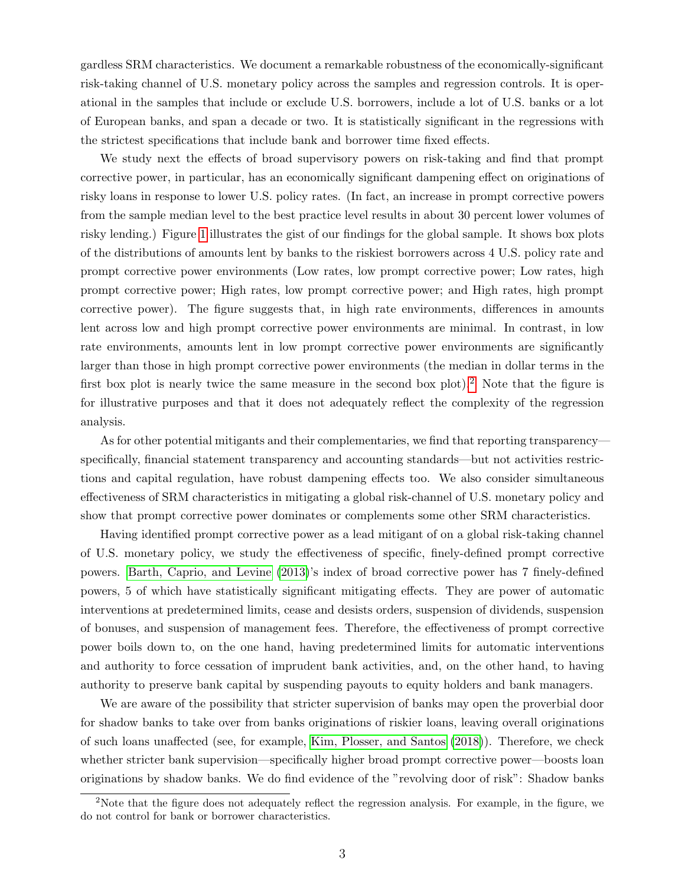gardless SRM characteristics. We document a remarkable robustness of the economically-significant risk-taking channel of U.S. monetary policy across the samples and regression controls. It is operational in the samples that include or exclude U.S. borrowers, include a lot of U.S. banks or a lot of European banks, and span a decade or two. It is statistically significant in the regressions with the strictest specifications that include bank and borrower time fixed effects.

We study next the effects of broad supervisory powers on risk-taking and find that prompt corrective power, in particular, has an economically significant dampening effect on originations of risky loans in response to lower U.S. policy rates. (In fact, an increase in prompt corrective powers from the sample median level to the best practice level results in about 30 percent lower volumes of risky lending.) Figure [1](#page-26-0) illustrates the gist of our findings for the global sample. It shows box plots of the distributions of amounts lent by banks to the riskiest borrowers across 4 U.S. policy rate and prompt corrective power environments (Low rates, low prompt corrective power; Low rates, high prompt corrective power; High rates, low prompt corrective power; and High rates, high prompt corrective power). The figure suggests that, in high rate environments, differences in amounts lent across low and high prompt corrective power environments are minimal. In contrast, in low rate environments, amounts lent in low prompt corrective power environments are significantly larger than those in high prompt corrective power environments (the median in dollar terms in the first box plot is nearly twice the same measure in the second box plot).[2](#page-3-0) Note that the figure is for illustrative purposes and that it does not adequately reflect the complexity of the regression analysis.

As for other potential mitigants and their complementaries, we find that reporting transparency specifically, financial statement transparency and accounting standards—but not activities restrictions and capital regulation, have robust dampening effects too. We also consider simultaneous effectiveness of SRM characteristics in mitigating a global risk-channel of U.S. monetary policy and show that prompt corrective power dominates or complements some other SRM characteristics.

Having identified prompt corrective power as a lead mitigant of on a global risk-taking channel of U.S. monetary policy, we study the effectiveness of specific, finely-defined prompt corrective powers. [Barth, Caprio, and Levine](#page-24-3) [\(2013\)](#page-24-3)'s index of broad corrective power has 7 finely-defined powers, 5 of which have statistically significant mitigating effects. They are power of automatic interventions at predetermined limits, cease and desists orders, suspension of dividends, suspension of bonuses, and suspension of management fees. Therefore, the effectiveness of prompt corrective power boils down to, on the one hand, having predetermined limits for automatic interventions and authority to force cessation of imprudent bank activities, and, on the other hand, to having authority to preserve bank capital by suspending payouts to equity holders and bank managers.

We are aware of the possibility that stricter supervision of banks may open the proverbial door for shadow banks to take over from banks originations of riskier loans, leaving overall originations of such loans unaffected (see, for example, [Kim, Plosser, and Santos](#page-25-5) [\(2018\)](#page-25-5)). Therefore, we check whether stricter bank supervision—specifically higher broad prompt corrective power—boosts loan originations by shadow banks. We do find evidence of the "revolving door of risk": Shadow banks

<span id="page-3-0"></span><sup>&</sup>lt;sup>2</sup>Note that the figure does not adequately reflect the regression analysis. For example, in the figure, we do not control for bank or borrower characteristics.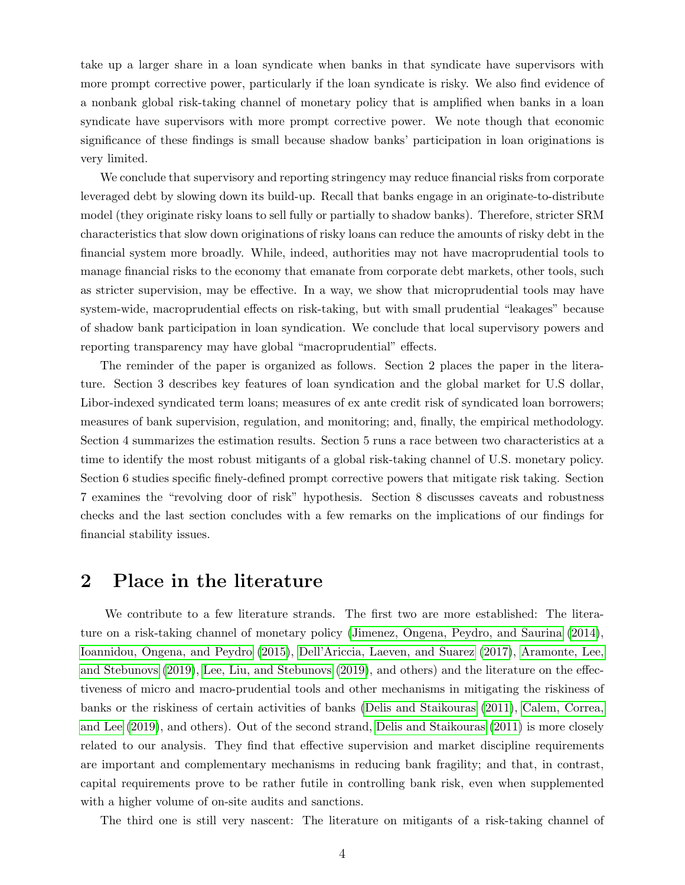take up a larger share in a loan syndicate when banks in that syndicate have supervisors with more prompt corrective power, particularly if the loan syndicate is risky. We also find evidence of a nonbank global risk-taking channel of monetary policy that is amplified when banks in a loan syndicate have supervisors with more prompt corrective power. We note though that economic significance of these findings is small because shadow banks' participation in loan originations is very limited.

We conclude that supervisory and reporting stringency may reduce financial risks from corporate leveraged debt by slowing down its build-up. Recall that banks engage in an originate-to-distribute model (they originate risky loans to sell fully or partially to shadow banks). Therefore, stricter SRM characteristics that slow down originations of risky loans can reduce the amounts of risky debt in the financial system more broadly. While, indeed, authorities may not have macroprudential tools to manage financial risks to the economy that emanate from corporate debt markets, other tools, such as stricter supervision, may be effective. In a way, we show that microprudential tools may have system-wide, macroprudential effects on risk-taking, but with small prudential "leakages" because of shadow bank participation in loan syndication. We conclude that local supervisory powers and reporting transparency may have global "macroprudential" effects.

The reminder of the paper is organized as follows. Section 2 places the paper in the literature. Section 3 describes key features of loan syndication and the global market for U.S dollar, Libor-indexed syndicated term loans; measures of ex ante credit risk of syndicated loan borrowers; measures of bank supervision, regulation, and monitoring; and, finally, the empirical methodology. Section 4 summarizes the estimation results. Section 5 runs a race between two characteristics at a time to identify the most robust mitigants of a global risk-taking channel of U.S. monetary policy. Section 6 studies specific finely-defined prompt corrective powers that mitigate risk taking. Section 7 examines the "revolving door of risk" hypothesis. Section 8 discusses caveats and robustness checks and the last section concludes with a few remarks on the implications of our findings for financial stability issues.

## 2 Place in the literature

We contribute to a few literature strands. The first two are more established: The literature on a risk-taking channel of monetary policy [\(Jimenez, Ongena, Peydro, and Saurina](#page-25-0) [\(2014\)](#page-25-0), [Ioannidou, Ongena, and Peydro](#page-25-1) [\(2015\)](#page-25-1), [Dell'Ariccia, Laeven, and Suarez](#page-24-0) [\(2017\)](#page-24-0), [Aramonte, Lee,](#page-24-5) [and Stebunovs](#page-24-5) [\(2019\)](#page-24-5), [Lee, Liu, and Stebunovs](#page-25-6) [\(2019\)](#page-25-6), and others) and the literature on the effectiveness of micro and macro-prudential tools and other mechanisms in mitigating the riskiness of banks or the riskiness of certain activities of banks [\(Delis and Staikouras](#page-24-1) [\(2011\)](#page-24-1), [Calem, Correa,](#page-24-2) [and Lee](#page-24-2) [\(2019\)](#page-24-2), and others). Out of the second strand, [Delis and Staikouras](#page-24-1) [\(2011\)](#page-24-1) is more closely related to our analysis. They find that effective supervision and market discipline requirements are important and complementary mechanisms in reducing bank fragility; and that, in contrast, capital requirements prove to be rather futile in controlling bank risk, even when supplemented with a higher volume of on-site audits and sanctions.

The third one is still very nascent: The literature on mitigants of a risk-taking channel of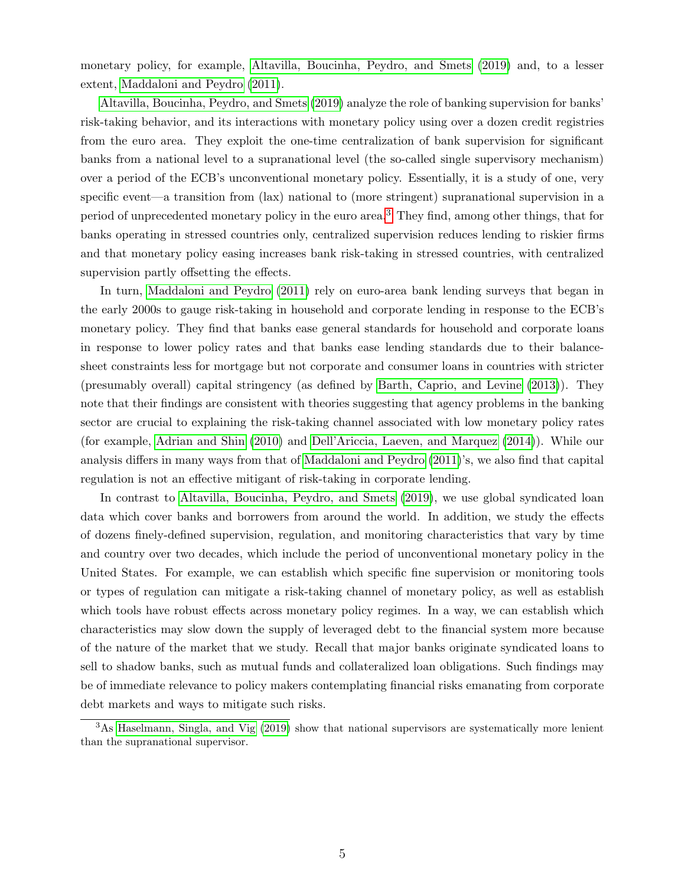monetary policy, for example, [Altavilla, Boucinha, Peydro, and Smets](#page-23-0) [\(2019\)](#page-23-0) and, to a lesser extent, [Maddaloni and Peydro](#page-25-2) [\(2011\)](#page-25-2).

[Altavilla, Boucinha, Peydro, and Smets](#page-23-0) [\(2019\)](#page-23-0) analyze the role of banking supervision for banks' risk-taking behavior, and its interactions with monetary policy using over a dozen credit registries from the euro area. They exploit the one-time centralization of bank supervision for significant banks from a national level to a supranational level (the so-called single supervisory mechanism) over a period of the ECB's unconventional monetary policy. Essentially, it is a study of one, very specific event—a transition from (lax) national to (more stringent) supranational supervision in a period of unprecedented monetary policy in the euro area.[3](#page-5-0) They find, among other things, that for banks operating in stressed countries only, centralized supervision reduces lending to riskier firms and that monetary policy easing increases bank risk-taking in stressed countries, with centralized supervision partly offsetting the effects.

In turn, [Maddaloni and Peydro](#page-25-2) [\(2011\)](#page-25-2) rely on euro-area bank lending surveys that began in the early 2000s to gauge risk-taking in household and corporate lending in response to the ECB's monetary policy. They find that banks ease general standards for household and corporate loans in response to lower policy rates and that banks ease lending standards due to their balancesheet constraints less for mortgage but not corporate and consumer loans in countries with stricter (presumably overall) capital stringency (as defined by [Barth, Caprio, and Levine](#page-24-3) [\(2013\)](#page-24-3)). They note that their findings are consistent with theories suggesting that agency problems in the banking sector are crucial to explaining the risk-taking channel associated with low monetary policy rates (for example, [Adrian and Shin](#page-23-1) [\(2010\)](#page-23-1) and [Dell'Ariccia, Laeven, and Marquez](#page-24-6) [\(2014\)](#page-24-6)). While our analysis differs in many ways from that of [Maddaloni and Peydro](#page-25-2) [\(2011\)](#page-25-2)'s, we also find that capital regulation is not an effective mitigant of risk-taking in corporate lending.

In contrast to [Altavilla, Boucinha, Peydro, and Smets](#page-23-0) [\(2019\)](#page-23-0), we use global syndicated loan data which cover banks and borrowers from around the world. In addition, we study the effects of dozens finely-defined supervision, regulation, and monitoring characteristics that vary by time and country over two decades, which include the period of unconventional monetary policy in the United States. For example, we can establish which specific fine supervision or monitoring tools or types of regulation can mitigate a risk-taking channel of monetary policy, as well as establish which tools have robust effects across monetary policy regimes. In a way, we can establish which characteristics may slow down the supply of leveraged debt to the financial system more because of the nature of the market that we study. Recall that major banks originate syndicated loans to sell to shadow banks, such as mutual funds and collateralized loan obligations. Such findings may be of immediate relevance to policy makers contemplating financial risks emanating from corporate debt markets and ways to mitigate such risks.

<span id="page-5-0"></span><sup>&</sup>lt;sup>3</sup>As [Haselmann, Singla, and Vig](#page-24-7) [\(2019\)](#page-24-7) show that national supervisors are systematically more lenient than the supranational supervisor.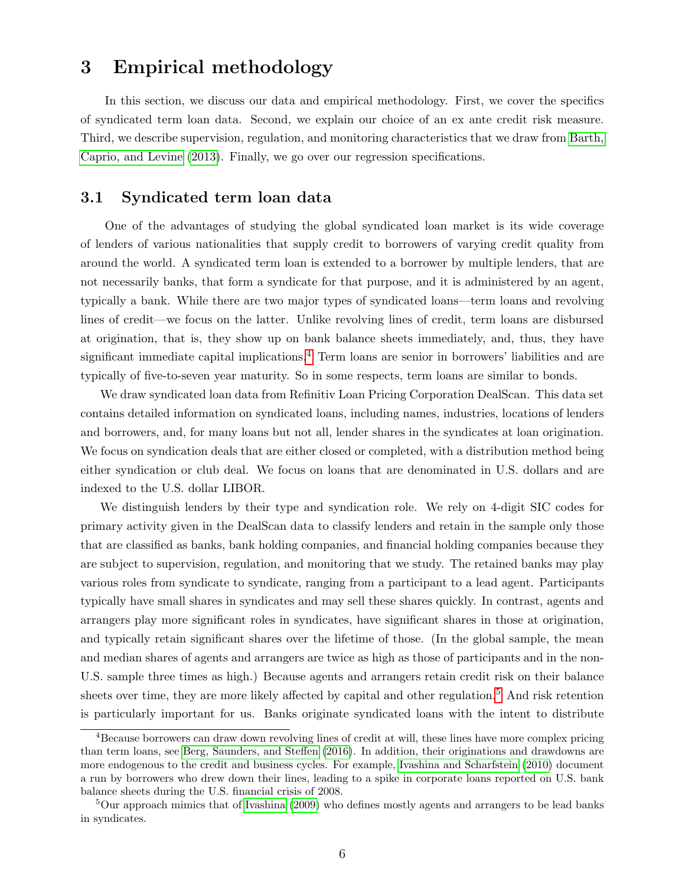## 3 Empirical methodology

In this section, we discuss our data and empirical methodology. First, we cover the specifics of syndicated term loan data. Second, we explain our choice of an ex ante credit risk measure. Third, we describe supervision, regulation, and monitoring characteristics that we draw from [Barth,](#page-24-3) [Caprio, and Levine](#page-24-3) [\(2013\)](#page-24-3). Finally, we go over our regression specifications.

#### 3.1 Syndicated term loan data

One of the advantages of studying the global syndicated loan market is its wide coverage of lenders of various nationalities that supply credit to borrowers of varying credit quality from around the world. A syndicated term loan is extended to a borrower by multiple lenders, that are not necessarily banks, that form a syndicate for that purpose, and it is administered by an agent, typically a bank. While there are two major types of syndicated loans—term loans and revolving lines of credit—we focus on the latter. Unlike revolving lines of credit, term loans are disbursed at origination, that is, they show up on bank balance sheets immediately, and, thus, they have significant immediate capital implications.<sup>[4](#page-6-0)</sup> Term loans are senior in borrowers' liabilities and are typically of five-to-seven year maturity. So in some respects, term loans are similar to bonds.

We draw syndicated loan data from Refinitiv Loan Pricing Corporation DealScan. This data set contains detailed information on syndicated loans, including names, industries, locations of lenders and borrowers, and, for many loans but not all, lender shares in the syndicates at loan origination. We focus on syndication deals that are either closed or completed, with a distribution method being either syndication or club deal. We focus on loans that are denominated in U.S. dollars and are indexed to the U.S. dollar LIBOR.

We distinguish lenders by their type and syndication role. We rely on 4-digit SIC codes for primary activity given in the DealScan data to classify lenders and retain in the sample only those that are classified as banks, bank holding companies, and financial holding companies because they are subject to supervision, regulation, and monitoring that we study. The retained banks may play various roles from syndicate to syndicate, ranging from a participant to a lead agent. Participants typically have small shares in syndicates and may sell these shares quickly. In contrast, agents and arrangers play more significant roles in syndicates, have significant shares in those at origination, and typically retain significant shares over the lifetime of those. (In the global sample, the mean and median shares of agents and arrangers are twice as high as those of participants and in the non-U.S. sample three times as high.) Because agents and arrangers retain credit risk on their balance sheets over time, they are more likely affected by capital and other regulation.<sup>[5](#page-6-1)</sup> And risk retention is particularly important for us. Banks originate syndicated loans with the intent to distribute

<span id="page-6-0"></span><sup>4</sup>Because borrowers can draw down revolving lines of credit at will, these lines have more complex pricing than term loans, see [Berg, Saunders, and Steffen](#page-24-8) [\(2016\)](#page-24-8). In addition, their originations and drawdowns are more endogenous to the credit and business cycles. For example, [Ivashina and Scharfstein](#page-25-7) [\(2010\)](#page-25-7) document a run by borrowers who drew down their lines, leading to a spike in corporate loans reported on U.S. bank balance sheets during the U.S. financial crisis of 2008.

<span id="page-6-1"></span><sup>&</sup>lt;sup>5</sup>Our approach mimics that of [Ivashina](#page-25-8) [\(2009\)](#page-25-8) who defines mostly agents and arrangers to be lead banks in syndicates.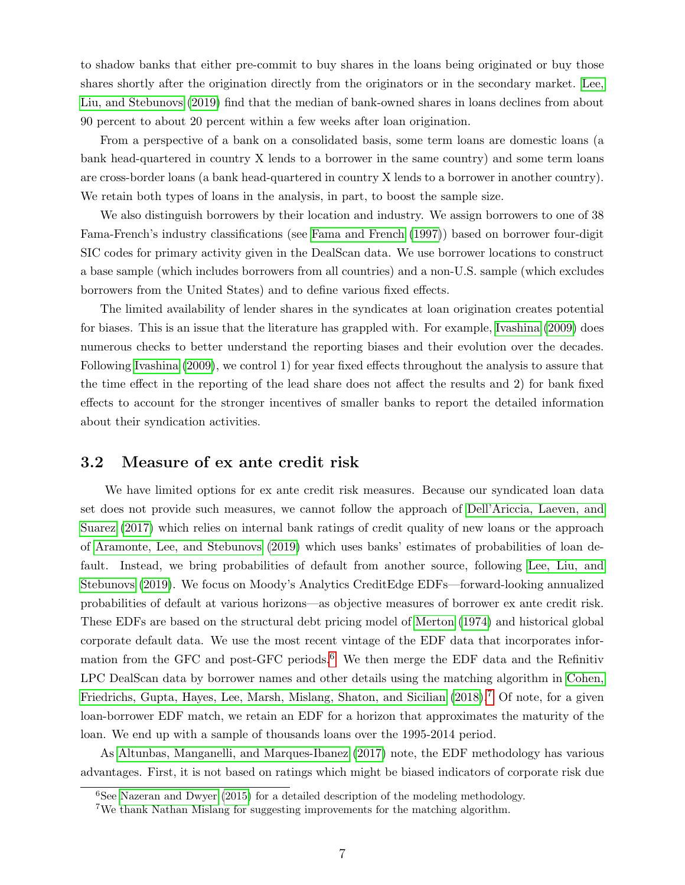to shadow banks that either pre-commit to buy shares in the loans being originated or buy those shares shortly after the origination directly from the originators or in the secondary market. [Lee,](#page-25-6) [Liu, and Stebunovs](#page-25-6) [\(2019\)](#page-25-6) find that the median of bank-owned shares in loans declines from about 90 percent to about 20 percent within a few weeks after loan origination.

From a perspective of a bank on a consolidated basis, some term loans are domestic loans (a bank head-quartered in country X lends to a borrower in the same country) and some term loans are cross-border loans (a bank head-quartered in country X lends to a borrower in another country). We retain both types of loans in the analysis, in part, to boost the sample size.

We also distinguish borrowers by their location and industry. We assign borrowers to one of 38 Fama-French's industry classifications (see [Fama and French](#page-24-9) [\(1997\)](#page-24-9)) based on borrower four-digit SIC codes for primary activity given in the DealScan data. We use borrower locations to construct a base sample (which includes borrowers from all countries) and a non-U.S. sample (which excludes borrowers from the United States) and to define various fixed effects.

The limited availability of lender shares in the syndicates at loan origination creates potential for biases. This is an issue that the literature has grappled with. For example, [Ivashina](#page-25-8) [\(2009\)](#page-25-8) does numerous checks to better understand the reporting biases and their evolution over the decades. Following [Ivashina](#page-25-8) [\(2009\)](#page-25-8), we control 1) for year fixed effects throughout the analysis to assure that the time effect in the reporting of the lead share does not affect the results and 2) for bank fixed effects to account for the stronger incentives of smaller banks to report the detailed information about their syndication activities.

#### 3.2 Measure of ex ante credit risk

We have limited options for ex ante credit risk measures. Because our syndicated loan data set does not provide such measures, we cannot follow the approach of [Dell'Ariccia, Laeven, and](#page-24-0) [Suarez](#page-24-0) [\(2017\)](#page-24-0) which relies on internal bank ratings of credit quality of new loans or the approach of [Aramonte, Lee, and Stebunovs](#page-24-5) [\(2019\)](#page-24-5) which uses banks' estimates of probabilities of loan default. Instead, we bring probabilities of default from another source, following [Lee, Liu, and](#page-25-6) [Stebunovs](#page-25-6) [\(2019\)](#page-25-6). We focus on Moody's Analytics CreditEdge EDFs—forward-looking annualized probabilities of default at various horizons—as objective measures of borrower ex ante credit risk. These EDFs are based on the structural debt pricing model of [Merton](#page-25-9) [\(1974\)](#page-25-9) and historical global corporate default data. We use the most recent vintage of the EDF data that incorporates infor-mation from the GFC and post-GFC periods.<sup>[6](#page-7-0)</sup> We then merge the EDF data and the Refinitiv LPC DealScan data by borrower names and other details using the matching algorithm in [Cohen,](#page-24-10) [Friedrichs, Gupta, Hayes, Lee, Marsh, Mislang, Shaton, and Sicilian](#page-24-10) [\(2018\)](#page-24-10).<sup>[7](#page-7-1)</sup> Of note, for a given loan-borrower EDF match, we retain an EDF for a horizon that approximates the maturity of the loan. We end up with a sample of thousands loans over the 1995-2014 period.

As [Altunbas, Manganelli, and Marques-Ibanez](#page-24-11) [\(2017\)](#page-24-11) note, the EDF methodology has various advantages. First, it is not based on ratings which might be biased indicators of corporate risk due

<span id="page-7-0"></span> $6$ See [Nazeran and Dwyer](#page-25-10) [\(2015\)](#page-25-10) for a detailed description of the modeling methodology.

<span id="page-7-1"></span><sup>7</sup>We thank Nathan Mislang for suggesting improvements for the matching algorithm.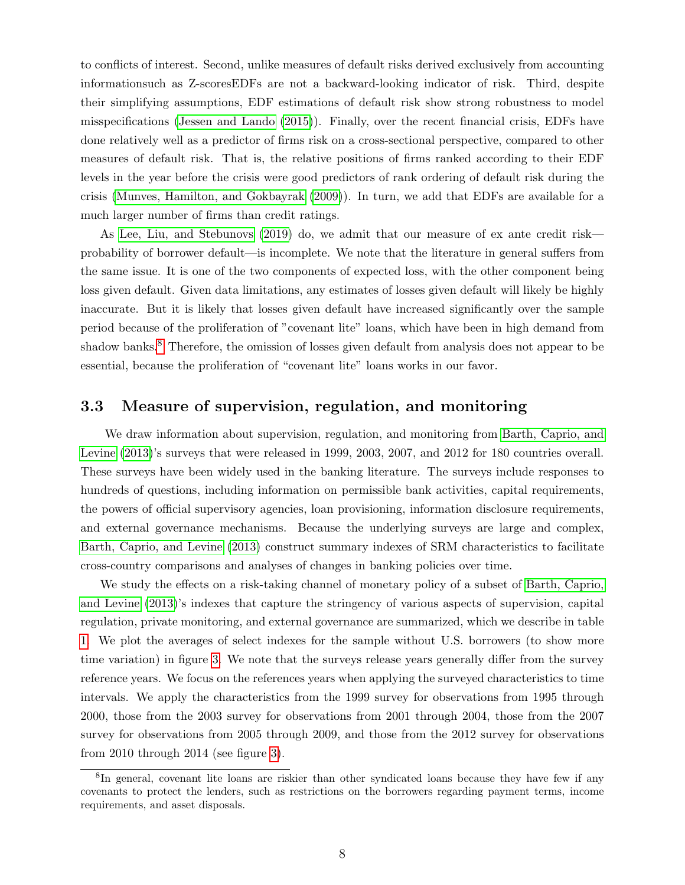to conflicts of interest. Second, unlike measures of default risks derived exclusively from accounting informationsuch as Z-scoresEDFs are not a backward-looking indicator of risk. Third, despite their simplifying assumptions, EDF estimations of default risk show strong robustness to model misspecifications [\(Jessen and Lando](#page-25-11) [\(2015\)](#page-25-11)). Finally, over the recent financial crisis, EDFs have done relatively well as a predictor of firms risk on a cross-sectional perspective, compared to other measures of default risk. That is, the relative positions of firms ranked according to their EDF levels in the year before the crisis were good predictors of rank ordering of default risk during the crisis [\(Munves, Hamilton, and Gokbayrak](#page-25-12) [\(2009\)](#page-25-12)). In turn, we add that EDFs are available for a much larger number of firms than credit ratings.

As [Lee, Liu, and Stebunovs](#page-25-6) [\(2019\)](#page-25-6) do, we admit that our measure of ex ante credit risk probability of borrower default—is incomplete. We note that the literature in general suffers from the same issue. It is one of the two components of expected loss, with the other component being loss given default. Given data limitations, any estimates of losses given default will likely be highly inaccurate. But it is likely that losses given default have increased significantly over the sample period because of the proliferation of "covenant lite" loans, which have been in high demand from shadow banks.<sup>[8](#page-8-0)</sup> Therefore, the omission of losses given default from analysis does not appear to be essential, because the proliferation of "covenant lite" loans works in our favor.

#### 3.3 Measure of supervision, regulation, and monitoring

We draw information about supervision, regulation, and monitoring from [Barth, Caprio, and](#page-24-3) [Levine](#page-24-3)  $(2013)$ 's surveys that were released in 1999, 2003, 2007, and 2012 for 180 countries overall. These surveys have been widely used in the banking literature. The surveys include responses to hundreds of questions, including information on permissible bank activities, capital requirements, the powers of official supervisory agencies, loan provisioning, information disclosure requirements, and external governance mechanisms. Because the underlying surveys are large and complex, [Barth, Caprio, and Levine](#page-24-3) [\(2013\)](#page-24-3) construct summary indexes of SRM characteristics to facilitate cross-country comparisons and analyses of changes in banking policies over time.

We study the effects on a risk-taking channel of monetary policy of a subset of [Barth, Caprio,](#page-24-3) [and Levine](#page-24-3) [\(2013\)](#page-24-3)'s indexes that capture the stringency of various aspects of supervision, capital regulation, private monitoring, and external governance are summarized, which we describe in table [1.](#page-30-0) We plot the averages of select indexes for the sample without U.S. borrowers (to show more time variation) in figure [3.](#page-28-0) We note that the surveys release years generally differ from the survey reference years. We focus on the references years when applying the surveyed characteristics to time intervals. We apply the characteristics from the 1999 survey for observations from 1995 through 2000, those from the 2003 survey for observations from 2001 through 2004, those from the 2007 survey for observations from 2005 through 2009, and those from the 2012 survey for observations from 2010 through 2014 (see figure [3\)](#page-28-0).

<span id="page-8-0"></span><sup>&</sup>lt;sup>8</sup>In general, covenant lite loans are riskier than other syndicated loans because they have few if any covenants to protect the lenders, such as restrictions on the borrowers regarding payment terms, income requirements, and asset disposals.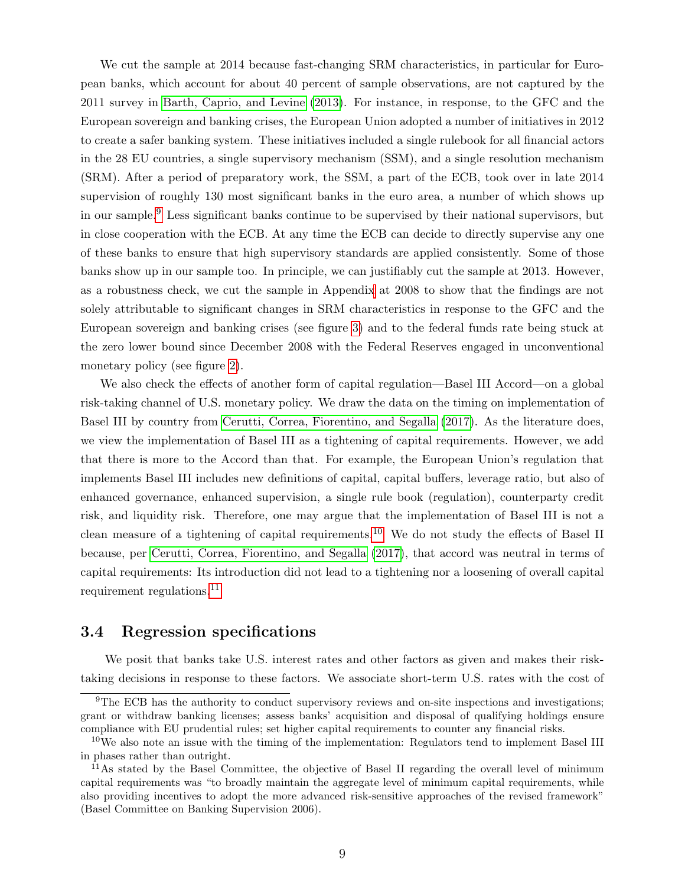We cut the sample at 2014 because fast-changing SRM characteristics, in particular for European banks, which account for about 40 percent of sample observations, are not captured by the 2011 survey in [Barth, Caprio, and Levine](#page-24-3) [\(2013\)](#page-24-3). For instance, in response, to the GFC and the European sovereign and banking crises, the European Union adopted a number of initiatives in 2012 to create a safer banking system. These initiatives included a single rulebook for all financial actors in the 28 EU countries, a single supervisory mechanism (SSM), and a single resolution mechanism (SRM). After a period of preparatory work, the SSM, a part of the ECB, took over in late 2014 supervision of roughly 130 most significant banks in the euro area, a number of which shows up in our sample.[9](#page-9-0) Less significant banks continue to be supervised by their national supervisors, but in close cooperation with the ECB. At any time the ECB can decide to directly supervise any one of these banks to ensure that high supervisory standards are applied consistently. Some of those banks show up in our sample too. In principle, we can justifiably cut the sample at 2013. However, as a robustness check, we cut the sample in Appendi[x](#page-48-0) at 2008 to show that the findings are not solely attributable to significant changes in SRM characteristics in response to the GFC and the European sovereign and banking crises (see figure [3\)](#page-28-0) and to the federal funds rate being stuck at the zero lower bound since December 2008 with the Federal Reserves engaged in unconventional monetary policy (see figure [2\)](#page-27-0).

We also check the effects of another form of capital regulation—Basel III Accord—on a global risk-taking channel of U.S. monetary policy. We draw the data on the timing on implementation of Basel III by country from [Cerutti, Correa, Fiorentino, and Segalla](#page-24-4) [\(2017\)](#page-24-4). As the literature does, we view the implementation of Basel III as a tightening of capital requirements. However, we add that there is more to the Accord than that. For example, the European Union's regulation that implements Basel III includes new definitions of capital, capital buffers, leverage ratio, but also of enhanced governance, enhanced supervision, a single rule book (regulation), counterparty credit risk, and liquidity risk. Therefore, one may argue that the implementation of Basel III is not a clean measure of a tightening of capital requirements.<sup>[10](#page-9-1)</sup> We do not study the effects of Basel II because, per [Cerutti, Correa, Fiorentino, and Segalla](#page-24-4) [\(2017\)](#page-24-4), that accord was neutral in terms of capital requirements: Its introduction did not lead to a tightening nor a loosening of overall capital requirement regulations.[11](#page-9-2)

#### 3.4 Regression specifications

We posit that banks take U.S. interest rates and other factors as given and makes their risktaking decisions in response to these factors. We associate short-term U.S. rates with the cost of

<span id="page-9-0"></span> ${}^{9}$ The ECB has the authority to conduct supervisory reviews and on-site inspections and investigations; grant or withdraw banking licenses; assess banks' acquisition and disposal of qualifying holdings ensure compliance with EU prudential rules; set higher capital requirements to counter any financial risks.

<span id="page-9-1"></span> $10$ We also note an issue with the timing of the implementation: Regulators tend to implement Basel III in phases rather than outright.

<span id="page-9-2"></span><sup>&</sup>lt;sup>11</sup>As stated by the Basel Committee, the objective of Basel II regarding the overall level of minimum capital requirements was "to broadly maintain the aggregate level of minimum capital requirements, while also providing incentives to adopt the more advanced risk-sensitive approaches of the revised framework" (Basel Committee on Banking Supervision 2006).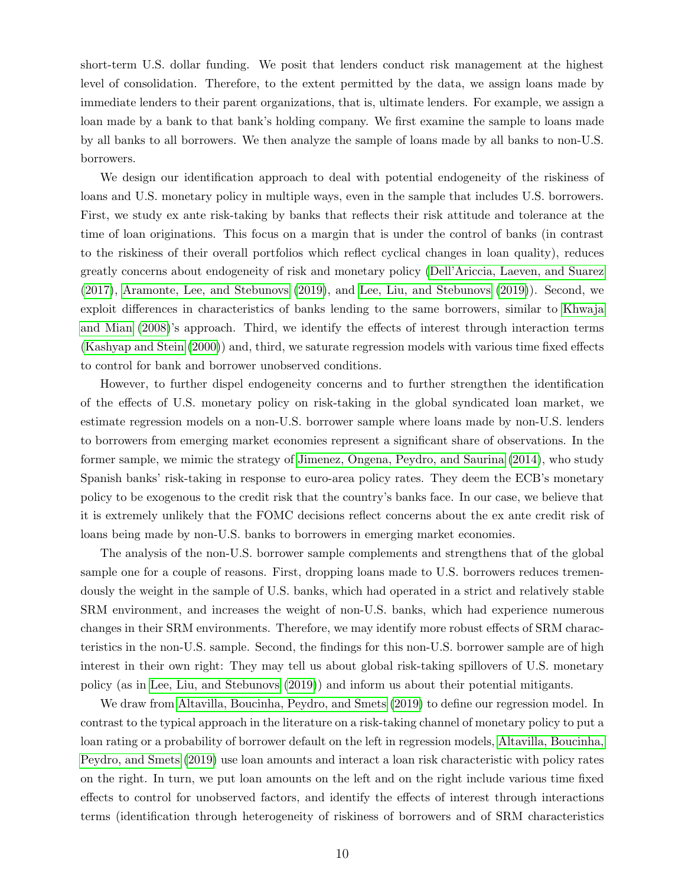short-term U.S. dollar funding. We posit that lenders conduct risk management at the highest level of consolidation. Therefore, to the extent permitted by the data, we assign loans made by immediate lenders to their parent organizations, that is, ultimate lenders. For example, we assign a loan made by a bank to that bank's holding company. We first examine the sample to loans made by all banks to all borrowers. We then analyze the sample of loans made by all banks to non-U.S. borrowers.

We design our identification approach to deal with potential endogeneity of the riskiness of loans and U.S. monetary policy in multiple ways, even in the sample that includes U.S. borrowers. First, we study ex ante risk-taking by banks that reflects their risk attitude and tolerance at the time of loan originations. This focus on a margin that is under the control of banks (in contrast to the riskiness of their overall portfolios which reflect cyclical changes in loan quality), reduces greatly concerns about endogeneity of risk and monetary policy [\(Dell'Ariccia, Laeven, and Suarez](#page-24-0) [\(2017\)](#page-24-0), [Aramonte, Lee, and Stebunovs](#page-24-5) [\(2019\)](#page-24-5), and [Lee, Liu, and Stebunovs](#page-25-6) [\(2019\)](#page-25-6)). Second, we exploit differences in characteristics of banks lending to the same borrowers, similar to [Khwaja](#page-25-3) [and Mian](#page-25-3) [\(2008\)](#page-25-3)'s approach. Third, we identify the effects of interest through interaction terms [\(Kashyap and Stein](#page-25-4) [\(2000\)](#page-25-4)) and, third, we saturate regression models with various time fixed effects to control for bank and borrower unobserved conditions.

However, to further dispel endogeneity concerns and to further strengthen the identification of the effects of U.S. monetary policy on risk-taking in the global syndicated loan market, we estimate regression models on a non-U.S. borrower sample where loans made by non-U.S. lenders to borrowers from emerging market economies represent a significant share of observations. In the former sample, we mimic the strategy of [Jimenez, Ongena, Peydro, and Saurina](#page-25-0) [\(2014\)](#page-25-0), who study Spanish banks' risk-taking in response to euro-area policy rates. They deem the ECB's monetary policy to be exogenous to the credit risk that the country's banks face. In our case, we believe that it is extremely unlikely that the FOMC decisions reflect concerns about the ex ante credit risk of loans being made by non-U.S. banks to borrowers in emerging market economies.

The analysis of the non-U.S. borrower sample complements and strengthens that of the global sample one for a couple of reasons. First, dropping loans made to U.S. borrowers reduces tremendously the weight in the sample of U.S. banks, which had operated in a strict and relatively stable SRM environment, and increases the weight of non-U.S. banks, which had experience numerous changes in their SRM environments. Therefore, we may identify more robust effects of SRM characteristics in the non-U.S. sample. Second, the findings for this non-U.S. borrower sample are of high interest in their own right: They may tell us about global risk-taking spillovers of U.S. monetary policy (as in [Lee, Liu, and Stebunovs](#page-25-6) [\(2019\)](#page-25-6)) and inform us about their potential mitigants.

We draw from [Altavilla, Boucinha, Peydro, and Smets](#page-23-0) [\(2019\)](#page-23-0) to define our regression model. In contrast to the typical approach in the literature on a risk-taking channel of monetary policy to put a loan rating or a probability of borrower default on the left in regression models, [Altavilla, Boucinha,](#page-23-0) [Peydro, and Smets](#page-23-0) [\(2019\)](#page-23-0) use loan amounts and interact a loan risk characteristic with policy rates on the right. In turn, we put loan amounts on the left and on the right include various time fixed effects to control for unobserved factors, and identify the effects of interest through interactions terms (identification through heterogeneity of riskiness of borrowers and of SRM characteristics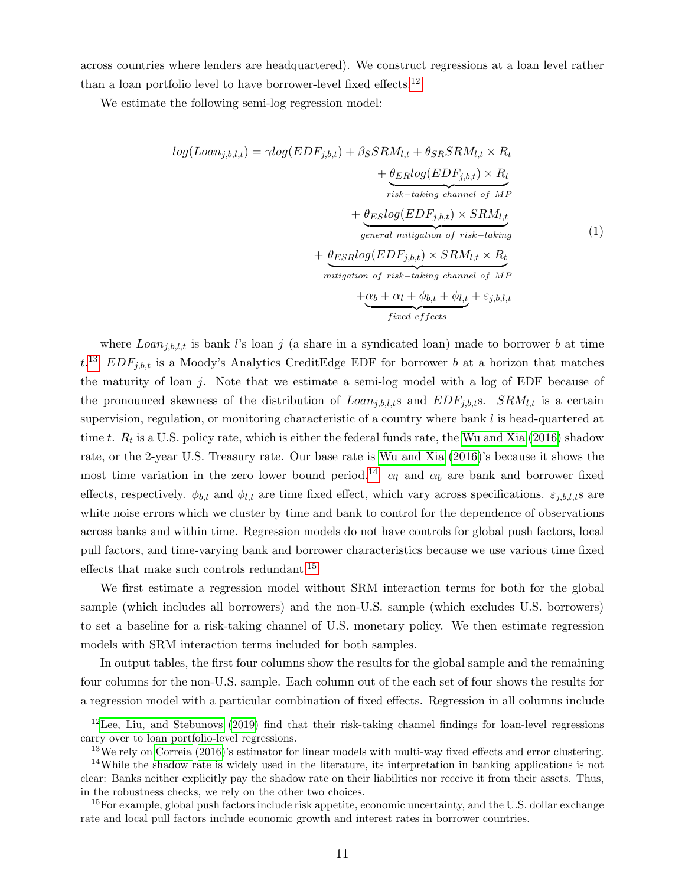across countries where lenders are headquartered). We construct regressions at a loan level rather than a loan portfolio level to have borrower-level fixed effects.<sup>[12](#page-11-0)</sup>

We estimate the following semi-log regression model:

<span id="page-11-4"></span>
$$
log(Loan_{j,b,l,t}) = \gamma log(EDF_{j,b,t}) + \beta_S SRM_{l,t} + \theta_{SR} SRM_{l,t} \times R_t
$$
  
+ 
$$
\frac{\theta_{ER} log(EDF_{j,b,t}) \times R_t}{\text{risk} - taking \text{ channel of MP}}
$$
  
+ 
$$
\frac{\theta_{ES} log(EDF_{j,b,t}) \times SRM_{l,t}}{\text{general mitigation of risk} - taking}
$$
  
+ 
$$
\frac{\theta_{ESR} log(EDF_{j,b,t}) \times SRM_{l,t} \times R_t}{\text{mitigation of risk} - taking \text{ channel of MP}}
$$
  
+ 
$$
\frac{\alpha_b + \alpha_l + \phi_{b,t} + \phi_{l,t} + \varepsilon_{j,b,l,t}}{\text{fixed effects}}
$$

where  $Loan_{j,b,l,t}$  is bank l's loan j (a share in a syndicated loan) made to borrower b at time  $t^{13}$  $t^{13}$  $t^{13}$   $EDF_{j,b,t}$  is a Moody's Analytics CreditEdge EDF for borrower b at a horizon that matches the maturity of loan  $j$ . Note that we estimate a semi-log model with a log of EDF because of the pronounced skewness of the distribution of  $Loan_{j,b,l,t}$  and  $EDF_{j,b,t}$ s.  $SRM_{l,t}$  is a certain supervision, regulation, or monitoring characteristic of a country where bank l is head-quartered at time t.  $R_t$  is a U.S. policy rate, which is either the federal funds rate, the [Wu and Xia](#page-25-13) [\(2016\)](#page-25-13) shadow rate, or the 2-year U.S. Treasury rate. Our base rate is [Wu and Xia](#page-25-13) [\(2016\)](#page-25-13)'s because it shows the most time variation in the zero lower bound period.<sup>[14](#page-11-2)</sup>  $\alpha_l$  and  $\alpha_b$  are bank and borrower fixed effects, respectively.  $\phi_{b,t}$  and  $\phi_{l,t}$  are time fixed effect, which vary across specifications.  $\varepsilon_{j,b,l,t}$ s are white noise errors which we cluster by time and bank to control for the dependence of observations across banks and within time. Regression models do not have controls for global push factors, local pull factors, and time-varying bank and borrower characteristics because we use various time fixed effects that make such controls redundant.[15](#page-11-3)

We first estimate a regression model without SRM interaction terms for both for the global sample (which includes all borrowers) and the non-U.S. sample (which excludes U.S. borrowers) to set a baseline for a risk-taking channel of U.S. monetary policy. We then estimate regression models with SRM interaction terms included for both samples.

In output tables, the first four columns show the results for the global sample and the remaining four columns for the non-U.S. sample. Each column out of the each set of four shows the results for a regression model with a particular combination of fixed effects. Regression in all columns include

<span id="page-11-0"></span><sup>12</sup>[Lee, Liu, and Stebunovs](#page-25-6) [\(2019\)](#page-25-6) find that their risk-taking channel findings for loan-level regressions carry over to loan portfolio-level regressions.

<span id="page-11-2"></span><span id="page-11-1"></span><sup>&</sup>lt;sup>13</sup>We rely on [Correia](#page-24-12) [\(2016\)](#page-24-12)'s estimator for linear models with multi-way fixed effects and error clustering. <sup>14</sup>While the shadow rate is widely used in the literature, its interpretation in banking applications is not clear: Banks neither explicitly pay the shadow rate on their liabilities nor receive it from their assets. Thus, in the robustness checks, we rely on the other two choices.

<span id="page-11-3"></span><sup>&</sup>lt;sup>15</sup>For example, global push factors include risk appetite, economic uncertainty, and the U.S. dollar exchange rate and local pull factors include economic growth and interest rates in borrower countries.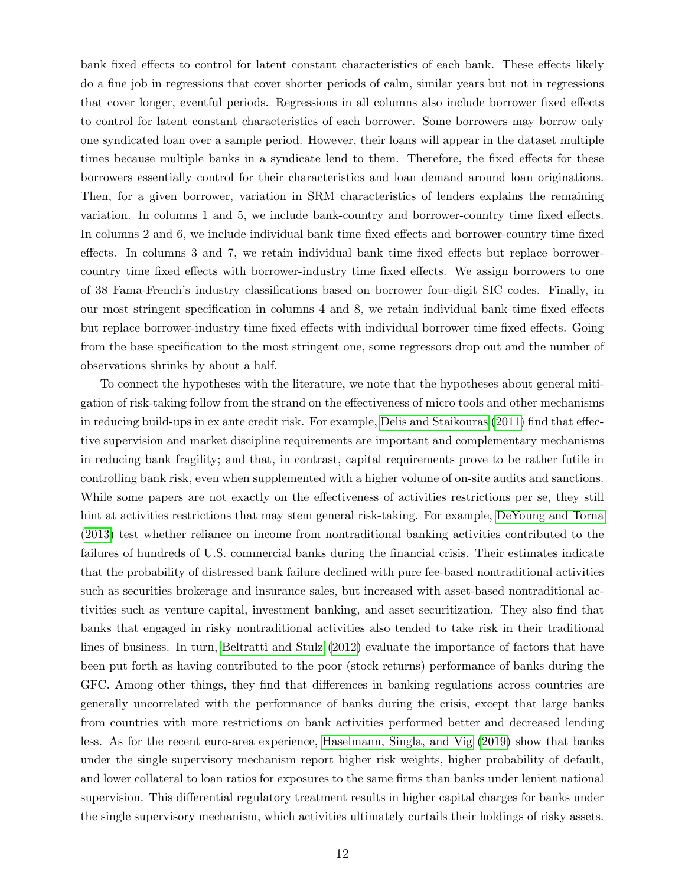bank fixed effects to control for latent constant characteristics of each bank. These effects likely do a fine job in regressions that cover shorter periods of calm, similar years but not in regressions that cover longer, eventful periods. Regressions in all columns also include borrower fixed effects to control for latent constant characteristics of each borrower. Some borrowers may borrow only one syndicated loan over a sample period. However, their loans will appear in the dataset multiple times because multiple banks in a syndicate lend to them. Therefore, the fixed effects for these borrowers essentially control for their characteristics and loan demand around loan originations. Then, for a given borrower, variation in SRM characteristics of lenders explains the remaining variation. In columns 1 and 5, we include bank-country and borrower-country time fixed effects. In columns 2 and 6, we include individual bank time fixed effects and borrower-country time fixed effects. In columns 3 and 7, we retain individual bank time fixed effects but replace borrowercountry time fixed effects with borrower-industry time fixed effects. We assign borrowers to one of 38 Fama-French's industry classifications based on borrower four-digit SIC codes. Finally, in our most stringent specification in columns 4 and 8, we retain individual bank time fixed effects but replace borrower-industry time fixed effects with individual borrower time fixed effects. Going from the base specification to the most stringent one, some regressors drop out and the number of observations shrinks by about a half.

To connect the hypotheses with the literature, we note that the hypotheses about general mitigation of risk-taking follow from the strand on the effectiveness of micro tools and other mechanisms in reducing build-ups in ex ante credit risk. For example, [Delis and Staikouras](#page-24-1) [\(2011\)](#page-24-1) find that effective supervision and market discipline requirements are important and complementary mechanisms in reducing bank fragility; and that, in contrast, capital requirements prove to be rather futile in controlling bank risk, even when supplemented with a higher volume of on-site audits and sanctions. While some papers are not exactly on the effectiveness of activities restrictions per se, they still hint at activities restrictions that may stem general risk-taking. For example, [DeYoung and Torna](#page-24-13) [\(2013\)](#page-24-13) test whether reliance on income from nontraditional banking activities contributed to the failures of hundreds of U.S. commercial banks during the financial crisis. Their estimates indicate that the probability of distressed bank failure declined with pure fee-based nontraditional activities such as securities brokerage and insurance sales, but increased with asset-based nontraditional activities such as venture capital, investment banking, and asset securitization. They also find that banks that engaged in risky nontraditional activities also tended to take risk in their traditional lines of business. In turn, [Beltratti and Stulz](#page-24-14) [\(2012\)](#page-24-14) evaluate the importance of factors that have been put forth as having contributed to the poor (stock returns) performance of banks during the GFC. Among other things, they find that differences in banking regulations across countries are generally uncorrelated with the performance of banks during the crisis, except that large banks from countries with more restrictions on bank activities performed better and decreased lending less. As for the recent euro-area experience, [Haselmann, Singla, and Vig](#page-24-7) [\(2019\)](#page-24-7) show that banks under the single supervisory mechanism report higher risk weights, higher probability of default, and lower collateral to loan ratios for exposures to the same firms than banks under lenient national supervision. This differential regulatory treatment results in higher capital charges for banks under the single supervisory mechanism, which activities ultimately curtails their holdings of risky assets.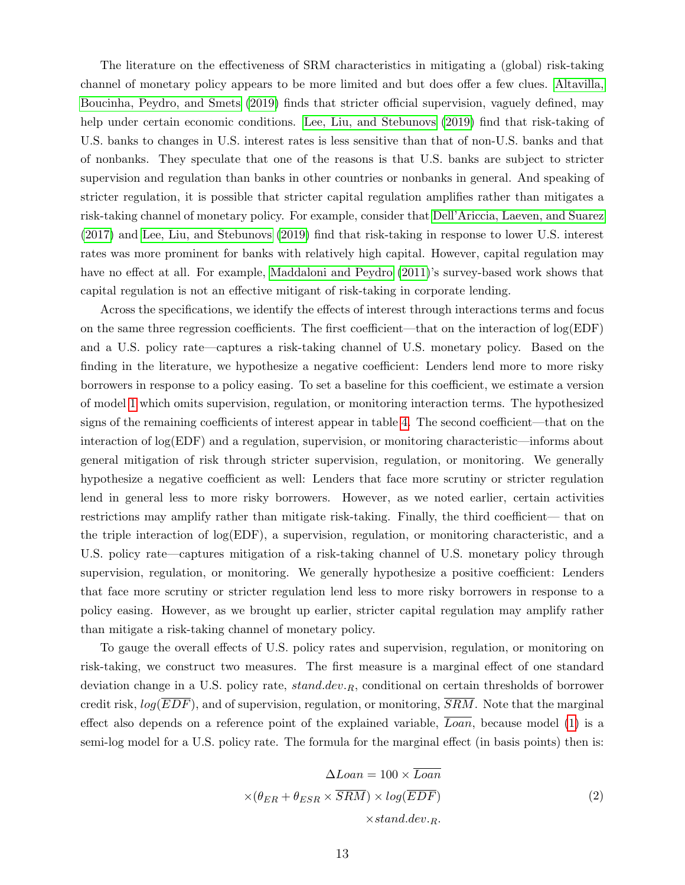The literature on the effectiveness of SRM characteristics in mitigating a (global) risk-taking channel of monetary policy appears to be more limited and but does offer a few clues. [Altavilla,](#page-23-0) [Boucinha, Peydro, and Smets](#page-23-0) [\(2019\)](#page-23-0) finds that stricter official supervision, vaguely defined, may help under certain economic conditions. [Lee, Liu, and Stebunovs](#page-25-6) [\(2019\)](#page-25-6) find that risk-taking of U.S. banks to changes in U.S. interest rates is less sensitive than that of non-U.S. banks and that of nonbanks. They speculate that one of the reasons is that U.S. banks are subject to stricter supervision and regulation than banks in other countries or nonbanks in general. And speaking of stricter regulation, it is possible that stricter capital regulation amplifies rather than mitigates a risk-taking channel of monetary policy. For example, consider that [Dell'Ariccia, Laeven, and Suarez](#page-24-0) [\(2017\)](#page-24-0) and [Lee, Liu, and Stebunovs](#page-25-6) [\(2019\)](#page-25-6) find that risk-taking in response to lower U.S. interest rates was more prominent for banks with relatively high capital. However, capital regulation may have no effect at all. For example, [Maddaloni and Peydro](#page-25-2) [\(2011\)](#page-25-2)'s survey-based work shows that capital regulation is not an effective mitigant of risk-taking in corporate lending.

Across the specifications, we identify the effects of interest through interactions terms and focus on the same three regression coefficients. The first coefficient—that on the interaction of  $log(EDF)$ and a U.S. policy rate—captures a risk-taking channel of U.S. monetary policy. Based on the finding in the literature, we hypothesize a negative coefficient: Lenders lend more to more risky borrowers in response to a policy easing. To set a baseline for this coefficient, we estimate a version of model [1](#page-11-4) which omits supervision, regulation, or monitoring interaction terms. The hypothesized signs of the remaining coefficients of interest appear in table [4.](#page-33-0) The second coefficient—that on the interaction of log(EDF) and a regulation, supervision, or monitoring characteristic—informs about general mitigation of risk through stricter supervision, regulation, or monitoring. We generally hypothesize a negative coefficient as well: Lenders that face more scrutiny or stricter regulation lend in general less to more risky borrowers. However, as we noted earlier, certain activities restrictions may amplify rather than mitigate risk-taking. Finally, the third coefficient— that on the triple interaction of log(EDF), a supervision, regulation, or monitoring characteristic, and a U.S. policy rate—captures mitigation of a risk-taking channel of U.S. monetary policy through supervision, regulation, or monitoring. We generally hypothesize a positive coefficient: Lenders that face more scrutiny or stricter regulation lend less to more risky borrowers in response to a policy easing. However, as we brought up earlier, stricter capital regulation may amplify rather than mitigate a risk-taking channel of monetary policy.

<span id="page-13-0"></span>To gauge the overall effects of U.S. policy rates and supervision, regulation, or monitoring on risk-taking, we construct two measures. The first measure is a marginal effect of one standard deviation change in a U.S. policy rate,  $stand.dev_R$ , conditional on certain thresholds of borrower credit risk,  $log(EDF)$ , and of supervision, regulation, or monitoring,  $\overline{SRM}$ . Note that the marginal effect also depends on a reference point of the explained variable, Loan, because model [\(1\)](#page-11-4) is a semi-log model for a U.S. policy rate. The formula for the marginal effect (in basis points) then is:

$$
\Delta Loan = 100 \times \overline{Loan}
$$

$$
\times (\theta_{ER} + \theta_{ESR} \times \overline{SRM}) \times \log(\overline{EDF})
$$

$$
\times stand. dev. R.
$$

$$
(2)
$$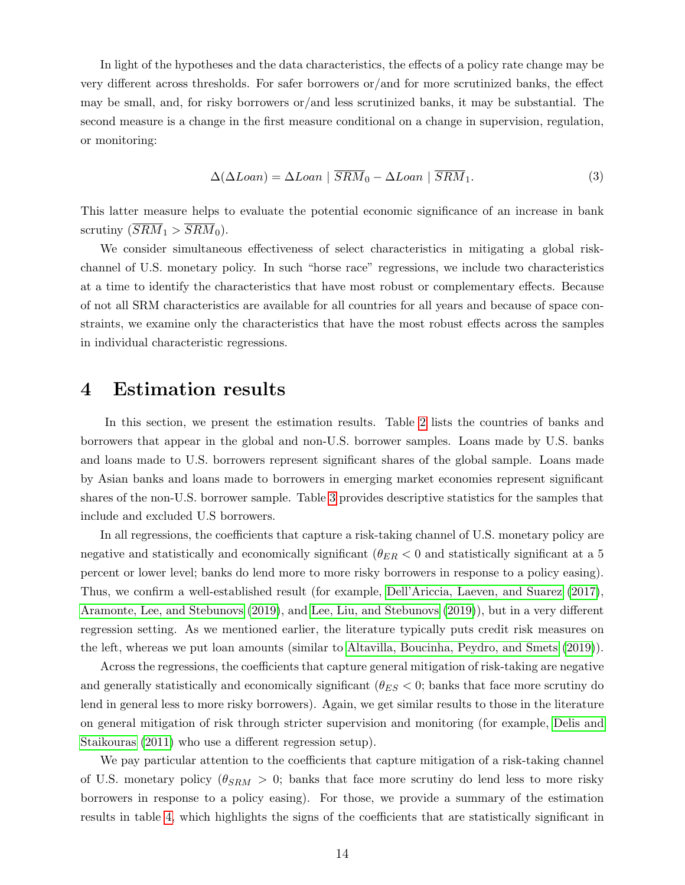In light of the hypotheses and the data characteristics, the effects of a policy rate change may be very different across thresholds. For safer borrowers or/and for more scrutinized banks, the effect may be small, and, for risky borrowers or/and less scrutinized banks, it may be substantial. The second measure is a change in the first measure conditional on a change in supervision, regulation, or monitoring:

$$
\Delta(\Delta Loan) = \Delta Loan \mid \overline{SRM}_0 - \Delta Loan \mid \overline{SRM}_1. \tag{3}
$$

<span id="page-14-0"></span>This latter measure helps to evaluate the potential economic significance of an increase in bank scrutiny  $(\overline{SRM}_1 > \overline{SRM}_0)$ .

We consider simultaneous effectiveness of select characteristics in mitigating a global riskchannel of U.S. monetary policy. In such "horse race" regressions, we include two characteristics at a time to identify the characteristics that have most robust or complementary effects. Because of not all SRM characteristics are available for all countries for all years and because of space constraints, we examine only the characteristics that have the most robust effects across the samples in individual characteristic regressions.

## 4 Estimation results

In this section, we present the estimation results. Table [2](#page-31-0) lists the countries of banks and borrowers that appear in the global and non-U.S. borrower samples. Loans made by U.S. banks and loans made to U.S. borrowers represent significant shares of the global sample. Loans made by Asian banks and loans made to borrowers in emerging market economies represent significant shares of the non-U.S. borrower sample. Table [3](#page-32-0) provides descriptive statistics for the samples that include and excluded U.S borrowers.

In all regressions, the coefficients that capture a risk-taking channel of U.S. monetary policy are negative and statistically and economically significant ( $\theta_{ER}$  < 0 and statistically significant at a 5 percent or lower level; banks do lend more to more risky borrowers in response to a policy easing). Thus, we confirm a well-established result (for example, [Dell'Ariccia, Laeven, and Suarez](#page-24-0) [\(2017\)](#page-24-0), [Aramonte, Lee, and Stebunovs](#page-24-5) [\(2019\)](#page-24-5), and [Lee, Liu, and Stebunovs](#page-25-6) [\(2019\)](#page-25-6)), but in a very different regression setting. As we mentioned earlier, the literature typically puts credit risk measures on the left, whereas we put loan amounts (similar to [Altavilla, Boucinha, Peydro, and Smets](#page-23-0) [\(2019\)](#page-23-0)).

Across the regressions, the coefficients that capture general mitigation of risk-taking are negative and generally statistically and economically significant ( $\theta_{ES} < 0$ ; banks that face more scrutiny do lend in general less to more risky borrowers). Again, we get similar results to those in the literature on general mitigation of risk through stricter supervision and monitoring (for example, [Delis and](#page-24-1) [Staikouras](#page-24-1) [\(2011\)](#page-24-1) who use a different regression setup).

We pay particular attention to the coefficients that capture mitigation of a risk-taking channel of U.S. monetary policy ( $\theta_{SRM} > 0$ ; banks that face more scrutiny do lend less to more risky borrowers in response to a policy easing). For those, we provide a summary of the estimation results in table [4,](#page-33-0) which highlights the signs of the coefficients that are statistically significant in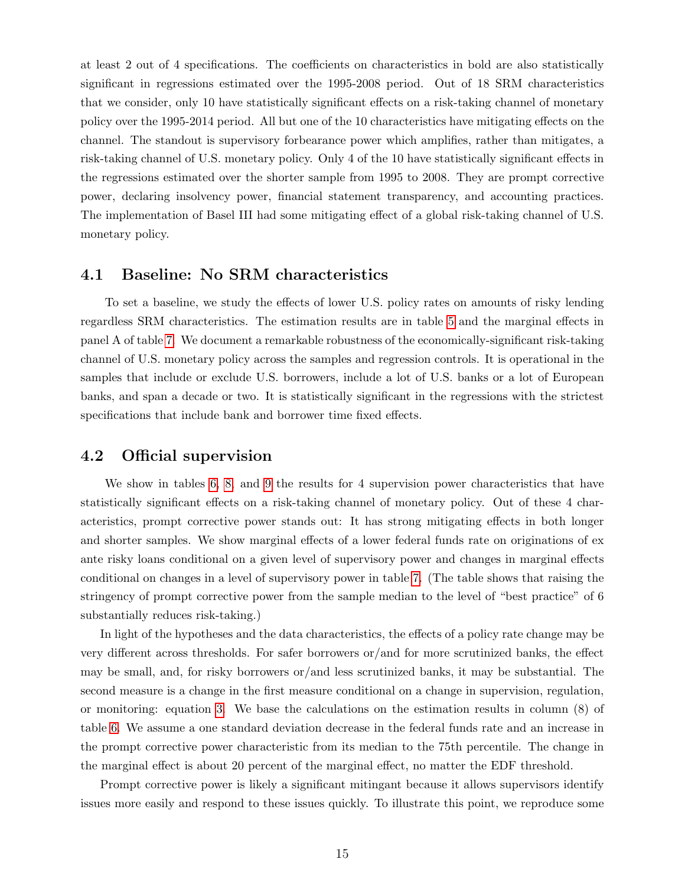at least 2 out of 4 specifications. The coefficients on characteristics in bold are also statistically significant in regressions estimated over the 1995-2008 period. Out of 18 SRM characteristics that we consider, only 10 have statistically significant effects on a risk-taking channel of monetary policy over the 1995-2014 period. All but one of the 10 characteristics have mitigating effects on the channel. The standout is supervisory forbearance power which amplifies, rather than mitigates, a risk-taking channel of U.S. monetary policy. Only 4 of the 10 have statistically significant effects in the regressions estimated over the shorter sample from 1995 to 2008. They are prompt corrective power, declaring insolvency power, financial statement transparency, and accounting practices. The implementation of Basel III had some mitigating effect of a global risk-taking channel of U.S. monetary policy.

#### 4.1 Baseline: No SRM characteristics

To set a baseline, we study the effects of lower U.S. policy rates on amounts of risky lending regardless SRM characteristics. The estimation results are in table [5](#page-33-1) and the marginal effects in panel A of table [7.](#page-34-0) We document a remarkable robustness of the economically-significant risk-taking channel of U.S. monetary policy across the samples and regression controls. It is operational in the samples that include or exclude U.S. borrowers, include a lot of U.S. banks or a lot of European banks, and span a decade or two. It is statistically significant in the regressions with the strictest specifications that include bank and borrower time fixed effects.

#### 4.2 Official supervision

We show in tables [6,](#page-34-1) [8,](#page-35-0) and [9](#page-35-1) the results for 4 supervision power characteristics that have statistically significant effects on a risk-taking channel of monetary policy. Out of these 4 characteristics, prompt corrective power stands out: It has strong mitigating effects in both longer and shorter samples. We show marginal effects of a lower federal funds rate on originations of ex ante risky loans conditional on a given level of supervisory power and changes in marginal effects conditional on changes in a level of supervisory power in table [7.](#page-34-0) (The table shows that raising the stringency of prompt corrective power from the sample median to the level of "best practice" of 6 substantially reduces risk-taking.)

In light of the hypotheses and the data characteristics, the effects of a policy rate change may be very different across thresholds. For safer borrowers or/and for more scrutinized banks, the effect may be small, and, for risky borrowers or/and less scrutinized banks, it may be substantial. The second measure is a change in the first measure conditional on a change in supervision, regulation, or monitoring: equation [3.](#page-14-0) We base the calculations on the estimation results in column (8) of table [6.](#page-34-1) We assume a one standard deviation decrease in the federal funds rate and an increase in the prompt corrective power characteristic from its median to the 75th percentile. The change in the marginal effect is about 20 percent of the marginal effect, no matter the EDF threshold.

Prompt corrective power is likely a significant mitingant because it allows supervisors identify issues more easily and respond to these issues quickly. To illustrate this point, we reproduce some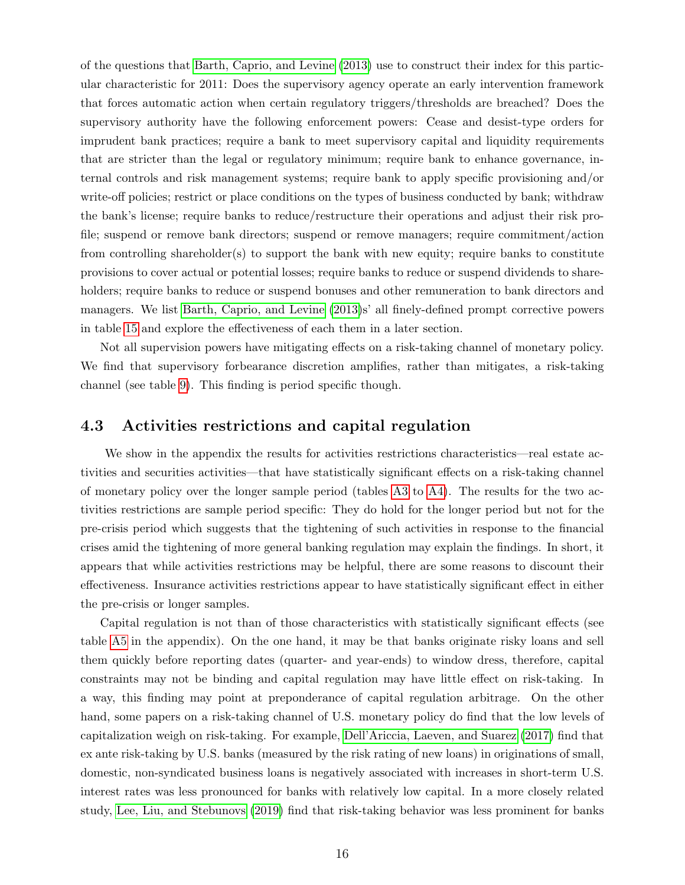of the questions that [Barth, Caprio, and Levine](#page-24-3) [\(2013\)](#page-24-3) use to construct their index for this particular characteristic for 2011: Does the supervisory agency operate an early intervention framework that forces automatic action when certain regulatory triggers/thresholds are breached? Does the supervisory authority have the following enforcement powers: Cease and desist-type orders for imprudent bank practices; require a bank to meet supervisory capital and liquidity requirements that are stricter than the legal or regulatory minimum; require bank to enhance governance, internal controls and risk management systems; require bank to apply specific provisioning and/or write-off policies; restrict or place conditions on the types of business conducted by bank; withdraw the bank's license; require banks to reduce/restructure their operations and adjust their risk profile; suspend or remove bank directors; suspend or remove managers; require commitment/action from controlling shareholder(s) to support the bank with new equity; require banks to constitute provisions to cover actual or potential losses; require banks to reduce or suspend dividends to shareholders; require banks to reduce or suspend bonuses and other remuneration to bank directors and managers. We list [Barth, Caprio, and Levine](#page-24-3) [\(2013\)](#page-24-3)s' all finely-defined prompt corrective powers in table [15](#page-38-0) and explore the effectiveness of each them in a later section.

Not all supervision powers have mitigating effects on a risk-taking channel of monetary policy. We find that supervisory forbearance discretion amplifies, rather than mitigates, a risk-taking channel (see table [9\)](#page-35-1). This finding is period specific though.

#### 4.3 Activities restrictions and capital regulation

We show in the appendix the results for activities restrictions characteristics—real estate activities and securities activities—that have statistically significant effects on a risk-taking channel of monetary policy over the longer sample period (tables [A3](#page-43-0) to [A4\)](#page-43-1). The results for the two activities restrictions are sample period specific: They do hold for the longer period but not for the pre-crisis period which suggests that the tightening of such activities in response to the financial crises amid the tightening of more general banking regulation may explain the findings. In short, it appears that while activities restrictions may be helpful, there are some reasons to discount their effectiveness. Insurance activities restrictions appear to have statistically significant effect in either the pre-crisis or longer samples.

Capital regulation is not than of those characteristics with statistically significant effects (see table [A5](#page-44-0) in the appendix). On the one hand, it may be that banks originate risky loans and sell them quickly before reporting dates (quarter- and year-ends) to window dress, therefore, capital constraints may not be binding and capital regulation may have little effect on risk-taking. In a way, this finding may point at preponderance of capital regulation arbitrage. On the other hand, some papers on a risk-taking channel of U.S. monetary policy do find that the low levels of capitalization weigh on risk-taking. For example, [Dell'Ariccia, Laeven, and Suarez](#page-24-0) [\(2017\)](#page-24-0) find that ex ante risk-taking by U.S. banks (measured by the risk rating of new loans) in originations of small, domestic, non-syndicated business loans is negatively associated with increases in short-term U.S. interest rates was less pronounced for banks with relatively low capital. In a more closely related study, [Lee, Liu, and Stebunovs](#page-25-6) [\(2019\)](#page-25-6) find that risk-taking behavior was less prominent for banks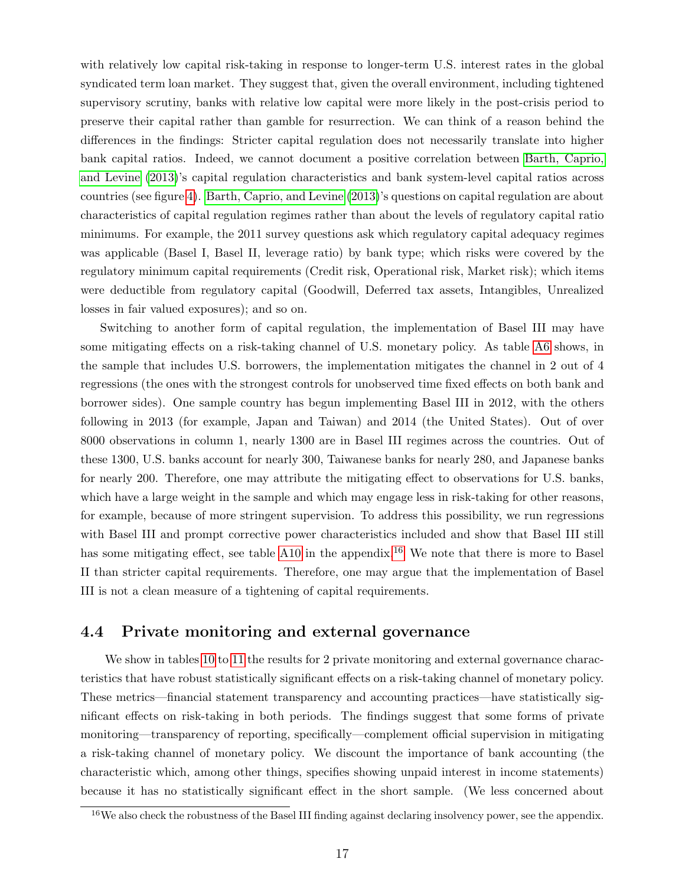with relatively low capital risk-taking in response to longer-term U.S. interest rates in the global syndicated term loan market. They suggest that, given the overall environment, including tightened supervisory scrutiny, banks with relative low capital were more likely in the post-crisis period to preserve their capital rather than gamble for resurrection. We can think of a reason behind the differences in the findings: Stricter capital regulation does not necessarily translate into higher bank capital ratios. Indeed, we cannot document a positive correlation between [Barth, Caprio,](#page-24-3) [and Levine](#page-24-3) [\(2013\)](#page-24-3)'s capital regulation characteristics and bank system-level capital ratios across countries (see figure [4\)](#page-29-0). [Barth, Caprio, and Levine](#page-24-3) [\(2013\)](#page-24-3)'s questions on capital regulation are about characteristics of capital regulation regimes rather than about the levels of regulatory capital ratio minimums. For example, the 2011 survey questions ask which regulatory capital adequacy regimes was applicable (Basel I, Basel II, leverage ratio) by bank type; which risks were covered by the regulatory minimum capital requirements (Credit risk, Operational risk, Market risk); which items were deductible from regulatory capital (Goodwill, Deferred tax assets, Intangibles, Unrealized losses in fair valued exposures); and so on.

Switching to another form of capital regulation, the implementation of Basel III may have some mitigating effects on a risk-taking channel of U.S. monetary policy. As table [A6](#page-44-1) shows, in the sample that includes U.S. borrowers, the implementation mitigates the channel in 2 out of 4 regressions (the ones with the strongest controls for unobserved time fixed effects on both bank and borrower sides). One sample country has begun implementing Basel III in 2012, with the others following in 2013 (for example, Japan and Taiwan) and 2014 (the United States). Out of over 8000 observations in column 1, nearly 1300 are in Basel III regimes across the countries. Out of these 1300, U.S. banks account for nearly 300, Taiwanese banks for nearly 280, and Japanese banks for nearly 200. Therefore, one may attribute the mitigating effect to observations for U.S. banks, which have a large weight in the sample and which may engage less in risk-taking for other reasons, for example, because of more stringent supervision. To address this possibility, we run regressions with Basel III and prompt corrective power characteristics included and show that Basel III still has some mitigating effect, see table [A10](#page-46-0) in the appendix.<sup>[16](#page-17-0)</sup> We note that there is more to Basel II than stricter capital requirements. Therefore, one may argue that the implementation of Basel III is not a clean measure of a tightening of capital requirements.

#### 4.4 Private monitoring and external governance

We show in tables [10](#page-36-0) to [11](#page-36-1) the results for 2 private monitoring and external governance characteristics that have robust statistically significant effects on a risk-taking channel of monetary policy. These metrics—financial statement transparency and accounting practices—have statistically significant effects on risk-taking in both periods. The findings suggest that some forms of private monitoring—transparency of reporting, specifically—complement official supervision in mitigating a risk-taking channel of monetary policy. We discount the importance of bank accounting (the characteristic which, among other things, specifies showing unpaid interest in income statements) because it has no statistically significant effect in the short sample. (We less concerned about

<span id="page-17-0"></span><sup>&</sup>lt;sup>16</sup>We also check the robustness of the Basel III finding against declaring insolvency power, see the appendix.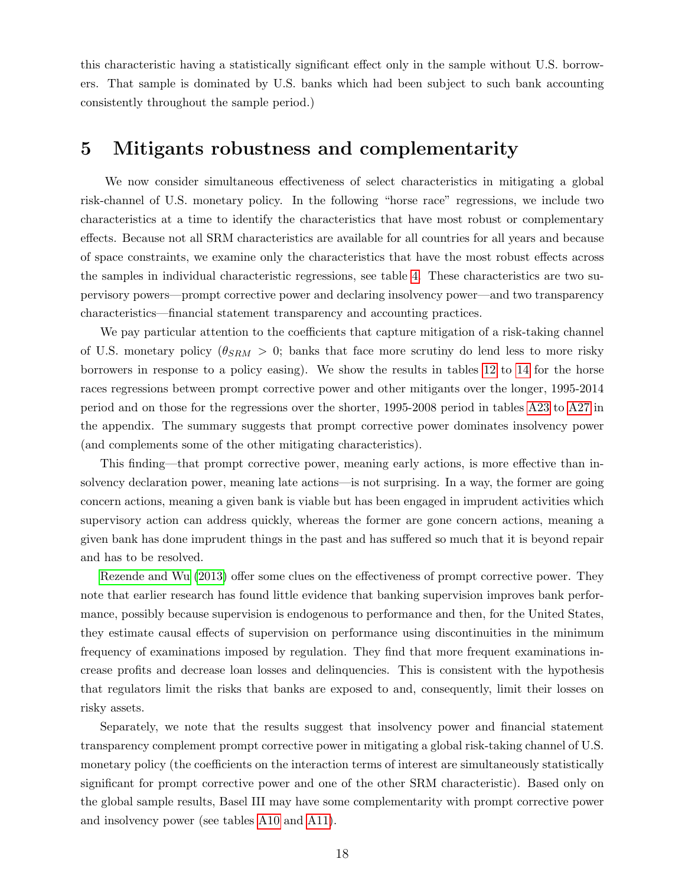this characteristic having a statistically significant effect only in the sample without U.S. borrowers. That sample is dominated by U.S. banks which had been subject to such bank accounting consistently throughout the sample period.)

## 5 Mitigants robustness and complementarity

We now consider simultaneous effectiveness of select characteristics in mitigating a global risk-channel of U.S. monetary policy. In the following "horse race" regressions, we include two characteristics at a time to identify the characteristics that have most robust or complementary effects. Because not all SRM characteristics are available for all countries for all years and because of space constraints, we examine only the characteristics that have the most robust effects across the samples in individual characteristic regressions, see table [4.](#page-33-0) These characteristics are two supervisory powers—prompt corrective power and declaring insolvency power—and two transparency characteristics—financial statement transparency and accounting practices.

We pay particular attention to the coefficients that capture mitigation of a risk-taking channel of U.S. monetary policy ( $\theta_{SRM} > 0$ ; banks that face more scrutiny do lend less to more risky borrowers in response to a policy easing). We show the results in tables [12](#page-37-0) to [14](#page-38-1) for the horse races regressions between prompt corrective power and other mitigants over the longer, 1995-2014 period and on those for the regressions over the shorter, 1995-2008 period in tables [A23](#page-54-0) to [A27](#page-56-0) in the appendix. The summary suggests that prompt corrective power dominates insolvency power (and complements some of the other mitigating characteristics).

This finding—that prompt corrective power, meaning early actions, is more effective than insolvency declaration power, meaning late actions—is not surprising. In a way, the former are going concern actions, meaning a given bank is viable but has been engaged in imprudent activities which supervisory action can address quickly, whereas the former are gone concern actions, meaning a given bank has done imprudent things in the past and has suffered so much that it is beyond repair and has to be resolved.

[Rezende and Wu](#page-25-14) [\(2013\)](#page-25-14) offer some clues on the effectiveness of prompt corrective power. They note that earlier research has found little evidence that banking supervision improves bank performance, possibly because supervision is endogenous to performance and then, for the United States, they estimate causal effects of supervision on performance using discontinuities in the minimum frequency of examinations imposed by regulation. They find that more frequent examinations increase profits and decrease loan losses and delinquencies. This is consistent with the hypothesis that regulators limit the risks that banks are exposed to and, consequently, limit their losses on risky assets.

Separately, we note that the results suggest that insolvency power and financial statement transparency complement prompt corrective power in mitigating a global risk-taking channel of U.S. monetary policy (the coefficients on the interaction terms of interest are simultaneously statistically significant for prompt corrective power and one of the other SRM characteristic). Based only on the global sample results, Basel III may have some complementarity with prompt corrective power and insolvency power (see tables [A10](#page-46-0) and [A11\)](#page-47-0).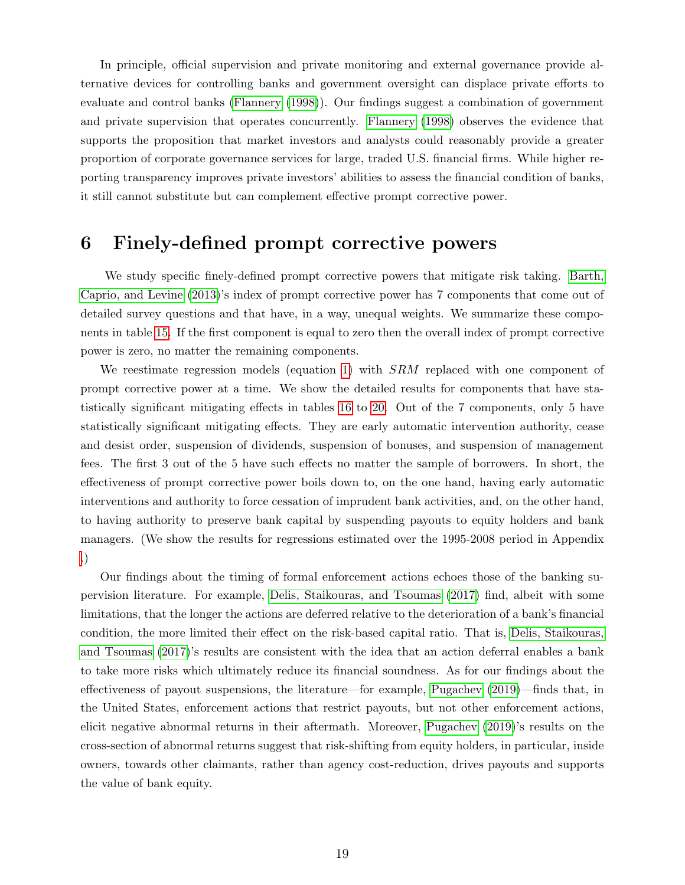In principle, official supervision and private monitoring and external governance provide alternative devices for controlling banks and government oversight can displace private efforts to evaluate and control banks [\(Flannery](#page-24-15) [\(1998\)](#page-24-15)). Our findings suggest a combination of government and private supervision that operates concurrently. [Flannery](#page-24-15) [\(1998\)](#page-24-15) observes the evidence that supports the proposition that market investors and analysts could reasonably provide a greater proportion of corporate governance services for large, traded U.S. financial firms. While higher reporting transparency improves private investors' abilities to assess the financial condition of banks, it still cannot substitute but can complement effective prompt corrective power.

## 6 Finely-defined prompt corrective powers

We study specific finely-defined prompt corrective powers that mitigate risk taking. [Barth,](#page-24-3) [Caprio, and Levine](#page-24-3) [\(2013\)](#page-24-3)'s index of prompt corrective power has 7 components that come out of detailed survey questions and that have, in a way, unequal weights. We summarize these components in table [15.](#page-38-0) If the first component is equal to zero then the overall index of prompt corrective power is zero, no matter the remaining components.

We reestimate regression models (equation [1\)](#page-11-4) with SRM replaced with one component of prompt corrective power at a time. We show the detailed results for components that have statistically significant mitigating effects in tables [16](#page-39-0) to [20.](#page-41-0) Out of the 7 components, only 5 have statistically significant mitigating effects. They are early automatic intervention authority, cease and desist order, suspension of dividends, suspension of bonuses, and suspension of management fees. The first 3 out of the 5 have such effects no matter the sample of borrowers. In short, the effectiveness of prompt corrective power boils down to, on the one hand, having early automatic interventions and authority to force cessation of imprudent bank activities, and, on the other hand, to having authority to preserve bank capital by suspending payouts to equity holders and bank managers. (We show the results for regressions estimated over the 1995-2008 period in Appendix [.](#page-51-0))

Our findings about the timing of formal enforcement actions echoes those of the banking supervision literature. For example, [Delis, Staikouras, and Tsoumas](#page-24-16) [\(2017\)](#page-24-16) find, albeit with some limitations, that the longer the actions are deferred relative to the deterioration of a bank's financial condition, the more limited their effect on the risk-based capital ratio. That is, [Delis, Staikouras,](#page-24-16) [and Tsoumas](#page-24-16) [\(2017\)](#page-24-16)'s results are consistent with the idea that an action deferral enables a bank to take more risks which ultimately reduce its financial soundness. As for our findings about the effectiveness of payout suspensions, the literature—for example, [Pugachev](#page-25-15) [\(2019\)](#page-25-15)—finds that, in the United States, enforcement actions that restrict payouts, but not other enforcement actions, elicit negative abnormal returns in their aftermath. Moreover, [Pugachev](#page-25-15) [\(2019\)](#page-25-15)'s results on the cross-section of abnormal returns suggest that risk-shifting from equity holders, in particular, inside owners, towards other claimants, rather than agency cost-reduction, drives payouts and supports the value of bank equity.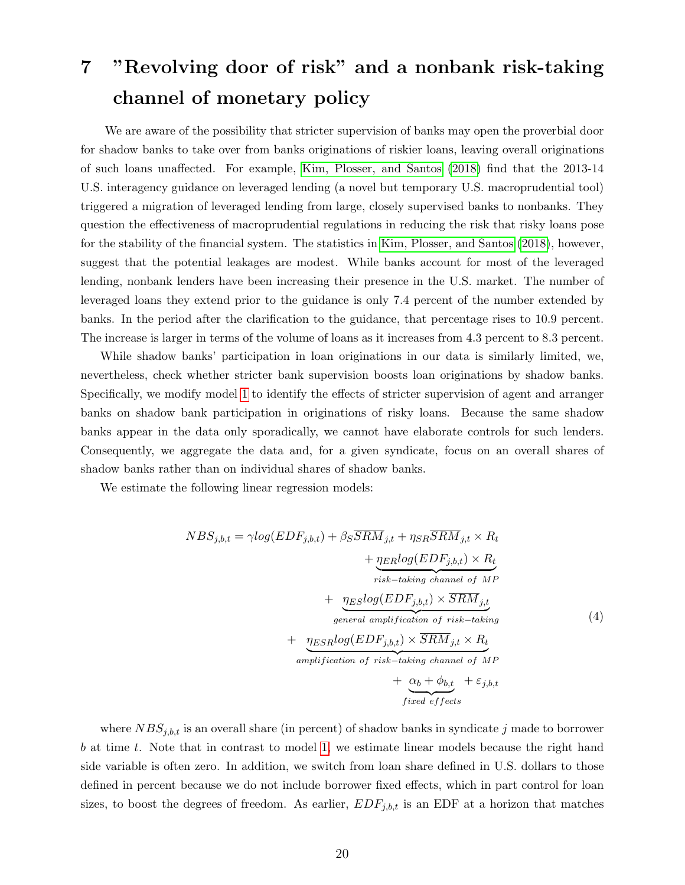# 7 "Revolving door of risk" and a nonbank risk-taking channel of monetary policy

We are aware of the possibility that stricter supervision of banks may open the proverbial door for shadow banks to take over from banks originations of riskier loans, leaving overall originations of such loans unaffected. For example, [Kim, Plosser, and Santos](#page-25-5) [\(2018\)](#page-25-5) find that the 2013-14 U.S. interagency guidance on leveraged lending (a novel but temporary U.S. macroprudential tool) triggered a migration of leveraged lending from large, closely supervised banks to nonbanks. They question the effectiveness of macroprudential regulations in reducing the risk that risky loans pose for the stability of the financial system. The statistics in [Kim, Plosser, and Santos](#page-25-5) [\(2018\)](#page-25-5), however, suggest that the potential leakages are modest. While banks account for most of the leveraged lending, nonbank lenders have been increasing their presence in the U.S. market. The number of leveraged loans they extend prior to the guidance is only 7.4 percent of the number extended by banks. In the period after the clarification to the guidance, that percentage rises to 10.9 percent. The increase is larger in terms of the volume of loans as it increases from 4.3 percent to 8.3 percent.

While shadow banks' participation in loan originations in our data is similarly limited, we, nevertheless, check whether stricter bank supervision boosts loan originations by shadow banks. Specifically, we modify model [1](#page-11-4) to identify the effects of stricter supervision of agent and arranger banks on shadow bank participation in originations of risky loans. Because the same shadow banks appear in the data only sporadically, we cannot have elaborate controls for such lenders. Consequently, we aggregate the data and, for a given syndicate, focus on an overall shares of shadow banks rather than on individual shares of shadow banks.

We estimate the following linear regression models:

$$
NBS_{j,b,t} = \gamma log(EDF_{j,b,t}) + \beta_S \overline{SRM}_{j,t} + \eta_{SR} \overline{SRM}_{j,t} \times R_t + \underbrace{\eta_{ER} log(EDF_{j,b,t}) \times R_t}_{risk - taking channel of MP} + \underbrace{\eta_{ES} log(EDF_{j,b,t}) \times \overline{SRM}_{j,t}}_{general amplification of risk - taking} + \underbrace{\eta_{ES} log(EDF_{j,b,t}) \times \overline{SRM}_{j,t} \times R_t}_{amplification of risk - taking channel of MP} \times \underbrace{\alpha_b + \phi_{b,t}}_{fixed effects} + \varepsilon_{j,b,t}
$$
(4)

where  $NBS_{j,b,t}$  is an overall share (in percent) of shadow banks in syndicate j made to borrower b at time t. Note that in contrast to model [1,](#page-11-4) we estimate linear models because the right hand side variable is often zero. In addition, we switch from loan share defined in U.S. dollars to those defined in percent because we do not include borrower fixed effects, which in part control for loan sizes, to boost the degrees of freedom. As earlier,  $EDF_{j,b,t}$  is an EDF at a horizon that matches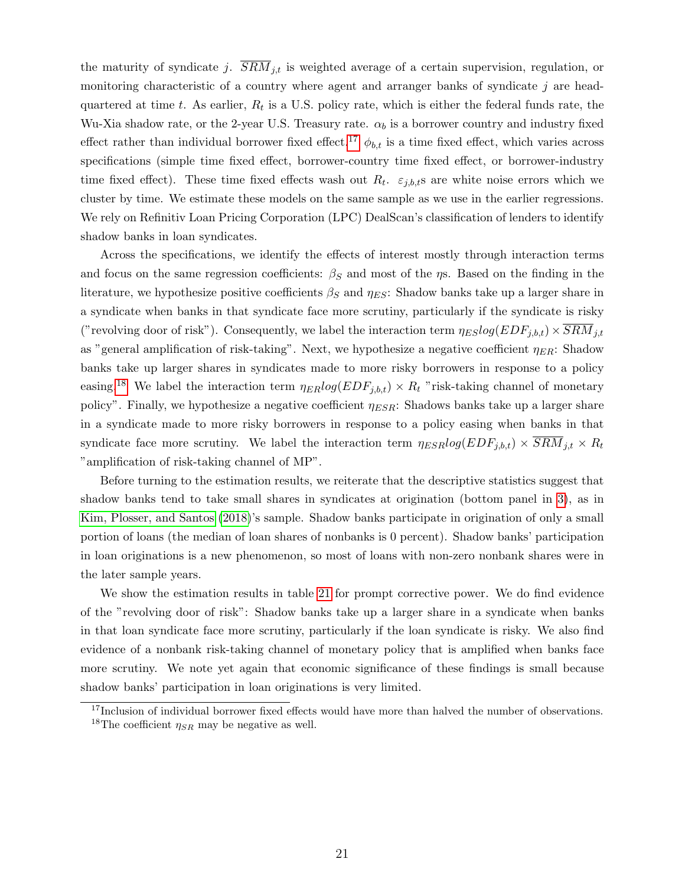the maturity of syndicate j.  $\overline{SRM}_{j,t}$  is weighted average of a certain supervision, regulation, or monitoring characteristic of a country where agent and arranger banks of syndicate  $j$  are headquartered at time t. As earlier,  $R_t$  is a U.S. policy rate, which is either the federal funds rate, the Wu-Xia shadow rate, or the 2-year U.S. Treasury rate.  $\alpha_b$  is a borrower country and industry fixed effect rather than individual borrower fixed effect.<sup>[17](#page-21-0)</sup>  $\phi_{b,t}$  is a time fixed effect, which varies across specifications (simple time fixed effect, borrower-country time fixed effect, or borrower-industry time fixed effect). These time fixed effects wash out  $R_t$ .  $\varepsilon_{j,b,t}$ s are white noise errors which we cluster by time. We estimate these models on the same sample as we use in the earlier regressions. We rely on Refinitiv Loan Pricing Corporation (LPC) DealScan's classification of lenders to identify shadow banks in loan syndicates.

Across the specifications, we identify the effects of interest mostly through interaction terms and focus on the same regression coefficients:  $\beta_S$  and most of the  $\eta$ s. Based on the finding in the literature, we hypothesize positive coefficients  $\beta_S$  and  $\eta_{ES}$ : Shadow banks take up a larger share in a syndicate when banks in that syndicate face more scrutiny, particularly if the syndicate is risky ("revolving door of risk"). Consequently, we label the interaction term  $\eta_{ES}log(EDF_{j,b,t}) \times SRM_{j,t}$ as "general amplification of risk-taking". Next, we hypothesize a negative coefficient  $\eta_{ER}$ : Shadow banks take up larger shares in syndicates made to more risky borrowers in response to a policy easing.<sup>[18](#page-21-1)</sup> We label the interaction term  $\eta_{ER}log(EDF_{i,b,t}) \times R_t$  "risk-taking channel of monetary policy". Finally, we hypothesize a negative coefficient  $\eta_{ESR}$ : Shadows banks take up a larger share in a syndicate made to more risky borrowers in response to a policy easing when banks in that syndicate face more scrutiny. We label the interaction term  $\eta_{ESR}log(EDF_{j,b,t}) \times \overline{SRM}_{j,t} \times R_t$ "amplification of risk-taking channel of MP".

Before turning to the estimation results, we reiterate that the descriptive statistics suggest that shadow banks tend to take small shares in syndicates at origination (bottom panel in [3\)](#page-32-0), as in [Kim, Plosser, and Santos](#page-25-5) [\(2018\)](#page-25-5)'s sample. Shadow banks participate in origination of only a small portion of loans (the median of loan shares of nonbanks is 0 percent). Shadow banks' participation in loan originations is a new phenomenon, so most of loans with non-zero nonbank shares were in the later sample years.

We show the estimation results in table [21](#page-41-1) for prompt corrective power. We do find evidence of the "revolving door of risk": Shadow banks take up a larger share in a syndicate when banks in that loan syndicate face more scrutiny, particularly if the loan syndicate is risky. We also find evidence of a nonbank risk-taking channel of monetary policy that is amplified when banks face more scrutiny. We note yet again that economic significance of these findings is small because shadow banks' participation in loan originations is very limited.

<span id="page-21-1"></span><span id="page-21-0"></span><sup>&</sup>lt;sup>17</sup>Inclusion of individual borrower fixed effects would have more than halved the number of observations. <sup>18</sup>The coefficient  $\eta_{SR}$  may be negative as well.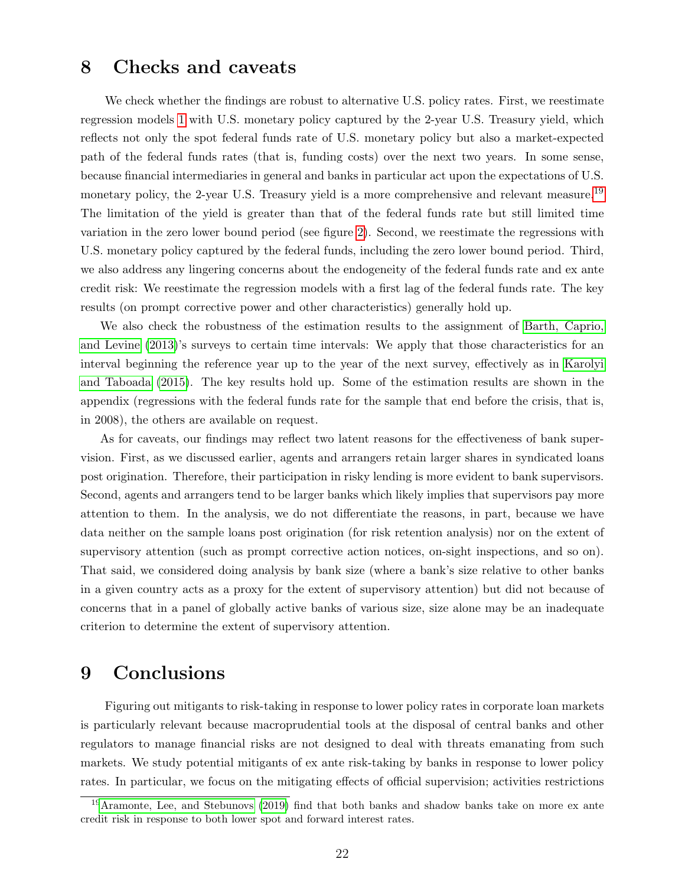## 8 Checks and caveats

We check whether the findings are robust to alternative U.S. policy rates. First, we reestimate regression models [1](#page-11-4) with U.S. monetary policy captured by the 2-year U.S. Treasury yield, which reflects not only the spot federal funds rate of U.S. monetary policy but also a market-expected path of the federal funds rates (that is, funding costs) over the next two years. In some sense, because financial intermediaries in general and banks in particular act upon the expectations of U.S. monetary policy, the 2-year U.S. Treasury yield is a more comprehensive and relevant measure.<sup>[19](#page-22-0)</sup> The limitation of the yield is greater than that of the federal funds rate but still limited time variation in the zero lower bound period (see figure [2\)](#page-27-0). Second, we reestimate the regressions with U.S. monetary policy captured by the federal funds, including the zero lower bound period. Third, we also address any lingering concerns about the endogeneity of the federal funds rate and ex ante credit risk: We reestimate the regression models with a first lag of the federal funds rate. The key results (on prompt corrective power and other characteristics) generally hold up.

We also check the robustness of the estimation results to the assignment of [Barth, Caprio,](#page-24-3) [and Levine](#page-24-3) [\(2013\)](#page-24-3)'s surveys to certain time intervals: We apply that those characteristics for an interval beginning the reference year up to the year of the next survey, effectively as in [Karolyi](#page-25-16) [and Taboada](#page-25-16) [\(2015\)](#page-25-16). The key results hold up. Some of the estimation results are shown in the appendix (regressions with the federal funds rate for the sample that end before the crisis, that is, in 2008), the others are available on request.

As for caveats, our findings may reflect two latent reasons for the effectiveness of bank supervision. First, as we discussed earlier, agents and arrangers retain larger shares in syndicated loans post origination. Therefore, their participation in risky lending is more evident to bank supervisors. Second, agents and arrangers tend to be larger banks which likely implies that supervisors pay more attention to them. In the analysis, we do not differentiate the reasons, in part, because we have data neither on the sample loans post origination (for risk retention analysis) nor on the extent of supervisory attention (such as prompt corrective action notices, on-sight inspections, and so on). That said, we considered doing analysis by bank size (where a bank's size relative to other banks in a given country acts as a proxy for the extent of supervisory attention) but did not because of concerns that in a panel of globally active banks of various size, size alone may be an inadequate criterion to determine the extent of supervisory attention.

## 9 Conclusions

Figuring out mitigants to risk-taking in response to lower policy rates in corporate loan markets is particularly relevant because macroprudential tools at the disposal of central banks and other regulators to manage financial risks are not designed to deal with threats emanating from such markets. We study potential mitigants of ex ante risk-taking by banks in response to lower policy rates. In particular, we focus on the mitigating effects of official supervision; activities restrictions

<span id="page-22-0"></span><sup>&</sup>lt;sup>19</sup>[Aramonte, Lee, and Stebunovs](#page-24-5) [\(2019\)](#page-24-5) find that both banks and shadow banks take on more ex ante credit risk in response to both lower spot and forward interest rates.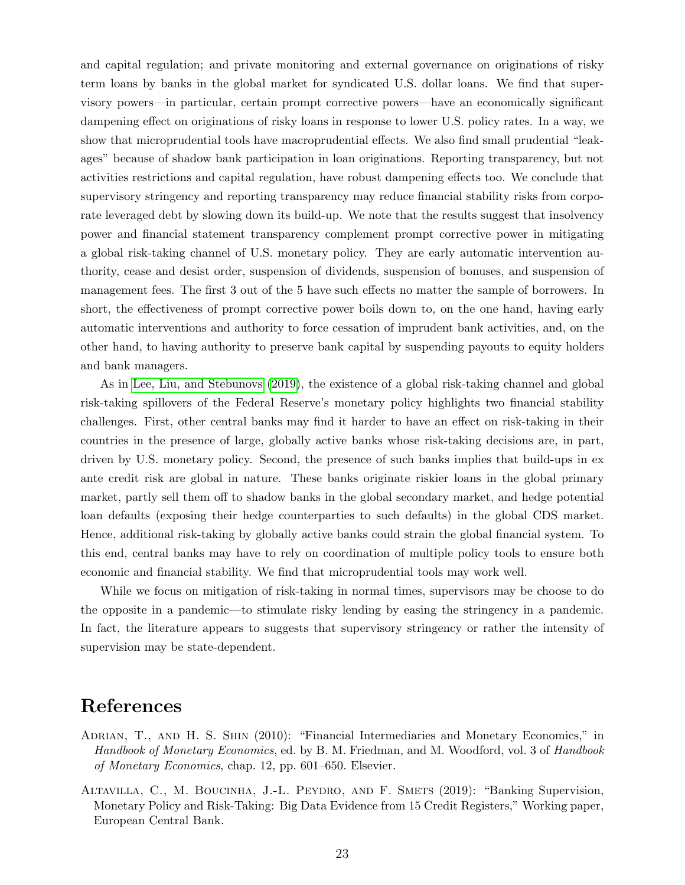and capital regulation; and private monitoring and external governance on originations of risky term loans by banks in the global market for syndicated U.S. dollar loans. We find that supervisory powers—in particular, certain prompt corrective powers—have an economically significant dampening effect on originations of risky loans in response to lower U.S. policy rates. In a way, we show that microprudential tools have macroprudential effects. We also find small prudential "leakages" because of shadow bank participation in loan originations. Reporting transparency, but not activities restrictions and capital regulation, have robust dampening effects too. We conclude that supervisory stringency and reporting transparency may reduce financial stability risks from corporate leveraged debt by slowing down its build-up. We note that the results suggest that insolvency power and financial statement transparency complement prompt corrective power in mitigating a global risk-taking channel of U.S. monetary policy. They are early automatic intervention authority, cease and desist order, suspension of dividends, suspension of bonuses, and suspension of management fees. The first 3 out of the 5 have such effects no matter the sample of borrowers. In short, the effectiveness of prompt corrective power boils down to, on the one hand, having early automatic interventions and authority to force cessation of imprudent bank activities, and, on the other hand, to having authority to preserve bank capital by suspending payouts to equity holders and bank managers.

As in [Lee, Liu, and Stebunovs](#page-25-6) [\(2019\)](#page-25-6), the existence of a global risk-taking channel and global risk-taking spillovers of the Federal Reserve's monetary policy highlights two financial stability challenges. First, other central banks may find it harder to have an effect on risk-taking in their countries in the presence of large, globally active banks whose risk-taking decisions are, in part, driven by U.S. monetary policy. Second, the presence of such banks implies that build-ups in ex ante credit risk are global in nature. These banks originate riskier loans in the global primary market, partly sell them off to shadow banks in the global secondary market, and hedge potential loan defaults (exposing their hedge counterparties to such defaults) in the global CDS market. Hence, additional risk-taking by globally active banks could strain the global financial system. To this end, central banks may have to rely on coordination of multiple policy tools to ensure both economic and financial stability. We find that microprudential tools may work well.

While we focus on mitigation of risk-taking in normal times, supervisors may be choose to do the opposite in a pandemic—to stimulate risky lending by easing the stringency in a pandemic. In fact, the literature appears to suggests that supervisory stringency or rather the intensity of supervision may be state-dependent.

## References

- <span id="page-23-1"></span>ADRIAN, T., AND H. S. SHIN (2010): "Financial Intermediaries and Monetary Economics," in Handbook of Monetary Economics, ed. by B. M. Friedman, and M. Woodford, vol. 3 of Handbook of Monetary Economics, chap. 12, pp. 601–650. Elsevier.
- <span id="page-23-0"></span>ALTAVILLA, C., M. BOUCINHA, J.-L. PEYDRO, AND F. SMETS (2019): "Banking Supervision, Monetary Policy and Risk-Taking: Big Data Evidence from 15 Credit Registers," Working paper, European Central Bank.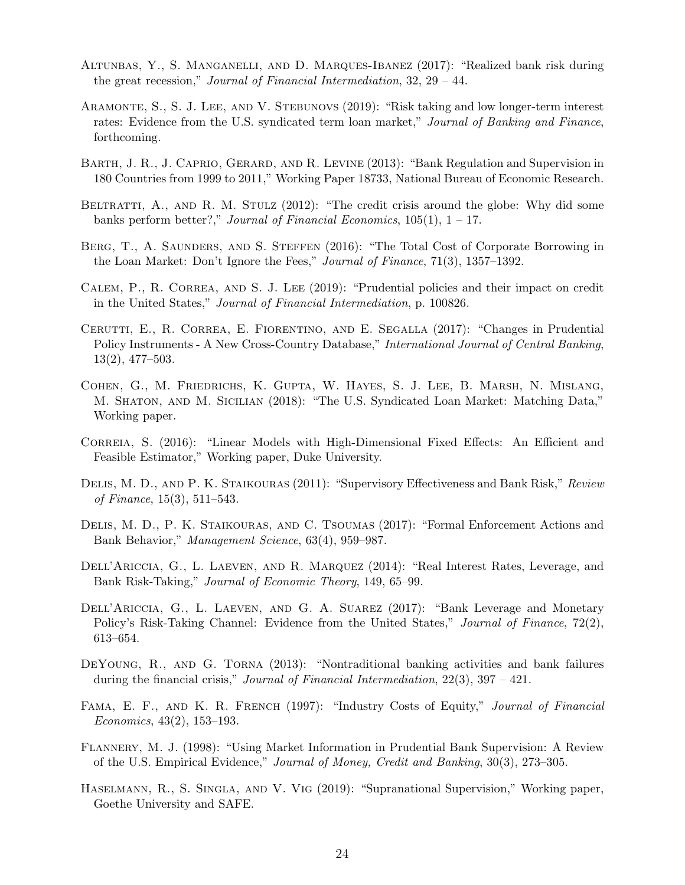- <span id="page-24-11"></span>Altunbas, Y., S. Manganelli, and D. Marques-Ibanez (2017): "Realized bank risk during the great recession," Journal of Financial Intermediation, 32, 29 – 44.
- <span id="page-24-5"></span>ARAMONTE, S., S. J. LEE, AND V. STEBUNOVS (2019): "Risk taking and low longer-term interest rates: Evidence from the U.S. syndicated term loan market," Journal of Banking and Finance, forthcoming.
- <span id="page-24-3"></span>Barth, J. R., J. Caprio, Gerard, and R. Levine (2013): "Bank Regulation and Supervision in 180 Countries from 1999 to 2011," Working Paper 18733, National Bureau of Economic Research.
- <span id="page-24-14"></span>BELTRATTI, A., AND R. M. STULZ (2012): "The credit crisis around the globe: Why did some banks perform better?," Journal of Financial Economics,  $105(1)$ ,  $1 - 17$ .
- <span id="page-24-8"></span>BERG, T., A. SAUNDERS, AND S. STEFFEN (2016): "The Total Cost of Corporate Borrowing in the Loan Market: Don't Ignore the Fees," Journal of Finance, 71(3), 1357–1392.
- <span id="page-24-2"></span>CALEM, P., R. CORREA, AND S. J. LEE (2019): "Prudential policies and their impact on credit in the United States," Journal of Financial Intermediation, p. 100826.
- <span id="page-24-4"></span>Cerutti, E., R. Correa, E. Fiorentino, and E. Segalla (2017): "Changes in Prudential Policy Instruments - A New Cross-Country Database," International Journal of Central Banking, 13(2), 477–503.
- <span id="page-24-10"></span>Cohen, G., M. Friedrichs, K. Gupta, W. Hayes, S. J. Lee, B. Marsh, N. Mislang, M. Shaton, and M. Sicilian (2018): "The U.S. Syndicated Loan Market: Matching Data," Working paper.
- <span id="page-24-12"></span>Correia, S. (2016): "Linear Models with High-Dimensional Fixed Effects: An Efficient and Feasible Estimator," Working paper, Duke University.
- <span id="page-24-1"></span>DELIS, M. D., AND P. K. STAIKOURAS (2011): "Supervisory Effectiveness and Bank Risk," Review of Finance, 15(3), 511–543.
- <span id="page-24-16"></span>DELIS, M. D., P. K. STAIKOURAS, AND C. TSOUMAS (2017): "Formal Enforcement Actions and Bank Behavior," Management Science, 63(4), 959–987.
- <span id="page-24-6"></span>DELL'ARICCIA, G., L. LAEVEN, AND R. MARQUEZ (2014): "Real Interest Rates, Leverage, and Bank Risk-Taking," Journal of Economic Theory, 149, 65–99.
- <span id="page-24-0"></span>DELL'ARICCIA, G., L. LAEVEN, AND G. A. SUAREZ (2017): "Bank Leverage and Monetary Policy's Risk-Taking Channel: Evidence from the United States," Journal of Finance, 72(2), 613–654.
- <span id="page-24-13"></span>DEYOUNG, R., AND G. TORNA (2013): "Nontraditional banking activities and bank failures during the financial crisis," Journal of Financial Intermediation,  $22(3)$ ,  $397 - 421$ .
- <span id="page-24-9"></span>FAMA, E. F., AND K. R. FRENCH (1997): "Industry Costs of Equity," Journal of Financial Economics, 43(2), 153–193.
- <span id="page-24-15"></span>Flannery, M. J. (1998): "Using Market Information in Prudential Bank Supervision: A Review of the U.S. Empirical Evidence," Journal of Money, Credit and Banking, 30(3), 273–305.
- <span id="page-24-7"></span>Haselmann, R., S. Singla, and V. Vig (2019): "Supranational Supervision," Working paper, Goethe University and SAFE.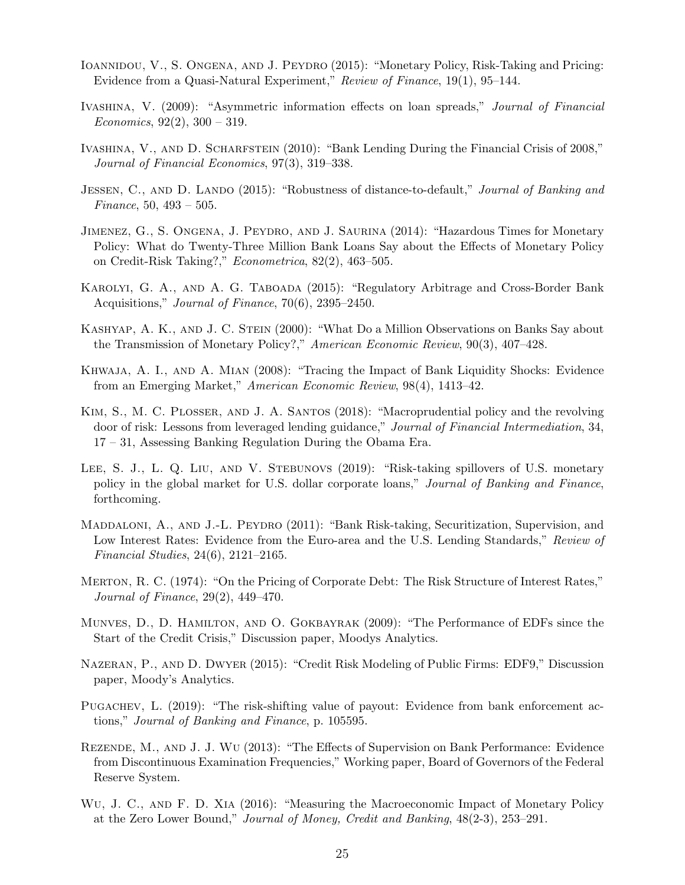- <span id="page-25-1"></span>IOANNIDOU, V., S. ONGENA, AND J. PEYDRO (2015): "Monetary Policy, Risk-Taking and Pricing: Evidence from a Quasi-Natural Experiment," Review of Finance, 19(1), 95–144.
- <span id="page-25-8"></span>Ivashina, V. (2009): "Asymmetric information effects on loan spreads," Journal of Financial Economics,  $92(2)$ ,  $300 - 319$ .
- <span id="page-25-7"></span>IVASHINA, V., AND D. SCHARFSTEIN (2010): "Bank Lending During the Financial Crisis of 2008," Journal of Financial Economics, 97(3), 319–338.
- <span id="page-25-11"></span>JESSEN, C., AND D. LANDO (2015): "Robustness of distance-to-default," Journal of Banking and Finance, 50, 493 – 505.
- <span id="page-25-0"></span>Jimenez, G., S. Ongena, J. Peydro, and J. Saurina (2014): "Hazardous Times for Monetary Policy: What do Twenty-Three Million Bank Loans Say about the Effects of Monetary Policy on Credit-Risk Taking?," Econometrica, 82(2), 463–505.
- <span id="page-25-16"></span>KAROLYI, G. A., AND A. G. TABOADA (2015): "Regulatory Arbitrage and Cross-Border Bank Acquisitions," Journal of Finance, 70(6), 2395–2450.
- <span id="page-25-4"></span>KASHYAP, A. K., AND J. C. STEIN (2000): "What Do a Million Observations on Banks Say about the Transmission of Monetary Policy?," American Economic Review, 90(3), 407–428.
- <span id="page-25-3"></span>Khwaja, A. I., and A. Mian (2008): "Tracing the Impact of Bank Liquidity Shocks: Evidence from an Emerging Market," American Economic Review, 98(4), 1413–42.
- <span id="page-25-5"></span>KIM, S., M. C. PLOSSER, AND J. A. SANTOS (2018): "Macroprudential policy and the revolving door of risk: Lessons from leveraged lending guidance," Journal of Financial Intermediation, 34, 17 – 31, Assessing Banking Regulation During the Obama Era.
- <span id="page-25-6"></span>LEE, S. J., L. Q. LIU, AND V. STEBUNOVS (2019): "Risk-taking spillovers of U.S. monetary policy in the global market for U.S. dollar corporate loans," Journal of Banking and Finance, forthcoming.
- <span id="page-25-2"></span>MADDALONI, A., AND J.-L. PEYDRO (2011): "Bank Risk-taking, Securitization, Supervision, and Low Interest Rates: Evidence from the Euro-area and the U.S. Lending Standards," Review of Financial Studies, 24(6), 2121–2165.
- <span id="page-25-9"></span>Merton, R. C. (1974): "On the Pricing of Corporate Debt: The Risk Structure of Interest Rates," Journal of Finance, 29(2), 449–470.
- <span id="page-25-12"></span>Munves, D., D. Hamilton, and O. Gokbayrak (2009): "The Performance of EDFs since the Start of the Credit Crisis," Discussion paper, Moodys Analytics.
- <span id="page-25-10"></span>Nazeran, P., and D. Dwyer (2015): "Credit Risk Modeling of Public Firms: EDF9," Discussion paper, Moody's Analytics.
- <span id="page-25-15"></span>PUGACHEV, L. (2019): "The risk-shifting value of payout: Evidence from bank enforcement actions," Journal of Banking and Finance, p. 105595.
- <span id="page-25-14"></span>Rezende, M., and J. J. Wu (2013): "The Effects of Supervision on Bank Performance: Evidence from Discontinuous Examination Frequencies," Working paper, Board of Governors of the Federal Reserve System.
- <span id="page-25-13"></span>Wu, J. C., and F. D. Xia (2016): "Measuring the Macroeconomic Impact of Monetary Policy at the Zero Lower Bound," Journal of Money, Credit and Banking, 48(2-3), 253–291.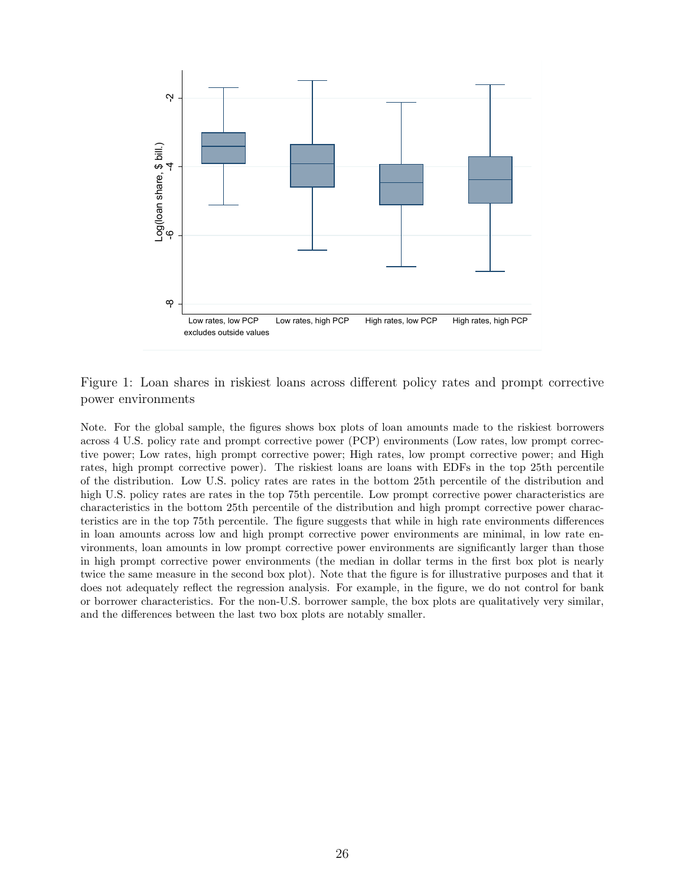<span id="page-26-0"></span>

Figure 1: Loan shares in riskiest loans across different policy rates and prompt corrective power environments

Note. For the global sample, the figures shows box plots of loan amounts made to the riskiest borrowers across 4 U.S. policy rate and prompt corrective power (PCP) environments (Low rates, low prompt corrective power; Low rates, high prompt corrective power; High rates, low prompt corrective power; and High rates, high prompt corrective power). The riskiest loans are loans with EDFs in the top 25th percentile of the distribution. Low U.S. policy rates are rates in the bottom 25th percentile of the distribution and high U.S. policy rates are rates in the top 75th percentile. Low prompt corrective power characteristics are characteristics in the bottom 25th percentile of the distribution and high prompt corrective power characteristics are in the top 75th percentile. The figure suggests that while in high rate environments differences in loan amounts across low and high prompt corrective power environments are minimal, in low rate environments, loan amounts in low prompt corrective power environments are significantly larger than those in high prompt corrective power environments (the median in dollar terms in the first box plot is nearly twice the same measure in the second box plot). Note that the figure is for illustrative purposes and that it does not adequately reflect the regression analysis. For example, in the figure, we do not control for bank or borrower characteristics. For the non-U.S. borrower sample, the box plots are qualitatively very similar, and the differences between the last two box plots are notably smaller.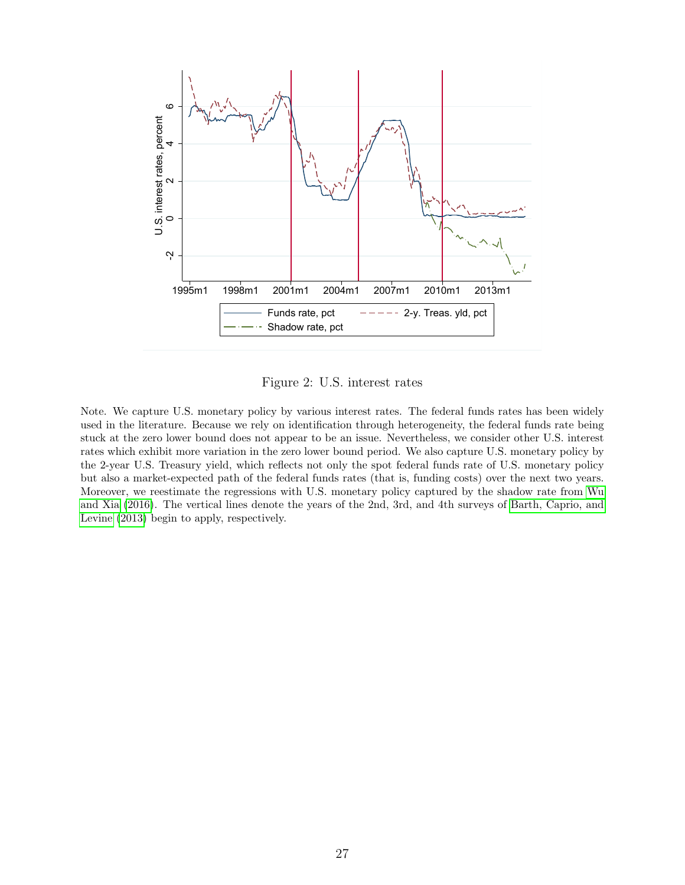<span id="page-27-0"></span>

Figure 2: U.S. interest rates

Note. We capture U.S. monetary policy by various interest rates. The federal funds rates has been widely used in the literature. Because we rely on identification through heterogeneity, the federal funds rate being stuck at the zero lower bound does not appear to be an issue. Nevertheless, we consider other U.S. interest rates which exhibit more variation in the zero lower bound period. We also capture U.S. monetary policy by the 2-year U.S. Treasury yield, which reflects not only the spot federal funds rate of U.S. monetary policy but also a market-expected path of the federal funds rates (that is, funding costs) over the next two years. Moreover, we reestimate the regressions with U.S. monetary policy captured by the shadow rate from [Wu](#page-25-13) [and Xia](#page-25-13) [\(2016\)](#page-25-13). The vertical lines denote the years of the 2nd, 3rd, and 4th surveys of [Barth, Caprio, and](#page-24-3) [Levine](#page-24-3) [\(2013\)](#page-24-3) begin to apply, respectively.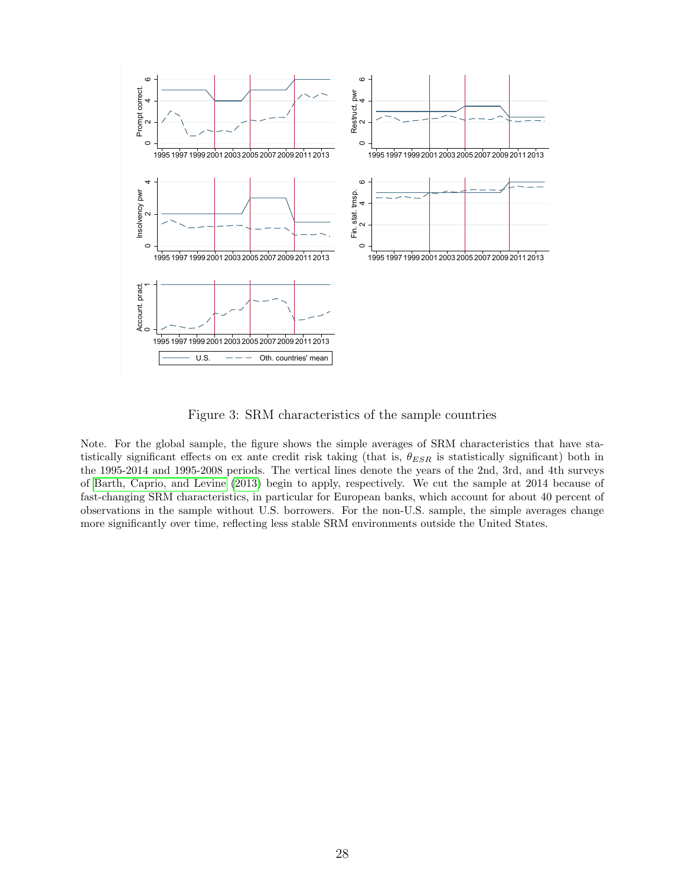<span id="page-28-0"></span>

Figure 3: SRM characteristics of the sample countries

Note. For the global sample, the figure shows the simple averages of SRM characteristics that have statistically significant effects on ex ante credit risk taking (that is,  $\theta_{ESR}$  is statistically significant) both in the 1995-2014 and 1995-2008 periods. The vertical lines denote the years of the 2nd, 3rd, and 4th surveys of [Barth, Caprio, and Levine](#page-24-3) [\(2013\)](#page-24-3) begin to apply, respectively. We cut the sample at 2014 because of fast-changing SRM characteristics, in particular for European banks, which account for about 40 percent of observations in the sample without U.S. borrowers. For the non-U.S. sample, the simple averages change more significantly over time, reflecting less stable SRM environments outside the United States.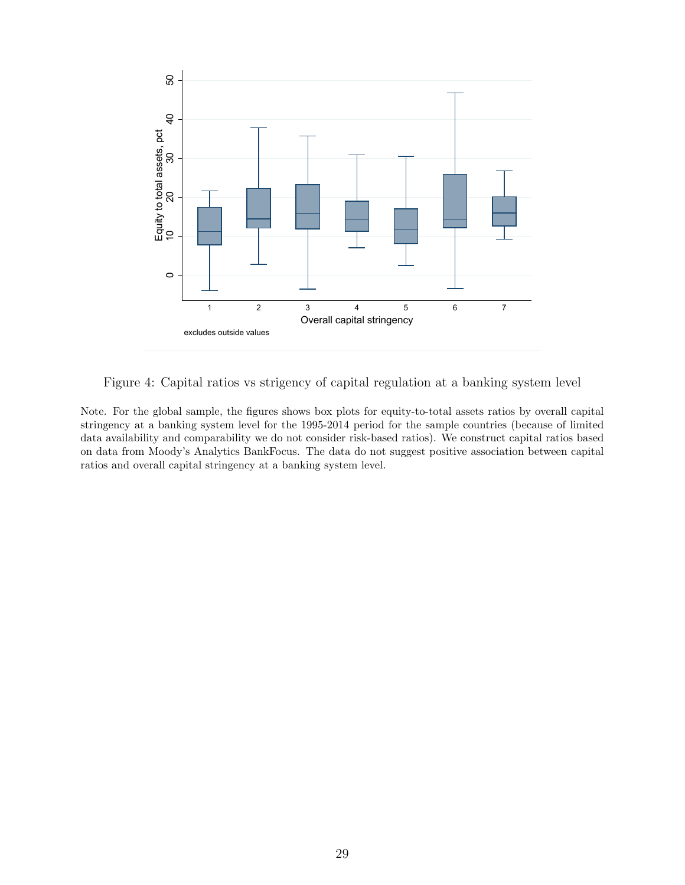<span id="page-29-0"></span>

Figure 4: Capital ratios vs strigency of capital regulation at a banking system level

Note. For the global sample, the figures shows box plots for equity-to-total assets ratios by overall capital stringency at a banking system level for the 1995-2014 period for the sample countries (because of limited data availability and comparability we do not consider risk-based ratios). We construct capital ratios based on data from Moody's Analytics BankFocus. The data do not suggest positive association between capital ratios and overall capital stringency at a banking system level.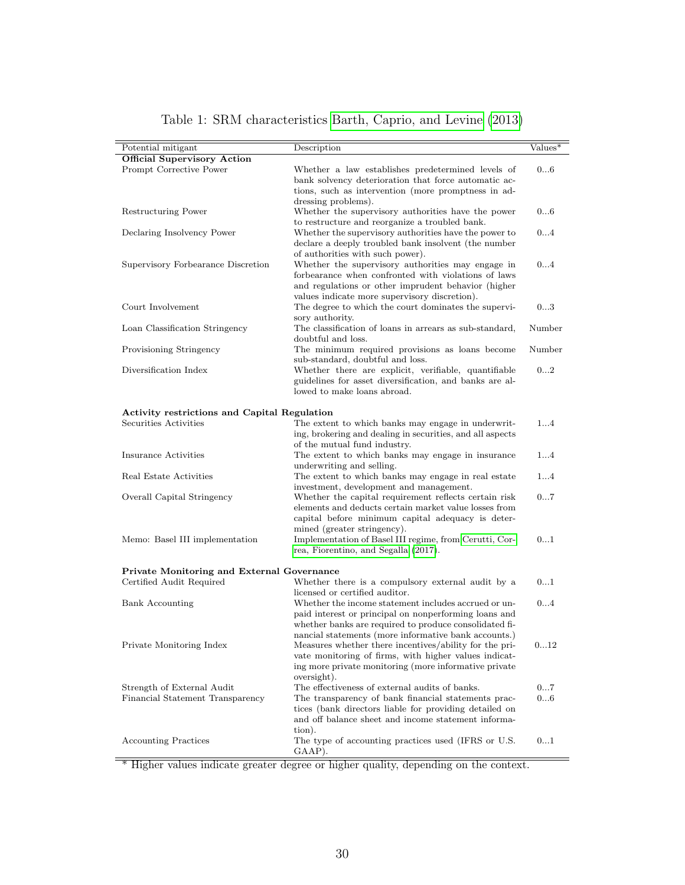<span id="page-30-0"></span>

| Potential mitigant                                                     | Description                                                                                                                                                                                                                      | $\mathrm{Values}^*$ |
|------------------------------------------------------------------------|----------------------------------------------------------------------------------------------------------------------------------------------------------------------------------------------------------------------------------|---------------------|
| <b>Official Supervisory Action</b><br>Prompt Corrective Power          | Whether a law establishes predetermined levels of<br>bank solvency deterioration that force automatic ac-                                                                                                                        | 06                  |
| Restructuring Power                                                    | tions, such as intervention (more promptness in ad-<br>dressing problems).<br>Whether the supervisory authorities have the power                                                                                                 | 06                  |
|                                                                        | to restructure and reorganize a troubled bank.                                                                                                                                                                                   |                     |
| Declaring Insolvency Power                                             | Whether the supervisory authorities have the power to<br>declare a deeply troubled bank insolvent (the number<br>of authorities with such power).                                                                                | 04                  |
| Supervisory Forbearance Discretion                                     | Whether the supervisory authorities may engage in<br>forbearance when confronted with violations of laws<br>and regulations or other imprudent behavior (higher<br>values indicate more supervisory discretion).                 | 04                  |
| Court Involvement                                                      | The degree to which the court dominates the supervi-<br>sory authority.                                                                                                                                                          | 03                  |
| Loan Classification Stringency                                         | The classification of loans in arrears as sub-standard,<br>doubtful and loss.                                                                                                                                                    | Number              |
| Provisioning Stringency                                                | The minimum required provisions as loans become<br>sub-standard, doubtful and loss.                                                                                                                                              | Number              |
| Diversification Index                                                  | Whether there are explicit, verifiable, quantifiable<br>guidelines for asset diversification, and banks are al-<br>lowed to make loans abroad.                                                                                   | 02                  |
| Activity restrictions and Capital Regulation                           |                                                                                                                                                                                                                                  |                     |
| Securities Activities                                                  | The extent to which banks may engage in underwrit-<br>ing, brokering and dealing in securities, and all aspects<br>of the mutual fund industry.                                                                                  | 14                  |
| Insurance Activities                                                   | The extent to which banks may engage in insurance<br>underwriting and selling.                                                                                                                                                   | 14                  |
| Real Estate Activities                                                 | The extent to which banks may engage in real estate<br>investment, development and management.                                                                                                                                   | 14                  |
| Overall Capital Stringency                                             | Whether the capital requirement reflects certain risk<br>elements and deducts certain market value losses from<br>capital before minimum capital adequacy is deter-                                                              | 07                  |
| Memo: Basel III implementation                                         | mined (greater stringency).<br>Implementation of Basel III regime, from Cerutti, Cor-<br>rea, Fiorentino, and Segalla (2017).                                                                                                    | 01                  |
| Private Monitoring and External Governance<br>Certified Audit Required | Whether there is a compulsory external audit by a                                                                                                                                                                                | 01                  |
|                                                                        | licensed or certified auditor.                                                                                                                                                                                                   |                     |
| <b>Bank Accounting</b>                                                 | Whether the income statement includes accrued or un-<br>paid interest or principal on nonperforming loans and<br>whether banks are required to produce consolidated fi-                                                          | 04                  |
| Private Monitoring Index                                               | nancial statements (more informative bank accounts.)<br>Measures whether there incentives/ability for the pri-<br>vate monitoring of firms, with higher values indicat-<br>ing more private monitoring (more informative private | 012                 |
|                                                                        | oversight).                                                                                                                                                                                                                      |                     |
| Strength of External Audit<br>Financial Statement Transparency         | The effectiveness of external audits of banks.<br>The transparency of bank financial statements prac-<br>tices (bank directors liable for providing detailed on<br>and off balance sheet and income statement informa-           | 07<br>06            |
| <b>Accounting Practices</b>                                            | tion).<br>The type of accounting practices used (IFRS or U.S.<br>GAAP).                                                                                                                                                          | 01                  |

#### Table 1: SRM characteristics [Barth, Caprio, and Levine](#page-24-3) [\(2013\)](#page-24-3)

\* Higher values indicate greater degree or higher quality, depending on the context.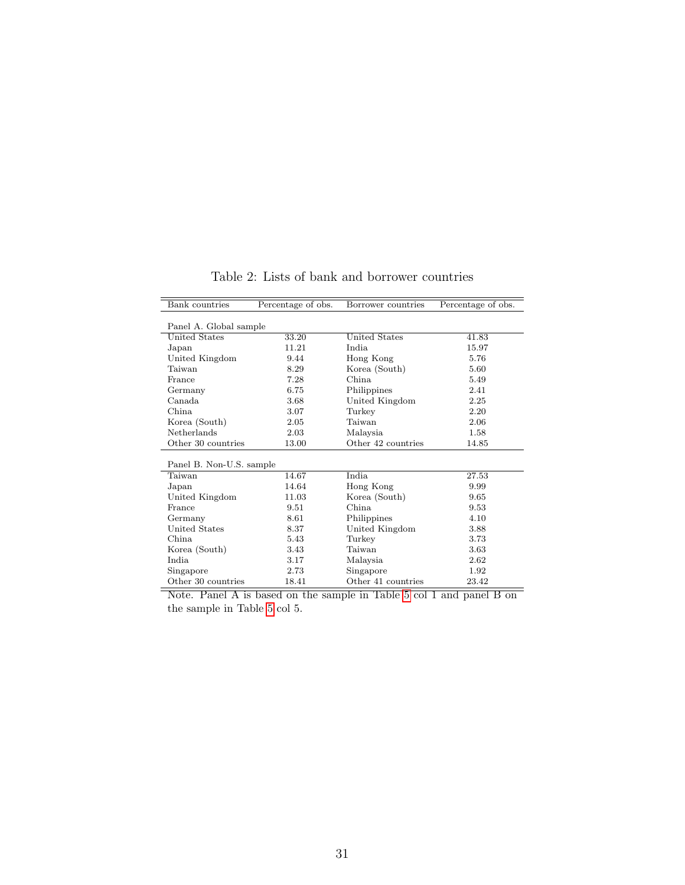<span id="page-31-0"></span>

| Bank countries           | Percentage of obs. | Borrower countries | Percentage of obs. |
|--------------------------|--------------------|--------------------|--------------------|
|                          |                    |                    |                    |
| Panel A. Global sample   |                    |                    |                    |
| <b>United States</b>     | 33.20              | United States      | 41.83              |
| Japan                    | 11.21              | India.             | 15.97              |
| United Kingdom           | 9.44               | Hong Kong          | 5.76               |
| Taiwan                   | 8.29               | Korea (South)      | 5.60               |
| France                   | 7.28               | China.             | 5.49               |
| Germany                  | 6.75               | Philippines        | 2.41               |
| Canada                   | 3.68               | United Kingdom     | 2.25               |
| China                    | 3.07               | Turkey             | 2.20               |
| Korea (South)            | 2.05               | Taiwan             | 2.06               |
| Netherlands              | 2.03               | Malaysia           | 1.58               |
| Other 30 countries       | 13.00              | Other 42 countries | 14.85              |
|                          |                    |                    |                    |
| Panel B. Non-U.S. sample |                    |                    |                    |
| Taiwan                   | 14.67              | India              | 27.53              |
| Japan                    | 14.64              | Hong Kong          | 9.99               |
| United Kingdom           | 11.03              | Korea (South)      | 9.65               |
| France                   | 9.51               | China              | 9.53               |
| Germany                  | 8.61               | Philippines        | 4.10               |
| United States            | 8.37               | United Kingdom     | 3.88               |
| China                    | 5.43               | Turkey             | 3.73               |
| Korea (South)            | 3.43               | Taiwan             | 3.63               |
| India                    | 3.17               | Malaysia           | 2.62               |
| Singapore                | 2.73               | Singapore          | 1.92               |
| Other 30 countries       | 18.41              | Other 41 countries | 23.42              |

Table 2: Lists of bank and borrower countries

Note. Panel A is based on the sample in Table [5](#page-33-1) col 1 and panel B on the sample in Table [5](#page-33-1) col 5.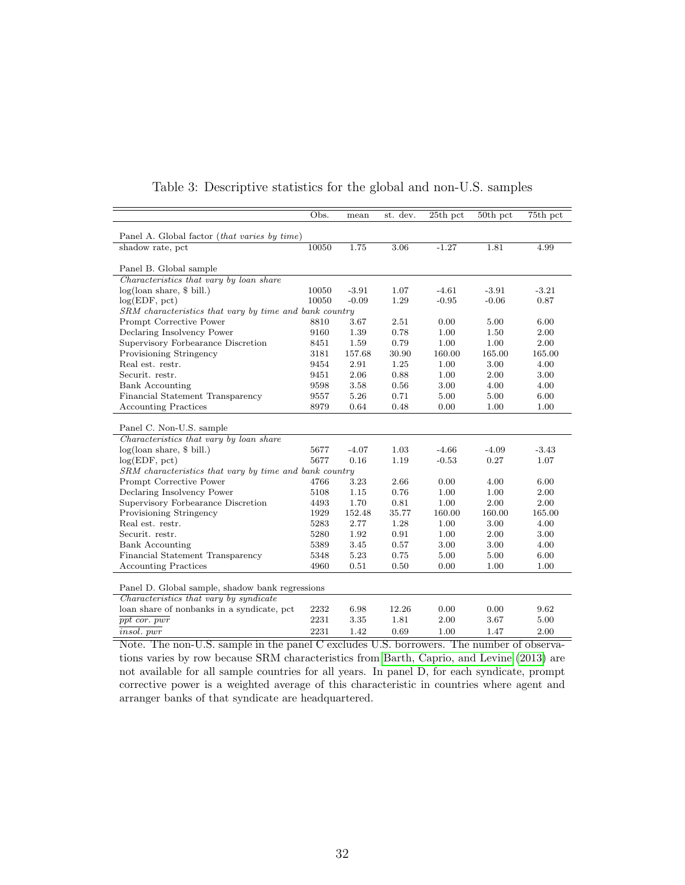<span id="page-32-0"></span>

|                                                        | Obs.  | mean    | st. dev. | $25th$ pct | $50th$ pct | 75th pct |
|--------------------------------------------------------|-------|---------|----------|------------|------------|----------|
| Panel A. Global factor ( <i>that varies by time</i> )  |       |         |          |            |            |          |
| shadow rate, pct                                       | 10050 | 1.75    | 3.06     | $-1.27$    | 1.81       | 4.99     |
|                                                        |       |         |          |            |            |          |
| Panel B. Global sample                                 |       |         |          |            |            |          |
| Characteristics that vary by loan share                |       |         |          |            |            |          |
| $log($ loan share, \$ bill.)                           | 10050 | $-3.91$ | 1.07     | $-4.61$    | $-3.91$    | $-3.21$  |
| log(EDF, pct)                                          | 10050 | $-0.09$ | 1.29     | $-0.95$    | $-0.06$    | 0.87     |
| SRM characteristics that vary by time and bank country |       |         |          |            |            |          |
| Prompt Corrective Power                                | 8810  | 3.67    | 2.51     | 0.00       | 5.00       | 6.00     |
| Declaring Insolvency Power                             | 9160  | 1.39    | 0.78     | 1.00       | 1.50       | 2.00     |
| Supervisory Forbearance Discretion                     | 8451  | 1.59    | 0.79     | 1.00       | 1.00       | 2.00     |
| Provisioning Stringency                                | 3181  | 157.68  | 30.90    | 160.00     | 165.00     | 165.00   |
| Real est. restr.                                       | 9454  | 2.91    | 1.25     | 1.00       | 3.00       | 4.00     |
| Securit. restr.                                        | 9451  | 2.06    | 0.88     | 1.00       | 2.00       | 3.00     |
| <b>Bank Accounting</b>                                 | 9598  | 3.58    | 0.56     | 3.00       | 4.00       | 4.00     |
| Financial Statement Transparency                       | 9557  | 5.26    | 0.71     | 5.00       | 5.00       | 6.00     |
| <b>Accounting Practices</b>                            | 8979  | 0.64    | 0.48     | 0.00       | 1.00       | 1.00     |
|                                                        |       |         |          |            |            |          |
| Panel C. Non-U.S. sample                               |       |         |          |            |            |          |
| Characteristics that vary by loan share                |       |         |          |            |            |          |
| $log($ loan share, \$ bill.)                           | 5677  | $-4.07$ | 1.03     | $-4.66$    | $-4.09$    | $-3.43$  |
| log(EDF, pct)                                          | 5677  | 0.16    | 1.19     | $-0.53$    | 0.27       | 1.07     |
| SRM characteristics that vary by time and bank country |       |         |          |            |            |          |
| Prompt Corrective Power                                | 4766  | 3.23    | 2.66     | 0.00       | 4.00       | 6.00     |
| Declaring Insolvency Power                             | 5108  | 1.15    | 0.76     | 1.00       | 1.00       | 2.00     |
| Supervisory Forbearance Discretion                     | 4493  | 1.70    | 0.81     | 1.00       | 2.00       | 2.00     |
| Provisioning Stringency                                | 1929  | 152.48  | 35.77    | 160.00     | 160.00     | 165.00   |
| Real est. restr.                                       | 5283  | 2.77    | 1.28     | 1.00       | 3.00       | 4.00     |
| Securit. restr.                                        | 5280  | 1.92    | 0.91     | 1.00       | 2.00       | 3.00     |
| <b>Bank Accounting</b>                                 | 5389  | 3.45    | 0.57     | 3.00       | 3.00       | 4.00     |
| Financial Statement Transparency                       | 5348  | 5.23    | 0.75     | 5.00       | 5.00       | 6.00     |
| <b>Accounting Practices</b>                            | 4960  | 0.51    | 0.50     | 0.00       | 1.00       | 1.00     |
|                                                        |       |         |          |            |            |          |
| Panel D. Global sample, shadow bank regressions        |       |         |          |            |            |          |
| Characteristics that vary by syndicate                 |       |         |          |            |            |          |
| loan share of nonbanks in a syndicate, pct             | 2232  | 6.98    | 12.26    | 0.00       | 0.00       | 9.62     |
| $ppt$ cor. $pwr$                                       | 2231  | 3.35    | 1.81     | 2.00       | 3.67       | 5.00     |
| <i>insol.</i> pwr                                      | 2231  | 1.42    | 0.69     | 1.00       | 1.47       | 2.00     |

| Table 3: Descriptive statistics for the global and non-U.S. samples |  |  |  |  |
|---------------------------------------------------------------------|--|--|--|--|
|                                                                     |  |  |  |  |

Note. The non-U.S. sample in the panel C excludes U.S. borrowers. The number of observations varies by row because SRM characteristics from [Barth, Caprio, and Levine](#page-24-3) [\(2013\)](#page-24-3) are not available for all sample countries for all years. In panel D, for each syndicate, prompt corrective power is a weighted average of this characteristic in countries where agent and arranger banks of that syndicate are headquartered.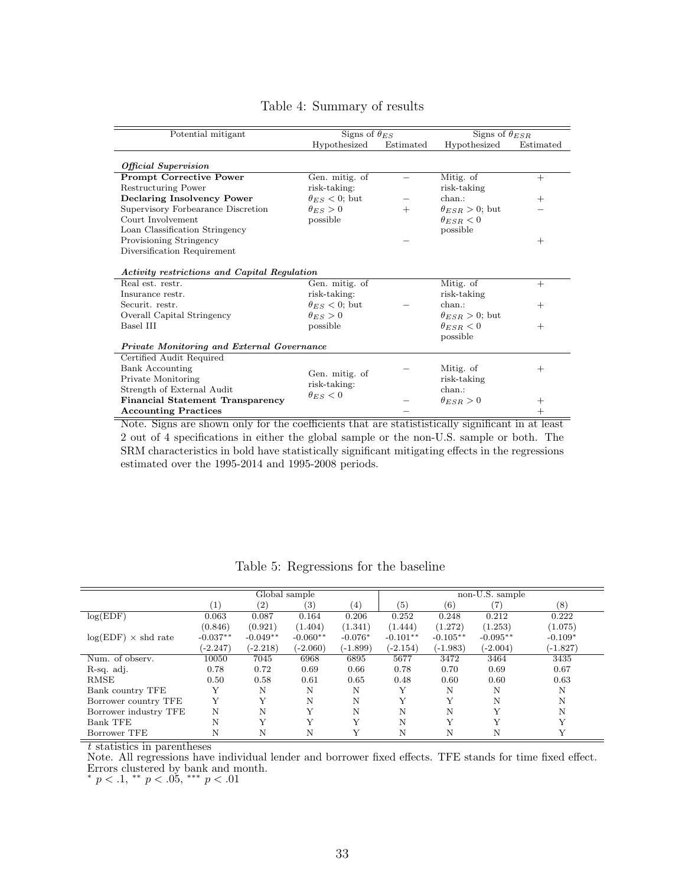<span id="page-33-0"></span>

| Potential mitigant                           | Signs of $\theta_{ES}$ |           | Signs of $\theta_{ESR}$  |           |
|----------------------------------------------|------------------------|-----------|--------------------------|-----------|
|                                              | Hypothesized           | Estimated | Hypothesized             | Estimated |
| <b>Official Supervision</b>                  |                        |           |                          |           |
| <b>Prompt Corrective Power</b>               | Gen. mitig. of         |           | Mitig. of                | $+$       |
| Restructuring Power                          | risk-taking:           |           | risk-taking              |           |
| <b>Declaring Insolvency Power</b>            | $\theta_{ES}$ < 0; but |           | chan.                    | $^{+}$    |
| Supervisory Forbearance Discretion           | $\theta_{ES} > 0$      | $^{+}$    | $\theta_{ESR} > 0$ ; but |           |
| Court Involvement                            | possible               |           | $\theta_{ESR} < 0$       |           |
| Loan Classification Stringency               |                        |           | possible                 |           |
| Provisioning Stringency                      |                        |           |                          | $^{+}$    |
| Diversification Requirement                  |                        |           |                          |           |
| Activity restrictions and Capital Regulation |                        |           |                          |           |
| Real est. restr.                             | Gen. mitig. of         |           | Mitig. of                | $^{+}$    |
| Insurance restr.                             | risk-taking:           |           | risk-taking              |           |
| Securit. restr.                              | $\theta_{ES}$ < 0; but |           | chan.                    | $^{+}$    |
| Overall Capital Stringency                   | $\theta_{ES} > 0$      |           | $\theta_{ESR} > 0$ ; but |           |
| Basel III                                    | possible               |           | $\theta_{ESR} < 0$       | $^{+}$    |
|                                              |                        |           | possible                 |           |
| Private Monitoring and External Governance   |                        |           |                          |           |
| Certified Audit Required                     |                        |           |                          |           |
| <b>Bank Accounting</b>                       | Gen. mitig. of         |           | Mitig. of                | $^{+}$    |
| Private Monitoring                           | risk-taking:           |           | risk-taking              |           |
| Strength of External Audit                   | $\theta_{ES}<0$        |           | chan.                    |           |
| <b>Financial Statement Transparency</b>      |                        |           | $\theta_{ESR} > 0$       | $^+$      |
| <b>Accounting Practices</b>                  |                        |           |                          | $^{+}$    |

#### Table 4: Summary of results

Note. Signs are shown only for the coefficients that are statististically significant in at least 2 out of 4 specifications in either the global sample or the non-U.S. sample or both. The SRM characteristics in bold have statistically significant mitigating effects in the regressions estimated over the 1995-2014 and 1995-2008 periods.

<span id="page-33-1"></span>

|                            | Global sample     |            |              |            |            | non-U.S. sample |              |           |  |
|----------------------------|-------------------|------------|--------------|------------|------------|-----------------|--------------|-----------|--|
|                            | $\left( 1\right)$ | (2)        | (3)          | (4)        | (5)        | (6)             | 7)           | (8)       |  |
| log(EDF)                   | 0.063             | 0.087      | 0.164        | 0.206      | 0.252      | 0.248           | 0.212        | 0.222     |  |
|                            | (0.846)           | (0.921)    | (1.404)      | (1.341)    | (1.444)    | (1.272)         | (1.253)      | (1.075)   |  |
| $log(EDF) \times shd$ rate | $-0.037**$        | $-0.049**$ | $-0.060**$   | $-0.076*$  | $-0.101**$ | $-0.105**$      | $-0.095**$   | $-0.109*$ |  |
|                            | $(-2.247)$        | (-2.218)   | $(-2.060)$   | $(-1.899)$ | (-2.154)   | (-1.983)        | $(-2.004)$   | (-1.827)  |  |
| Num. of observ.            | 10050             | 7045       | 6968         | 6895       | 5677       | 3472            | 3464         | 3435      |  |
| R-sq. adj.                 | 0.78              | 0.72       | 0.69         | 0.66       | 0.78       | 0.70            | 0.69         | 0.67      |  |
| <b>RMSE</b>                | 0.50              | 0.58       | 0.61         | 0.65       | 0.48       | 0.60            | 0.60         | 0.63      |  |
| Bank country TFE           | Y                 | Ν          | N            | N          | Υ          | N               | N            | N         |  |
| Borrower country TFE       | Y                 | Y          | N            | N          | Y          | Y               | N            | N         |  |
| Borrower industry TFE      | N                 | N          | Y            | N          | N          | N               | Y            | N         |  |
| <b>Bank TFE</b>            | N                 | Y          | $\mathbf{v}$ | Y          | N          | $\mathbf{v}$    | $\mathbf{v}$ | v         |  |
| Borrower TFE               | N                 | N          | N            | Y          | N          | N               | N            |           |  |

Table 5: Regressions for the baseline

t statistics in parentheses

Note. All regressions have individual lender and borrower fixed effects. TFE stands for time fixed effect. Errors clustered by bank and month.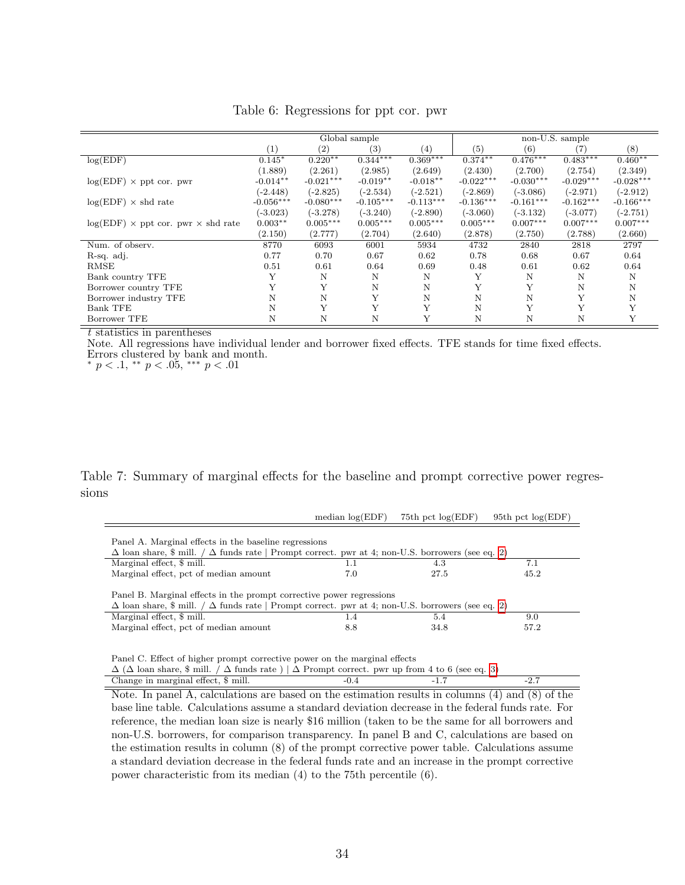<span id="page-34-1"></span>

|                                                  |             | Global sample     |                   |             |             | non-U.S. sample |             |             |  |
|--------------------------------------------------|-------------|-------------------|-------------------|-------------|-------------|-----------------|-------------|-------------|--|
|                                                  | (1)         | $\left( 2\right)$ | $\left( 3\right)$ | (4)         | (5)         | (6)             |             | (8)         |  |
| log(EDF)                                         | $0.145*$    | $0.220**$         | $0.344***$        | $0.369***$  | $0.374***$  | $0.476***$      | $0.483***$  | $0.460**$   |  |
|                                                  | (1.889)     | (2.261)           | (2.985)           | (2.649)     | (2.430)     | (2.700)         | (2.754)     | (2.349)     |  |
| $log(EDF) \times$ ppt cor. pwr                   | $-0.014**$  | $-0.021***$       | $-0.019**$        | $-0.018**$  | $-0.022***$ | $-0.030***$     | $-0.029***$ | $-0.028***$ |  |
|                                                  | $(-2.448)$  | $(-2.825)$        | $(-2.534)$        | $(-2.521)$  | $(-2.869)$  | $(-3.086)$      | $(-2.971)$  | $(-2.912)$  |  |
| $log(EDF) \times shd$ rate                       | $-0.056***$ | $-0.080***$       | $-0.105***$       | $-0.113***$ | $-0.136***$ | $-0.161***$     | $-0.162***$ | $-0.166***$ |  |
|                                                  | $(-3.023)$  | $(-3.278)$        | $(-3.240)$        | $(-2.890)$  | $(-3.060)$  | $(-3.132)$      | $(-3.077)$  | $(-2.751)$  |  |
| $log(EDF) \times$ ppt cor. pwr $\times$ shd rate | $0.003**$   | $0.005***$        | $0.005***$        | $0.005***$  | $0.005***$  | $0.007***$      | $0.007***$  | $0.007***$  |  |
|                                                  | (2.150)     | (2.777)           | (2.704)           | (2.640)     | (2.878)     | (2.750)         | (2.788)     | (2.660)     |  |
| Num. of observ.                                  | 8770        | 6093              | 6001              | 5934        | 4732        | 2840            | 2818        | 2797        |  |
| R-sq. adj.                                       | 0.77        | 0.70              | 0.67              | 0.62        | 0.78        | 0.68            | 0.67        | 0.64        |  |
| RMSE                                             | 0.51        | 0.61              | 0.64              | 0.69        | 0.48        | 0.61            | 0.62        | 0.64        |  |
| Bank country TFE                                 |             | N                 | N                 | N           | Y           | N               | N           | Ν           |  |
| Borrower country TFE                             |             | Y                 | N                 | N           | Y           | Y               | N           | N           |  |
| Borrower industry TFE                            | N           | Ν                 | Y                 | N           | N           | N               | Y           | N           |  |
| <b>Bank TFE</b>                                  | N           | Y                 | Y                 | Y           | N           | Υ               | Y           |             |  |
| Borrower TFE                                     | Ν           | Ν                 | N                 |             | Ν           | N               | Ν           | Y           |  |

Table 6: Regressions for ppt cor. pwr

Note. All regressions have individual lender and borrower fixed effects. TFE stands for time fixed effects. Errors clustered by bank and month.

\*  $p < .1,$  \*\*  $p < .05,$  \*\*\*  $p < .01$ 

Table 7: Summary of marginal effects for the baseline and prompt corrective power regressions

<span id="page-34-0"></span>

|                                                                                                                                                                                       | median $log(EDF)$ | 75th pct $log(EDF)$ | 95th pct $log(EDF)$ |  |  |  |  |  |
|---------------------------------------------------------------------------------------------------------------------------------------------------------------------------------------|-------------------|---------------------|---------------------|--|--|--|--|--|
| Panel A. Marginal effects in the baseline regressions<br>$\Delta$ loan share, \$ mill. $/\Delta$ funds rate   Prompt correct. pwr at 4; non-U.S. borrowers (see eq. 2)                |                   |                     |                     |  |  |  |  |  |
| Marginal effect, \$ mill.                                                                                                                                                             | 1.1               | 4.3                 | 7.1                 |  |  |  |  |  |
| Marginal effect, pct of median amount                                                                                                                                                 | 7.0               | 27.5                | 45.2                |  |  |  |  |  |
| Panel B. Marginal effects in the prompt corrective power regressions<br>$\Delta$ loan share, \$ mill. $/\Delta$ funds rate   Prompt correct. pwr at 4; non-U.S. borrowers (see eq. 2) |                   |                     |                     |  |  |  |  |  |
| Marginal effect, \$ mill.                                                                                                                                                             | 1.4               | 5.4                 | 9.0                 |  |  |  |  |  |
| Marginal effect, pct of median amount                                                                                                                                                 | 8.8               | 34.8                | 57.2                |  |  |  |  |  |

Panel C. Effect of higher prompt corrective power on the marginal effects

| $\Delta$ ( $\Delta$ loan share, $\frac{1}{2}$ mill. / $\Delta$ funds rate ) $\Delta$ Prompt correct. pwr up from 4 to 6 (see eq. 3) |  |  |
|-------------------------------------------------------------------------------------------------------------------------------------|--|--|
| Change in marginal effect, \$ mill.                                                                                                 |  |  |

Note. In panel A, calculations are based on the estimation results in columns (4) and (8) of the base line table. Calculations assume a standard deviation decrease in the federal funds rate. For reference, the median loan size is nearly \$16 million (taken to be the same for all borrowers and non-U.S. borrowers, for comparison transparency. In panel B and C, calculations are based on the estimation results in column (8) of the prompt corrective power table. Calculations assume a standard deviation decrease in the federal funds rate and an increase in the prompt corrective power characteristic from its median (4) to the 75th percentile (6).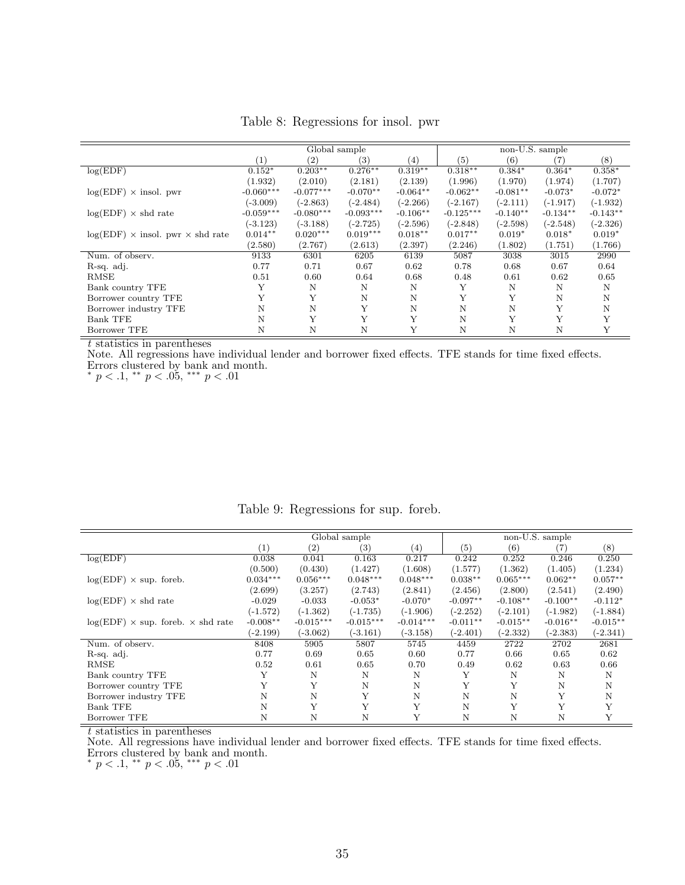<span id="page-35-0"></span>

|                                    |             | Global sample     |             |            |             | non-U.S. sample |            |            |  |
|------------------------------------|-------------|-------------------|-------------|------------|-------------|-----------------|------------|------------|--|
|                                    | (1)         | $\left( 2\right)$ | (3)         | (4)        | (5)         | (6)             | 7)         | (8)        |  |
| log(EDF)                           | $0.152*$    | $0.203***$        | $0.276***$  | $0.319**$  | $0.318***$  | $0.384*$        | $0.364*$   | $0.358*$   |  |
|                                    | (1.932)     | (2.010)           | (2.181)     | (2.139)    | (1.996)     | (1.970)         | (1.974)    | (1.707)    |  |
| $log(EDF) \times insol.$ pwr       | $-0.060***$ | $-0.077***$       | $-0.070**$  | $-0.064**$ | $-0.062**$  | $-0.081**$      | $-0.073*$  | $-0.072*$  |  |
|                                    | $(-3.009)$  | $(-2.863)$        | $(-2.484)$  | $(-2.266)$ | $(-2.167)$  | $(-2.111)$      | $(-1.917)$ | $(-1.932)$ |  |
| $log(EDF) \times shd$ rate         | $-0.059***$ | $-0.080***$       | $-0.093***$ | $-0.106**$ | $-0.125***$ | $-0.140**$      | $-0.134**$ | $-0.143**$ |  |
|                                    | $(-3.123)$  | $(-3.188)$        | $(-2.725)$  | $(-2.596)$ | $(-2.848)$  | $(-2.598)$      | $(-2.548)$ | $(-2.326)$ |  |
| $log(EDF)$ × insol. pwr × shd rate | $0.014**$   | $0.020***$        | $0.019***$  | $0.018**$  | $0.017**$   | $0.019*$        | $0.018*$   | $0.019*$   |  |
|                                    | (2.580)     | (2.767)           | (2.613)     | (2.397)    | (2.246)     | (1.802)         | (1.751)    | (1.766)    |  |
| Num. of observ.                    | 9133        | 6301              | 6205        | 6139       | 5087        | 3038            | 3015       | 2990       |  |
| R-sq. adj.                         | 0.77        | 0.71              | 0.67        | 0.62       | 0.78        | 0.68            | 0.67       | 0.64       |  |
| <b>RMSE</b>                        | 0.51        | 0.60              | 0.64        | 0.68       | 0.48        | 0.61            | 0.62       | 0.65       |  |
| Bank country TFE                   | Y           | N                 | N           | N          | Y           | N               | N          | N          |  |
| Borrower country TFE               | Y           | Y                 | N           | N          | Y           | Y               | N          | N          |  |
| Borrower industry TFE              | Ν           | N                 | Y           | N          | N           | N               | Y          | Ν          |  |
| <b>Bank TFE</b>                    | N           | Y                 | Y           | Y          | N           | Y               | Y          | Y          |  |
| Borrower TFE                       | Ν           | N                 | N           | Y          | N           | N               | N          | Y          |  |

Table 8: Regressions for insol. pwr

Note. All regressions have individual lender and borrower fixed effects. TFE stands for time fixed effects. Errors clustered by bank and month.

\*  $p < .1,$  \*\*  $p < .05,$  \*\*\*  $p < .01$ 

<span id="page-35-1"></span>

|                                                 |            | Global sample     |             |             |            | non-U.S. sample |            |            |  |
|-------------------------------------------------|------------|-------------------|-------------|-------------|------------|-----------------|------------|------------|--|
|                                                 | (1)        | $\left( 2\right)$ | (3)         | (4)         | (5)        | (6)             | 7)         | (8)        |  |
| log(EDF)                                        | 0.038      | 0.041             | 0.163       | 0.217       | 0.242      | 0.252           | 0.246      | 0.250      |  |
|                                                 | (0.500)    | (0.430)           | (1.427)     | (1.608)     | (1.577)    | (1.362)         | (1.405)    | (1.234)    |  |
| $log(EDF) \times sup.$ foreb.                   | $0.034***$ | $0.056***$        | $0.048***$  | $0.048***$  | $0.038**$  | $0.065***$      | $0.062**$  | $0.057**$  |  |
|                                                 | (2.699)    | (3.257)           | (2.743)     | (2.841)     | (2.456)    | (2.800)         | (2.541)    | (2.490)    |  |
| $log(EDF) \times shd$ rate                      | $-0.029$   | $-0.033$          | $-0.053*$   | $-0.070*$   | $-0.097**$ | $-0.108**$      | $-0.100**$ | $-0.112*$  |  |
|                                                 | $(-1.572)$ | $(-1.362)$        | $(-1.735)$  | $(-1.906)$  | $(-2.252)$ | $(-2.101)$      | $(-1.982)$ | $(-1.884)$ |  |
| $log(EDF) \times sup.$ foreb. $\times$ shd rate | $-0.008**$ | $-0.015***$       | $-0.015***$ | $-0.014***$ | $-0.011**$ | $-0.015**$      | $-0.016**$ | $-0.015**$ |  |
|                                                 | $(-2.199)$ | $(-3.062)$        | $(-3.161)$  | $(-3.158)$  | $(-2.401)$ | $(-2.332)$      | $(-2.383)$ | $(-2.341)$ |  |
| Num. of observ.                                 | 8408       | 5905              | 5807        | 5745        | 4459       | 2722            | 2702       | 2681       |  |
| R-sq. adj.                                      | 0.77       | 0.69              | 0.65        | 0.60        | 0.77       | 0.66            | 0.65       | 0.62       |  |
| <b>RMSE</b>                                     | 0.52       | 0.61              | 0.65        | 0.70        | 0.49       | 0.62            | 0.63       | 0.66       |  |
| Bank country TFE                                |            | N                 | N           | N           | Υ          | N               | Ν          | N          |  |
| Borrower country TFE                            |            | Y                 | N           | Ν           | Υ          | Y               | Ν          | Ν          |  |
| Borrower industry TFE                           | N          | N                 | Y           | N           | N          | N               | Y          | N          |  |
| <b>Bank TFE</b>                                 | N          | Y                 | Y           | Y           | N          | Y               |            | Y          |  |
| Borrower TFE                                    | N          | N                 | N           | V           | N          | N               | Ν          | Y          |  |

Table 9: Regressions for sup. foreb.

t statistics in parentheses

Note. All regressions have individual lender and borrower fixed effects. TFE stands for time fixed effects. Errors clustered by bank and month.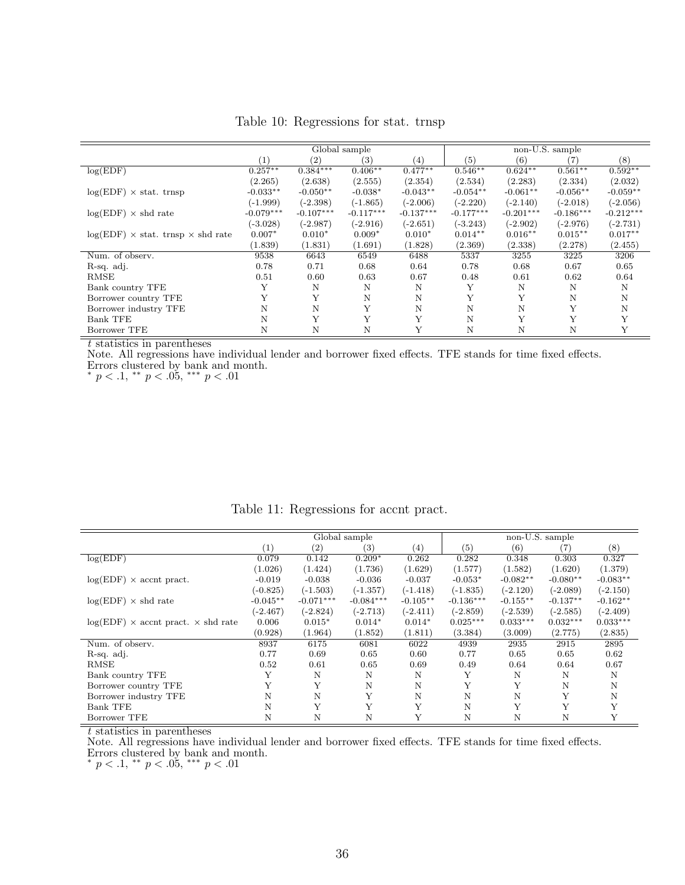<span id="page-36-0"></span>

|                                                 |                   |             | Global sample     |                   | non-U.S. sample |             |             |             |
|-------------------------------------------------|-------------------|-------------|-------------------|-------------------|-----------------|-------------|-------------|-------------|
|                                                 | $\left( 1\right)$ | (2)         | $\left( 3\right)$ | $\left( 4\right)$ | (5)             | (6)         | (7)         | (8)         |
| log(EDF)                                        | $0.257***$        | $0.384***$  | $0.406**$         | $0.477**$         | $0.546**$       | $0.624**$   | $0.561**$   | $0.592**$   |
|                                                 | (2.265)           | (2.638)     | (2.555)           | (2.354)           | (2.534)         | (2.283)     | (2.334)     | (2.032)     |
| $log(EDF) \times$ stat. trnsp                   | $-0.033**$        | $-0.050**$  | $-0.038*$         | $-0.043**$        | $-0.054**$      | $-0.061**$  | $-0.056**$  | $-0.059**$  |
|                                                 | $(-1.999)$        | $(-2.398)$  | $(-1.865)$        | $(-2.006)$        | $(-2.220)$      | $(-2.140)$  | $(-2.018)$  | $(-2.056)$  |
| $log(EDF) \times shd$ rate                      | $-0.079***$       | $-0.107***$ | $-0.117***$       | $-0.137***$       | $-0.177***$     | $-0.201***$ | $-0.186***$ | $-0.212***$ |
|                                                 | $(-3.028)$        | $(-2.987)$  | $(-2.916)$        | $(-2.651)$        | $(-3.243)$      | $(-2.902)$  | $(-2.976)$  | $(-2.731)$  |
| $log(EDF) \times$ stat. trnsp $\times$ shd rate | $0.007*$          | $0.010*$    | $0.009*$          | $0.010*$          | $0.014**$       | $0.016**$   | $0.015**$   | $0.017**$   |
|                                                 | (1.839)           | (1.831)     | (1.691)           | (1.828)           | (2.369)         | (2.338)     | (2.278)     | (2.455)     |
| Num. of observ.                                 | 9538              | 6643        | 6549              | 6488              | 5337            | 3255        | 3225        | 3206        |
| R-sq. adj.                                      | 0.78              | 0.71        | 0.68              | 0.64              | 0.78            | 0.68        | 0.67        | 0.65        |
| RMSE                                            | 0.51              | 0.60        | 0.63              | 0.67              | 0.48            | 0.61        | 0.62        | 0.64        |
| Bank country TFE                                | Y                 | N           | N                 | N                 |                 | N           | Ν           | Ν           |
| Borrower country TFE                            |                   |             | N                 | N                 |                 | Y           | N           | Ν           |
| Borrower industry TFE                           | N                 | N           | Y                 | N                 | N               | N           | Y           | Ν           |
| <b>Bank TFE</b>                                 | N                 | Y           | Y                 | Y                 | N               | Y           | Y           |             |
| Borrower TFE                                    | N                 | Ν           | Ν                 |                   | Ν               | Ν           | Ν           | Y           |

Table 10: Regressions for stat. trnsp

Note. All regressions have individual lender and borrower fixed effects. TFE stands for time fixed effects. Errors clustered by bank and month.

\*  $p < .1,$  \*\*  $p < .05,$  \*\*\*  $p < .01$ 

<span id="page-36-1"></span>

|                                             |                  |                   | Global sample |            | non-U.S. sample  |            |            |            |  |
|---------------------------------------------|------------------|-------------------|---------------|------------|------------------|------------|------------|------------|--|
|                                             | $\left(1\right)$ | $\left( 2\right)$ | (3)           | (4)        | $\left(5\right)$ | (6)        | (7)        | (8)        |  |
| log(EDF)                                    | 0.079            | 0.142             | $0.209*$      | 0.262      | 0.282            | 0.348      | 0.303      | 0.327      |  |
|                                             | (1.026)          | (1.424)           | (1.736)       | (1.629)    | (1.577)          | (1.582)    | (1.620)    | (1.379)    |  |
| $log(EDF) \times$ accnt pract.              | $-0.019$         | $-0.038$          | $-0.036$      | $-0.037$   | $-0.053*$        | $-0.082**$ | $-0.080**$ | $-0.083**$ |  |
|                                             | $(-0.825)$       | $(-1.503)$        | $(-1.357)$    | $(-1.418)$ | $(-1.835)$       | $(-2.120)$ | $(-2.089)$ | $(-2.150)$ |  |
| $log(EDF) \times shd$ rate                  | $-0.045**$       | $-0.071***$       | $-0.084***$   | $-0.105**$ | $-0.136***$      | $-0.155**$ | $-0.137**$ | $-0.162**$ |  |
|                                             | $(-2.467)$       | $(-2.824)$        | $(-2.713)$    | $(-2.411)$ | $(-2.859)$       | $(-2.539)$ | $(-2.585)$ | $(-2.409)$ |  |
| $log(EDF)$ × accnt pract. $\times$ shd rate | 0.006            | $0.015*$          | $0.014*$      | $0.014*$   | $0.025***$       | $0.033***$ | $0.032***$ | $0.033***$ |  |
|                                             | (0.928)          | (1.964)           | (1.852)       | (1.811)    | (3.384)          | (3.009)    | (2.775)    | (2.835)    |  |
| Num. of observ.                             | 8937             | 6175              | 6081          | 6022       | 4939             | 2935       | 2915       | 2895       |  |
| R-sq. adj.                                  | 0.77             | 0.69              | 0.65          | 0.60       | 0.77             | 0.65       | 0.65       | 0.62       |  |
| <b>RMSE</b>                                 | 0.52             | 0.61              | 0.65          | 0.69       | 0.49             | 0.64       | 0.64       | 0.67       |  |
| Bank country TFE                            | Y                | N                 | Ν             | Ν          | Y                | Ν          | Ν          | N          |  |
| Borrower country TFE                        |                  | Y                 | N             | N          | Y                | Y          | N          | Ν          |  |
| Borrower industry TFE                       | N                | N                 | Y             | N          | N                | N          | Y          | N          |  |
| <b>Bank TFE</b>                             | N                | Y                 | Y             | Y          | N                | Y          |            | Y          |  |
| Borrower TFE                                | N                | N                 | N             | Y          | N                | N          |            | Y          |  |

Table 11: Regressions for accnt pract.

t statistics in parentheses

Note. All regressions have individual lender and borrower fixed effects. TFE stands for time fixed effects. Errors clustered by bank and month.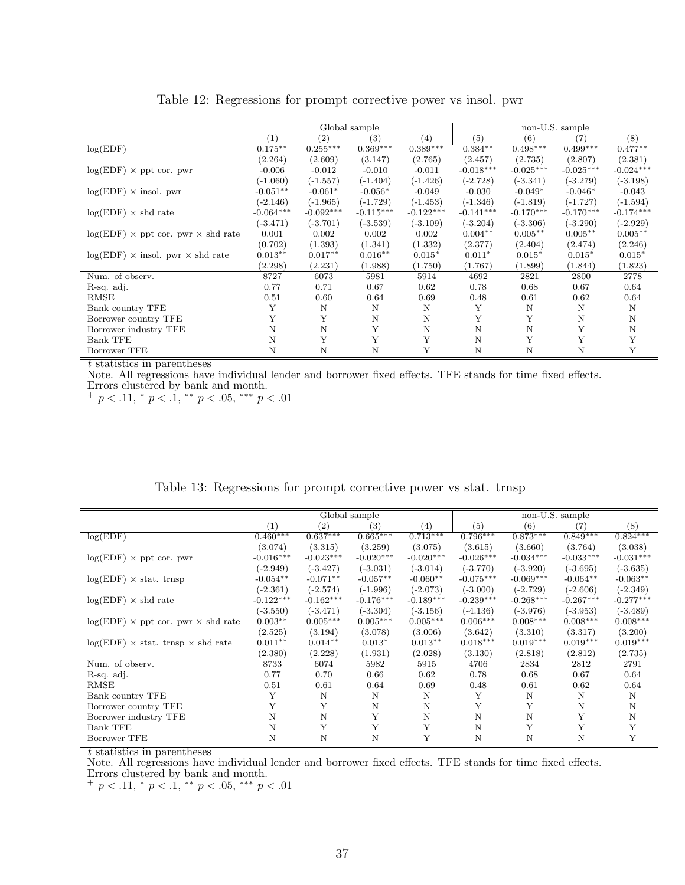<span id="page-37-0"></span>

|                                                  |             |             | Global sample |             | non-U.S. sample |             |             |             |  |
|--------------------------------------------------|-------------|-------------|---------------|-------------|-----------------|-------------|-------------|-------------|--|
|                                                  | (1)         | (2)         | (3)           | (4)         | (5)             | (6)         | (7)         | (8)         |  |
| log(EDF)                                         | $0.175***$  | $0.255***$  | $0.369***$    | $0.389***$  | $0.384**$       | $0.498***$  | $0.499***$  | $0.477**$   |  |
|                                                  | (2.264)     | (2.609)     | (3.147)       | (2.765)     | (2.457)         | (2.735)     | (2.807)     | (2.381)     |  |
| $log(EDF) \times$ ppt cor. pwr                   | $-0.006$    | $-0.012$    | $-0.010$      | $-0.011$    | $-0.018***$     | $-0.025***$ | $-0.025***$ | $-0.024***$ |  |
|                                                  | $(-1.060)$  | $(-1.557)$  | $(-1.404)$    | $(-1.426)$  | $(-2.728)$      | $(-3.341)$  | $(-3.279)$  | $(-3.198)$  |  |
| $log(EDF) \times insol.$ pwr                     | $-0.051**$  | $-0.061*$   | $-0.056*$     | $-0.049$    | $-0.030$        | $-0.049*$   | $-0.046*$   | $-0.043$    |  |
|                                                  | $(-2.146)$  | $(-1.965)$  | $(-1.729)$    | $(-1.453)$  | $(-1.346)$      | $(-1.819)$  | $(-1.727)$  | $(-1.594)$  |  |
| $log(EDF) \times shd$ rate                       | $-0.064***$ | $-0.092***$ | $-0.115***$   | $-0.122***$ | $-0.141***$     | $-0.170***$ | $-0.170***$ | $-0.174***$ |  |
|                                                  | $(-3.471)$  | $(-3.701)$  | $(-3.539)$    | $(-3.109)$  | $(-3.204)$      | $(-3.306)$  | $(-3.290)$  | $(-2.929)$  |  |
| $log(EDF) \times$ ppt cor. pwr $\times$ shd rate | 0.001       | 0.002       | 0.002         | 0.002       | $0.004**$       | $0.005***$  | $0.005***$  | $0.005**$   |  |
|                                                  | (0.702)     | (1.393)     | (1.341)       | (1.332)     | (2.377)         | (2.404)     | (2.474)     | (2.246)     |  |
| $log(EDF)$ × insol. pwr × shd rate               | $0.013**$   | $0.017**$   | $0.016**$     | $0.015*$    | $0.011*$        | $0.015*$    | $0.015*$    | $0.015*$    |  |
|                                                  | (2.298)     | (2.231)     | (1.988)       | (1.750)     | (1.767)         | (1.899)     | (1.844)     | (1.823)     |  |
| Num. of observ.                                  | 8727        | 6073        | 5981          | 5914        | 4692            | 2821        | 2800        | 2778        |  |
| R-sq. adj.                                       | 0.77        | 0.71        | 0.67          | 0.62        | 0.78            | 0.68        | 0.67        | 0.64        |  |
| RMSE                                             | 0.51        | 0.60        | 0.64          | 0.69        | 0.48            | 0.61        | 0.62        | 0.64        |  |
| Bank country TFE                                 | Y           | N           | N             | N           | Y               | N           | N           | N           |  |
| Borrower country TFE                             | Y           | Y           | $\mathbf N$   | N           | Y               | Y           | N           | N           |  |
| Borrower industry TFE                            | Ν           | N           | Y             | N           | N               | $\mathbf N$ | Υ           | N           |  |
| <b>Bank TFE</b>                                  | N           | Y           | Y             | Y           | N               | Y           | Y           | Y           |  |
| Borrower TFE                                     | Ν           | N           | Ν             | Υ           | N               | N           | Ν           | Y           |  |

Table 12: Regressions for prompt corrective power vs insol. pwr

Note. All regressions have individual lender and borrower fixed effects. TFE stands for time fixed effects. Errors clustered by bank and month.

 $+p < .11,$  \*  $p < .1,$  \*\*  $p < .05,$  \*\*\*  $p < .01$ 

|  | Table 13: Regressions for prompt corrective power vs stat. trnsp |  |
|--|------------------------------------------------------------------|--|
|  |                                                                  |  |

|                                                  |             |                   | Global sample |                       | non-U.S. sample |             |             |             |  |
|--------------------------------------------------|-------------|-------------------|---------------|-----------------------|-----------------|-------------|-------------|-------------|--|
|                                                  | (1)         | $\left( 2\right)$ | (3)           | (4)                   | (5)             | (6)         | (7)         | (8)         |  |
| log(EDF)                                         | $0.460***$  | $0.637***$        | $0.665***$    | $0.71\overline{3***}$ | $0.796***$      | $0.873***$  | $0.849***$  | $0.824***$  |  |
|                                                  | (3.074)     | (3.315)           | (3.259)       | (3.075)               | (3.615)         | (3.660)     | (3.764)     | (3.038)     |  |
| $log(EDF) \times$ ppt cor. pwr                   | $-0.016***$ | $-0.023***$       | $-0.020***$   | $-0.020***$           | $-0.026***$     | $-0.034***$ | $-0.033***$ | $-0.031***$ |  |
|                                                  | $(-2.949)$  | $(-3.427)$        | $(-3.031)$    | $(-3.014)$            | $(-3.770)$      | $(-3.920)$  | $(-3.695)$  | $(-3.635)$  |  |
| $log(EDF) \times$ stat. trnsp                    | $-0.054**$  | $-0.071**$        | $-0.057**$    | $-0.060**$            | $-0.075***$     | $-0.069***$ | $-0.064**$  | $-0.063**$  |  |
|                                                  | $(-2.361)$  | $(-2.574)$        | $(-1.996)$    | $(-2.073)$            | $(-3.000)$      | $(-2.729)$  | $(-2.606)$  | $(-2.349)$  |  |
| $log(EDF) \times shd$ rate                       | $-0.122***$ | $-0.162***$       | $-0.176***$   | $-0.189***$           | $-0.239***$     | $-0.268***$ | $-0.267***$ | $-0.277***$ |  |
|                                                  | $(-3.550)$  | $(-3.471)$        | $(-3.304)$    | $(-3.156)$            | $(-4.136)$      | $(-3.976)$  | $(-3.953)$  | $(-3.489)$  |  |
| $log(EDF) \times$ ppt cor. pwr $\times$ shd rate | $0.003**$   | $0.005***$        | $0.005***$    | $0.005***$            | $0.006***$      | $0.008***$  | $0.008***$  | $0.008***$  |  |
|                                                  | (2.525)     | (3.194)           | (3.078)       | (3.006)               | (3.642)         | (3.310)     | (3.317)     | (3.200)     |  |
| $log(EDF) \times$ stat. trnsp $\times$ shd rate  | $0.011**$   | $0.014**$         | $0.013*$      | $0.013**$             | $0.018***$      | $0.019***$  | $0.019***$  | $0.019***$  |  |
|                                                  | (2.380)     | (2.228)           | (1.931)       | (2.028)               | (3.130)         | (2.818)     | (2.812)     | (2.735)     |  |
| Num. of observ.                                  | 8733        | 6074              | 5982          | 5915                  | 4706            | 2834        | 2812        | 2791        |  |
| R-sq. adj.                                       | 0.77        | 0.70              | 0.66          | 0.62                  | 0.78            | 0.68        | 0.67        | 0.64        |  |
| RMSE                                             | 0.51        | 0.61              | 0.64          | 0.69                  | 0.48            | 0.61        | 0.62        | 0.64        |  |
| Bank country TFE                                 | Y           | N                 | N             | N                     | Y               | N           | N           | N           |  |
| Borrower country TFE                             | Y           | Υ                 | $\mathbf N$   | N                     | Y               | Y           | N           | N           |  |
| Borrower industry TFE                            | N           | N                 | Y             | N                     | Ν               | $\mathbf N$ | Υ           | N           |  |
| <b>Bank TFE</b>                                  | N           | Y                 | Y             | Y                     | N               | Y           | Y           | Y           |  |
| Borrower TFE                                     | N           | Ν                 | N             | Y                     | Ν               | N           | N           | Y           |  |

 $t$  statistics in parentheses

Note. All regressions have individual lender and borrower fixed effects. TFE stands for time fixed effects. Errors clustered by bank and month.

 $+p < .11,$  \*  $p < .1,$  \*\*  $p < .05,$  \*\*\*  $p < .01$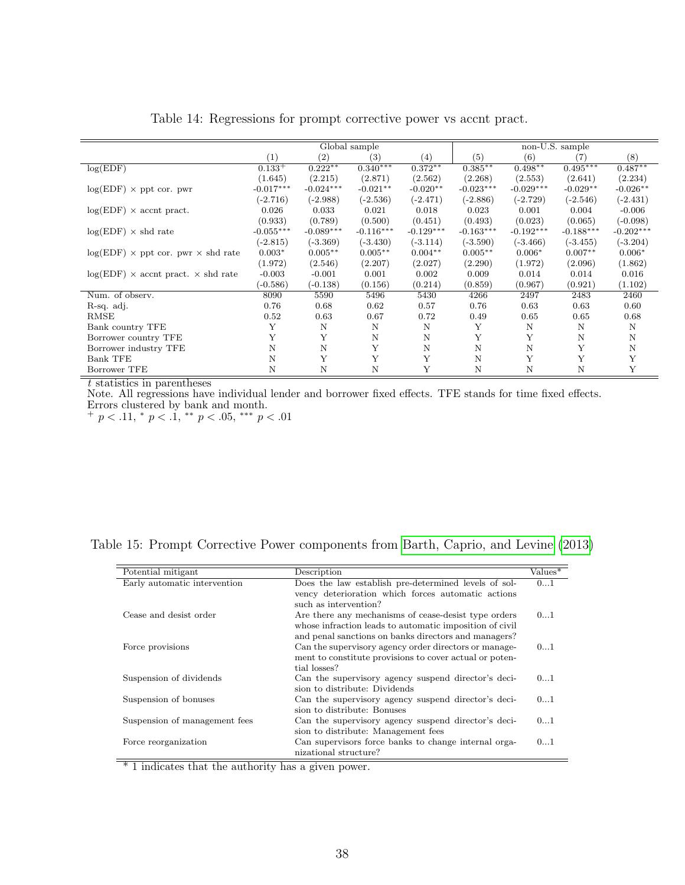<span id="page-38-1"></span>

|                                                  |             |             | Global sample     |             |             |             | non-U.S. sample |             |
|--------------------------------------------------|-------------|-------------|-------------------|-------------|-------------|-------------|-----------------|-------------|
|                                                  | (1)         | (2)         | $\left( 3\right)$ | (4)         | (5)         | (6)         | (7)             | (8)         |
| log(EDF)                                         | $0.133^{+}$ | $0.222**$   | $0.340***$        | $0.372**$   | $0.385**$   | $0.498**$   | $0.495***$      | $0.487**$   |
|                                                  | (1.645)     | (2.215)     | (2.871)           | (2.562)     | (2.268)     | (2.553)     | (2.641)         | (2.234)     |
| $log(EDF) \times$ ppt cor. pwr                   | $-0.017***$ | $-0.024***$ | $-0.021**$        | $-0.020**$  | $-0.023***$ | $-0.029***$ | $-0.029**$      | $-0.026**$  |
|                                                  | $(-2.716)$  | $(-2.988)$  | $(-2.536)$        | $(-2.471)$  | $(-2.886)$  | $(-2.729)$  | $(-2.546)$      | $(-2.431)$  |
| $log(EDF) \times$ accnt pract.                   | 0.026       | 0.033       | 0.021             | 0.018       | 0.023       | 0.001       | 0.004           | $-0.006$    |
|                                                  | (0.933)     | (0.789)     | (0.500)           | (0.451)     | (0.493)     | (0.023)     | (0.065)         | $(-0.098)$  |
| $log(EDF) \times shd$ rate                       | $-0.055***$ | $-0.089***$ | $-0.116***$       | $-0.129***$ | $-0.163***$ | $-0.192***$ | $-0.188***$     | $-0.202***$ |
|                                                  | $(-2.815)$  | $(-3.369)$  | $(-3.430)$        | $(-3.114)$  | $(-3.590)$  | $(-3.466)$  | $(-3.455)$      | $(-3.204)$  |
| $log(EDF) \times$ ppt cor. pwr $\times$ shd rate | $0.003*$    | $0.005***$  | $0.005**$         | $0.004**$   | $0.005**$   | $0.006*$    | $0.007**$       | $0.006*$    |
|                                                  | (1.972)     | (2.546)     | (2.207)           | (2.027)     | (2.290)     | (1.972)     | (2.096)         | (1.862)     |
| $log(EDF)$ × accnt pract. $\times$ shd rate      | $-0.003$    | $-0.001$    | 0.001             | 0.002       | 0.009       | 0.014       | 0.014           | 0.016       |
|                                                  | $(-0.586)$  | $(-0.138)$  | (0.156)           | (0.214)     | (0.859)     | (0.967)     | (0.921)         | (1.102)     |
| Num. of observ.                                  | 8090        | 5590        | 5496              | 5430        | 4266        | 2497        | 2483            | 2460        |
| R-sq. adj.                                       | 0.76        | 0.68        | 0.62              | 0.57        | 0.76        | 0.63        | 0.63            | 0.60        |
| RMSE                                             | 0.52        | 0.63        | 0.67              | 0.72        | 0.49        | 0.65        | 0.65            | 0.68        |
| Bank country TFE                                 | Υ           | N           | N                 | N           | Y           | N           | N               | N           |
| Borrower country TFE                             |             | Y           | $\mathbf N$       | Ν           | Y           | Y           | Ν               | N           |
| Borrower industry TFE                            | Ν           | N           | Y                 | N           | N           | $\mathbf N$ | Y               | N           |
| Bank TFE                                         | N           | Y           | Y                 | Y           | N           | Y           | Y               | Y           |
| Borrower TFE                                     | N           | N           | N                 | Υ           | N           | N           | N               | Υ           |

| Table 14: Regressions for prompt corrective power vs accnt pract. |  |  |
|-------------------------------------------------------------------|--|--|
|-------------------------------------------------------------------|--|--|

Note. All regressions have individual lender and borrower fixed effects. TFE stands for time fixed effects. Errors clustered by bank and month.

 $+p < .11, * p < .1, ** p < .05, ** p < .01$ 

<span id="page-38-0"></span>

| Table 15: Prompt Corrective Power components from Barth, Caprio, and Levine (2013) |  |
|------------------------------------------------------------------------------------|--|
|------------------------------------------------------------------------------------|--|

| Potential mitigant            | Description                                             | Values* |
|-------------------------------|---------------------------------------------------------|---------|
| Early automatic intervention  | Does the law establish pre-determined levels of sol-    | 01      |
|                               | vency deterioration which forces automatic actions      |         |
|                               | such as intervention?                                   |         |
| Cease and desist order        | Are there any mechanisms of cease-desist type orders    | 01      |
|                               | whose infraction leads to automatic imposition of civil |         |
|                               | and penal sanctions on banks directors and managers?    |         |
| Force provisions              | Can the supervisory agency order directors or manage-   | 01      |
|                               | ment to constitute provisions to cover actual or poten- |         |
|                               | tial losses?                                            |         |
| Suspension of dividends       | Can the supervisory agency suspend director's deci-     | 01      |
|                               | sion to distribute: Dividends                           |         |
| Suspension of bonuses         | Can the supervisory agency suspend director's deci-     | 01      |
|                               | sion to distribute: Bonuses                             |         |
| Suspension of management fees | Can the supervisory agency suspend director's deci-     | 01      |
|                               | sion to distribute: Management fees                     |         |
| Force reorganization          | Can supervisors force banks to change internal orga-    | 01      |
|                               | nizational structure?                                   |         |

 $\overline{\text{*}$  1 indicates that the authority has a given power.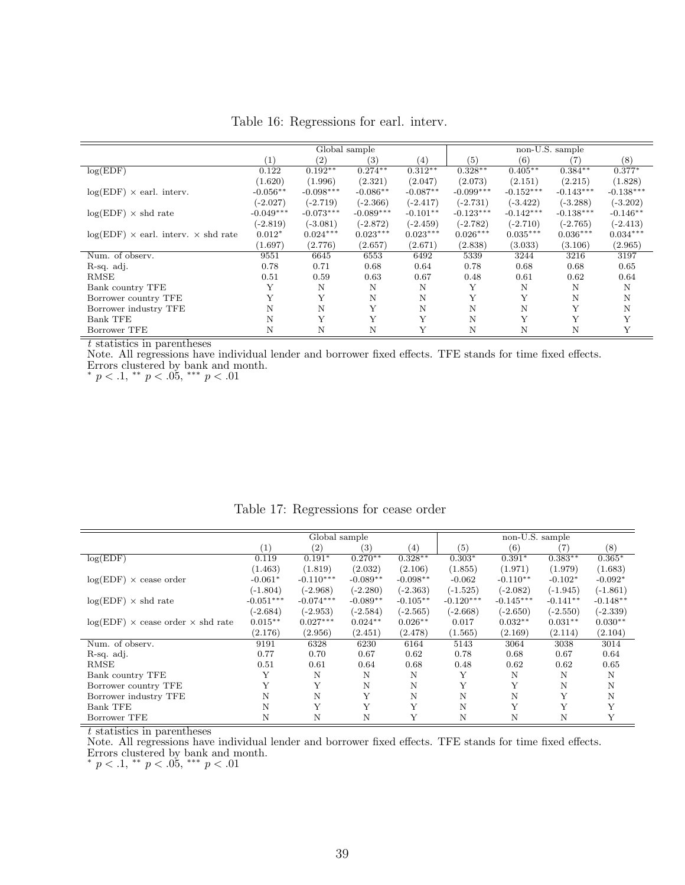<span id="page-39-0"></span>

|                                                   |             |             | Global sample    |                   |             |             | non-U.S. sample |             |
|---------------------------------------------------|-------------|-------------|------------------|-------------------|-------------|-------------|-----------------|-------------|
|                                                   | (1)         | (2)         | $\left(3\right)$ | $\left( 4\right)$ | (5)         | (6)         | (7)             | (8)         |
| log(EDF)                                          | 0.122       | $0.192**$   | $0.274***$       | $0.312**$         | $0.328**$   | $0.405***$  | $0.384**$       | $0.377*$    |
|                                                   | (1.620)     | (1.996)     | (2.321)          | (2.047)           | (2.073)     | (2.151)     | (2.215)         | (1.828)     |
| $log(EDF) \times$ earl. interv.                   | $-0.056**$  | $-0.098***$ | $-0.086**$       | $-0.087**$        | $-0.099***$ | $-0.152***$ | $-0.143***$     | $-0.138***$ |
|                                                   | $(-2.027)$  | $(-2.719)$  | $(-2.366)$       | $(-2.417)$        | $(-2.731)$  | $(-3.422)$  | $(-3.288)$      | $(-3.202)$  |
| $log(EDF) \times shd$ rate                        | $-0.049***$ | $-0.073***$ | $-0.089***$      | $-0.101**$        | $-0.123***$ | $-0.142***$ | $-0.138***$     | $-0.146**$  |
|                                                   | $(-2.819)$  | $(-3.081)$  | $(-2.872)$       | $(-2.459)$        | $(-2.782)$  | $(-2.710)$  | $(-2.765)$      | $(-2.413)$  |
| $log(EDF) \times$ earl. interv. $\times$ shd rate | $0.012*$    | $0.024***$  | $0.023***$       | $0.023***$        | $0.026***$  | $0.035***$  | $0.036***$      | $0.034***$  |
|                                                   | (1.697)     | (2.776)     | (2.657)          | (2.671)           | (2.838)     | (3.033)     | (3.106)         | (2.965)     |
| Num. of observ.                                   | 9551        | 6645        | 6553             | 6492              | 5339        | 3244        | 3216            | 3197        |
| R-sq. adj.                                        | 0.78        | 0.71        | 0.68             | 0.64              | 0.78        | 0.68        | 0.68            | 0.65        |
| RMSE                                              | 0.51        | 0.59        | 0.63             | 0.67              | 0.48        | 0.61        | 0.62            | 0.64        |
| Bank country TFE                                  | Y           | N           | N                | N                 | Υ           | N           | N               | N           |
| Borrower country TFE                              |             | Y           | N                | N                 | Y           | Υ           | N               | N           |
| Borrower industry TFE                             | N           | N           | Υ                | N                 | N           | N           | Y               | N           |
| <b>Bank TFE</b>                                   | N           | Y           | Y                |                   | N           | Y           | Y               | Y           |
| Borrower TFE                                      | N           | N           | N                |                   | N           | Ν           | N               | Y           |

Table 16: Regressions for earl. interv.

Note. All regressions have individual lender and borrower fixed effects. TFE stands for time fixed effects. Errors clustered by bank and month.

\*  $p < .1,$  \*\*  $p < .05,$  \*\*\*  $p < .01$ 

|                                                 |             | Global sample |            |                  |             | non-U.S. sample |            |            |
|-------------------------------------------------|-------------|---------------|------------|------------------|-------------|-----------------|------------|------------|
|                                                 | (1)         | (2)           | (3)        | $\left(4\right)$ | (5)         | (6)             | (7)        | (8)        |
| log(EDF)                                        | 0.119       | $0.191*$      | $0.270**$  | $0.328**$        | $0.303*$    | $0.391*$        | $0.383**$  | $0.365*$   |
|                                                 | (1.463)     | (1.819)       | (2.032)    | (2.106)          | (1.855)     | (1.971)         | (1.979)    | (1.683)    |
| $log(EDF) \times$ cease order                   | $-0.061*$   | $-0.110***$   | $-0.089**$ | $-0.098**$       | $-0.062$    | $-0.110**$      | $-0.102*$  | $-0.092*$  |
|                                                 | $(-1.804)$  | $(-2.968)$    | $(-2.280)$ | $(-2.363)$       | $(-1.525)$  | $(-2.082)$      | $(-1.945)$ | $(-1.861)$ |
| $log(EDF) \times shd$ rate                      | $-0.051***$ | $-0.074***$   | $-0.089**$ | $-0.105**$       | $-0.120***$ | $-0.145***$     | $-0.141**$ | $-0.148**$ |
|                                                 | $(-2.684)$  | $(-2.953)$    | $(-2.584)$ | $(-2.565)$       | $(-2.668)$  | $(-2.650)$      | $(-2.550)$ | $(-2.339)$ |
| $log(EDF) \times$ cease order $\times$ shd rate | $0.015***$  | $0.027***$    | $0.024**$  | $0.026**$        | 0.017       | $0.032**$       | $0.031**$  | $0.030**$  |
|                                                 | (2.176)     | (2.956)       | (2.451)    | (2.478)          | (1.565)     | (2.169)         | (2.114)    | (2.104)    |
| Num. of observ.                                 | 9191        | 6328          | 6230       | 6164             | 5143        | 3064            | 3038       | 3014       |
| R-sq. adj.                                      | 0.77        | 0.70          | 0.67       | 0.62             | 0.78        | 0.68            | 0.67       | 0.64       |
| RMSE                                            | 0.51        | 0.61          | 0.64       | 0.68             | 0.48        | 0.62            | 0.62       | 0.65       |
| Bank country TFE                                | Y           | N             | N          | N                | Y           | N               | N          | N          |
| Borrower country TFE                            |             | Y             | N          | N                | Y           | Υ               | N          | N          |
| Borrower industry TFE                           | N           | N             | Y          | N                | N           | N               | Y          | N          |
| <b>Bank TFE</b>                                 | N           | Y             | Y          | Y                | N           | Y               | Y          | Y          |
| Borrower TFE                                    | N           | Ν             | N          | Y                | N           | N               | N          | Y          |

Table 17: Regressions for cease order

t statistics in parentheses

Note. All regressions have individual lender and borrower fixed effects. TFE stands for time fixed effects. Errors clustered by bank and month.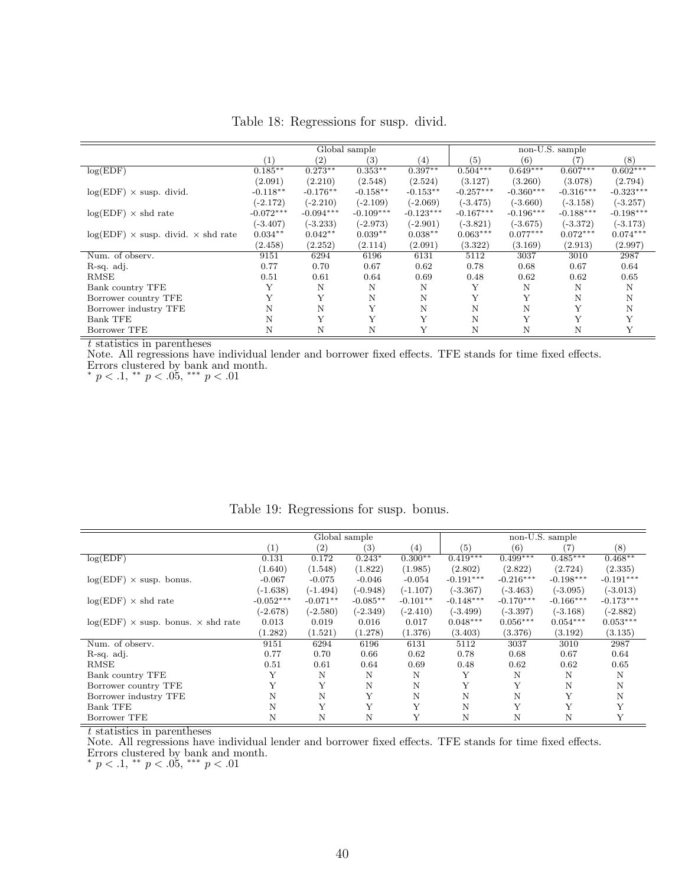|                                                  |             |                   | Global sample     |             |             |             | non-U.S. sample |             |
|--------------------------------------------------|-------------|-------------------|-------------------|-------------|-------------|-------------|-----------------|-------------|
|                                                  | (1)         | $\left( 2\right)$ | $\left( 3\right)$ | (4)         | (5)         | (6)         | (7)             | (8)         |
| log(EDF)                                         | $0.185***$  | $0.273**$         | $0.353**$         | $0.397**$   | $0.504***$  | $0.649***$  | $0.607***$      | $0.602***$  |
|                                                  | (2.091)     | (2.210)           | (2.548)           | (2.524)     | (3.127)     | (3.260)     | (3.078)         | (2.794)     |
| $log(EDF) \times$ susp. divid.                   | $-0.118**$  | $-0.176**$        | $-0.158**$        | $-0.153**$  | $-0.257***$ | $-0.360***$ | $-0.316***$     | $-0.323***$ |
|                                                  | $(-2.172)$  | $(-2.210)$        | $(-2.109)$        | $(-2.069)$  | $(-3.475)$  | $(-3.660)$  | $(-3.158)$      | $(-3.257)$  |
| $log(EDF) \times shd$ rate                       | $-0.072***$ | $-0.094***$       | $-0.109***$       | $-0.123***$ | $-0.167***$ | $-0.196***$ | $-0.188***$     | $-0.198***$ |
|                                                  | $(-3.407)$  | $(-3.233)$        | $(-2.973)$        | $(-2.901)$  | $(-3.821)$  | $(-3.675)$  | $(-3.372)$      | $(-3.173)$  |
| $log(EDF) \times$ susp. divid. $\times$ shd rate | $0.034**$   | $0.042**$         | $0.039**$         | $0.038**$   | $0.063***$  | $0.077***$  | $0.072***$      | $0.074***$  |
|                                                  | (2.458)     | (2.252)           | (2.114)           | (2.091)     | (3.322)     | (3.169)     | (2.913)         | (2.997)     |
| Num. of observ.                                  | 9151        | 6294              | 6196              | 6131        | 5112        | 3037        | 3010            | 2987        |
| R-sq. adj.                                       | 0.77        | 0.70              | 0.67              | 0.62        | 0.78        | 0.68        | 0.67            | 0.64        |
| RMSE                                             | 0.51        | 0.61              | 0.64              | 0.69        | 0.48        | 0.62        | 0.62            | 0.65        |
| Bank country TFE                                 | Y           | N                 | N                 | N           | Y           | N           | N               | N           |
| Borrower country TFE                             | Y           | Y                 | N                 | N           | Y           | Y           | N               | Ν           |
| Borrower industry TFE                            | Ν           | N                 | Υ                 | N           | N           | N           | Y               | N           |
| <b>Bank TFE</b>                                  | N           | Y                 | Y                 | Y           | N           | Y           | Y               |             |
| Borrower TFE                                     | Ν           | N                 | N                 |             | N           | N           | Ν               |             |

Table 18: Regressions for susp. divid.

Note. All regressions have individual lender and borrower fixed effects. TFE stands for time fixed effects. Errors clustered by bank and month.

\*  $p < .1,$  \*\*  $p < .05,$  \*\*\*  $p < .01$ 

|                                                  |             | Global sample |            |            |             |             | non-U.S. sample |             |
|--------------------------------------------------|-------------|---------------|------------|------------|-------------|-------------|-----------------|-------------|
|                                                  | (1)         | (2)           | (3)        | (4)        | (5)         | (6)         | (7)             | $^{(8)}$    |
| log(EDF)                                         | 0.131       | 0.172         | $0.243*$   | $0.300**$  | $0.419***$  | $0.499***$  | $0.485***$      | $0.468**$   |
|                                                  | (1.640)     | (1.548)       | (1.822)    | (1.985)    | (2.802)     | (2.822)     | (2.724)         | (2.335)     |
| $log(EDF) \times susp.$ bonus.                   | $-0.067$    | $-0.075$      | $-0.046$   | $-0.054$   | $-0.191***$ | $-0.216***$ | $-0.198***$     | $-0.191***$ |
|                                                  | $(-1.638)$  | $(-1.494)$    | $(-0.948)$ | $(-1.107)$ | $(-3.367)$  | $(-3.463)$  | $(-3.095)$      | $(-3.013)$  |
| $log(EDF) \times shd$ rate                       | $-0.052***$ | $-0.071**$    | $-0.085**$ | $-0.101**$ | $-0.148***$ | $-0.170***$ | $-0.166***$     | $-0.173***$ |
|                                                  | $(-2.678)$  | $(-2.580)$    | $(-2.349)$ | $(-2.410)$ | $(-3.499)$  | $(-3.397)$  | $(-3.168)$      | $(-2.882)$  |
| $log(EDF) \times$ susp. bonus. $\times$ shd rate | 0.013       | 0.019         | 0.016      | 0.017      | $0.048***$  | $0.056***$  | $0.054***$      | $0.053***$  |
|                                                  | (1.282)     | (1.521)       | (1.278)    | (1.376)    | (3.403)     | (3.376)     | (3.192)         | (3.135)     |
| Num. of observ.                                  | 9151        | 6294          | 6196       | 6131       | 5112        | 3037        | 3010            | 2987        |
| R-sq. adj.                                       | 0.77        | 0.70          | 0.66       | 0.62       | 0.78        | 0.68        | 0.67            | 0.64        |
| RMSE                                             | 0.51        | 0.61          | 0.64       | 0.69       | 0.48        | 0.62        | 0.62            | 0.65        |
| Bank country TFE                                 | Y           | N             | N          | N          | Y           | N           | N               | N           |
| Borrower country TFE                             |             | Y             | N          | N          | Y           | Y           | N               | N           |
| Borrower industry TFE                            | N           | N             | Y          | N          | N           | N           | Y               | N           |
| <b>Bank TFE</b>                                  | N           | Y             | Y          | Y          | N           | Y           | Y               |             |
| Borrower TFE                                     | N           | N             | N          | Y          | N           | N           | N               |             |

Table 19: Regressions for susp. bonus.

t statistics in parentheses

Note. All regressions have individual lender and borrower fixed effects. TFE stands for time fixed effects. Errors clustered by bank and month.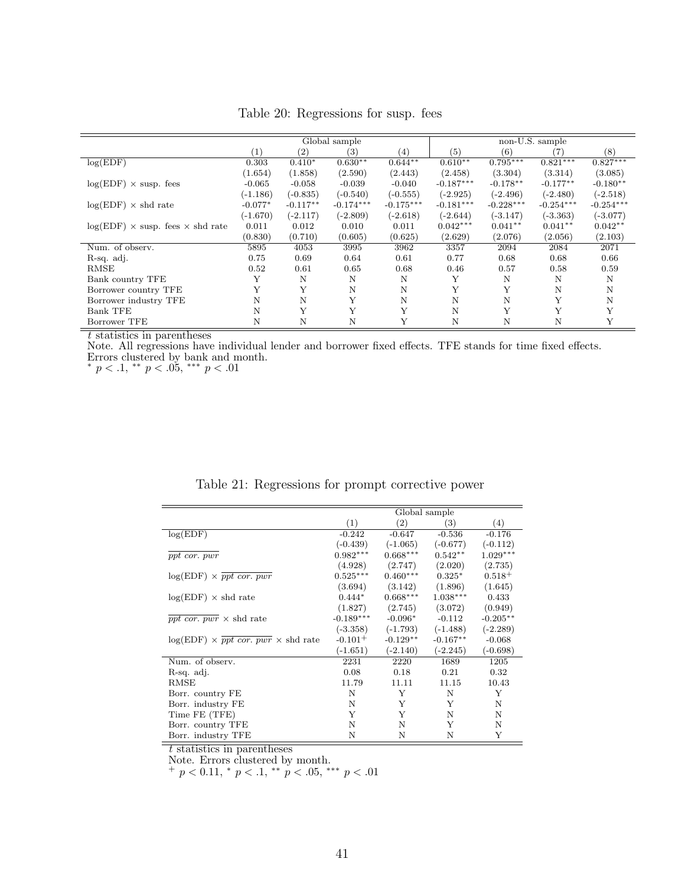<span id="page-41-0"></span>

|                                                |                   | Global sample     |                  |             |             |             | non-U.S. sample |             |
|------------------------------------------------|-------------------|-------------------|------------------|-------------|-------------|-------------|-----------------|-------------|
|                                                | $\left( 1\right)$ | $\left( 2\right)$ | $\left(3\right)$ | (4)         | (5)         | (6)         | 7               | (8)         |
| log(EDF)                                       | 0.303             | $0.410*$          | $0.630**$        | $0.644**$   | $0.610**$   | $0.795***$  | $0.821***$      | $0.827***$  |
|                                                | (1.654)           | (1.858)           | (2.590)          | (2.443)     | (2.458)     | (3.304)     | (3.314)         | (3.085)     |
| $log(EDF) \times susp. fees$                   | $-0.065$          | $-0.058$          | $-0.039$         | $-0.040$    | $-0.187***$ | $-0.178**$  | $-0.177**$      | $-0.180**$  |
|                                                | $(-1.186)$        | $(-0.835)$        | $(-0.540)$       | $(-0.555)$  | $(-2.925)$  | $(-2.496)$  | $(-2.480)$      | $(-2.518)$  |
| $log(EDF) \times shd$ rate                     | $-0.077*$         | $-0.117**$        | $-0.174***$      | $-0.175***$ | $-0.181***$ | $-0.228***$ | $-0.254***$     | $-0.254***$ |
|                                                | $(-1.670)$        | $(-2.117)$        | $(-2.809)$       | $(-2.618)$  | $(-2.644)$  | $(-3.147)$  | $(-3.363)$      | $(-3.077)$  |
| $log(EDF) \times$ susp. fees $\times$ shd rate | 0.011             | 0.012             | 0.010            | 0.011       | $0.042***$  | $0.041**$   | $0.041**$       | $0.042**$   |
|                                                | (0.830)           | (0.710)           | (0.605)          | (0.625)     | (2.629)     | (2.076)     | (2.056)         | (2.103)     |
| Num. of observ.                                | 5895              | 4053              | 3995             | 3962        | 3357        | 2094        | 2084            | 2071        |
| R-sq. adj.                                     | 0.75              | 0.69              | 0.64             | 0.61        | 0.77        | 0.68        | 0.68            | 0.66        |
| RMSE                                           | 0.52              | 0.61              | 0.65             | 0.68        | 0.46        | 0.57        | 0.58            | 0.59        |
| Bank country TFE                               | Y                 | N                 | N                | N           | Υ           | N           | Ν               | N           |
| Borrower country TFE                           | Y                 | Υ                 | N                | N           | Υ           | Y           | N               | Ν           |
| Borrower industry TFE                          | N                 | N                 | Y                | N           | N           | N           | Y               | Ν           |
| <b>Bank TFE</b>                                | N                 | Y                 | Y                | Y           | N           | Y           | Y               |             |
| Borrower TFE                                   | N                 | $\mathbf N$       | N                | Y           | N           | Ν           | N               |             |

Table 20: Regressions for susp. fees

Note. All regressions have individual lender and borrower fixed effects. TFE stands for time fixed effects. Errors clustered by bank and month.

\*  $p < .1,$  \*\*  $p < .05,$  \*\*\*  $p < .01$ 

|  | Table 21: Regressions for prompt corrective power |  |  |
|--|---------------------------------------------------|--|--|
|  |                                                   |  |  |

<span id="page-41-1"></span>

|                                                                         | Global sample |            |            |             |  |  |  |  |  |
|-------------------------------------------------------------------------|---------------|------------|------------|-------------|--|--|--|--|--|
|                                                                         | (1)           | (2)        | (3)        | (4)         |  |  |  |  |  |
| log(EDF)                                                                | $-0.242$      | $-0.647$   | $-0.536$   | $-0.176$    |  |  |  |  |  |
|                                                                         | $(-0.439)$    | $(-1.065)$ | $(-0.677)$ | $(-0.112)$  |  |  |  |  |  |
| ppt cor. pwr                                                            | $0.982***$    | $0.668***$ | $0.542**$  | $1.029***$  |  |  |  |  |  |
|                                                                         | (4.928)       | (2.747)    | (2.020)    | (2.735)     |  |  |  |  |  |
| $log(EDF) \times ppt$ cor. pur                                          | $0.525***$    | $0.460***$ | $0.325*$   | $0.518 +$   |  |  |  |  |  |
|                                                                         | (3.694)       | (3.142)    | (1.896)    | (1.645)     |  |  |  |  |  |
| $log(EDF) \times shd$ rate                                              | $0.444*$      | $0.668***$ | $1.038***$ | 0.433       |  |  |  |  |  |
|                                                                         | (1.827)       | (2.745)    | (3.072)    | (0.949)     |  |  |  |  |  |
| ppt cor. pwr $\times$ shd rate                                          | $-0.189***$   | $-0.096*$  | $-0.112$   | $-0.205***$ |  |  |  |  |  |
|                                                                         | $(-3.358)$    | $(-1.793)$ | $(-1.488)$ | $(-2.289)$  |  |  |  |  |  |
| $log(EDF) \times \overline{ppt} \overline{corr} \times \text{shd rate}$ | $-0.101+$     | $-0.129**$ | $-0.167**$ | $-0.068$    |  |  |  |  |  |
|                                                                         | $(-1.651)$    | $(-2.140)$ | $(-2.245)$ | $(-0.698)$  |  |  |  |  |  |
| Num. of observ.                                                         | 2231          | 2220       | 1689       | 1205        |  |  |  |  |  |
| R-sq. adj.                                                              | 0.08          | 0.18       | 0.21       | 0.32        |  |  |  |  |  |
| RMSE                                                                    | 11.79         | 11.11      | 11.15      | 10.43       |  |  |  |  |  |
| Borr. country FE                                                        | N             | Y          | N          | Y           |  |  |  |  |  |
| Borr. industry FE                                                       | N             | Y          | Y          | N           |  |  |  |  |  |
| Time FE (TFE)                                                           | Y             | Y          | N          | N           |  |  |  |  |  |
| Borr. country TFE                                                       | N             | N          | Y          | N           |  |  |  |  |  |
| Borr. industry TFE                                                      | Ν             | N          | N          | Y           |  |  |  |  |  |

t statistics in parentheses

Note. Errors clustered by month.

 $^{+}$  p < 0.11,  $^{*}$  p < .1,  $^{**}$  p < .05,  $^{***}$  p < .01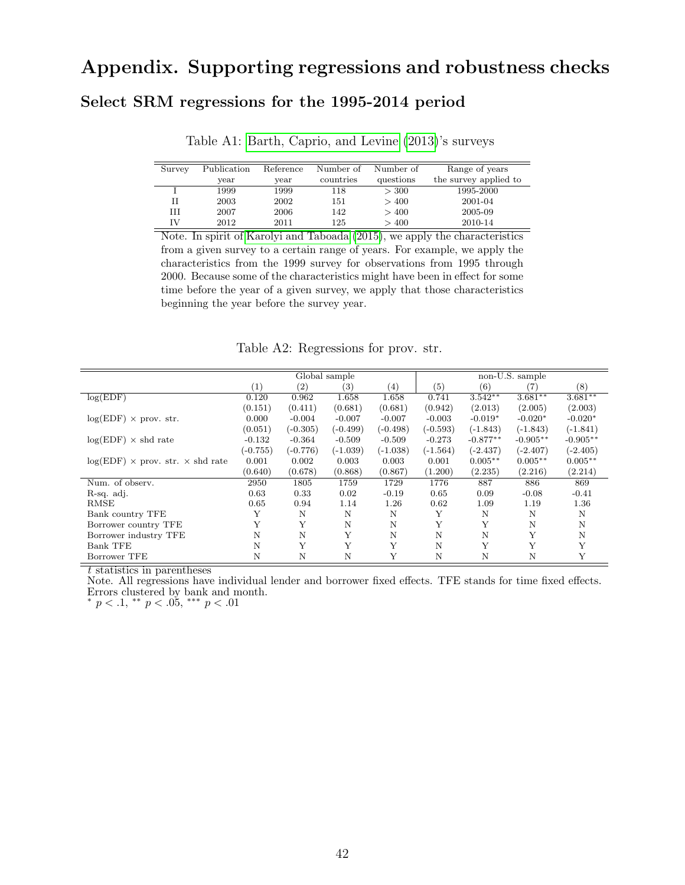# Appendix. Supporting regressions and robustness checks

#### Select SRM regressions for the 1995-2014 period

| Survey | Publication | Reference | Number of | Number of | Range of years        |
|--------|-------------|-----------|-----------|-----------|-----------------------|
|        | year        | year      | countries | questions | the survey applied to |
|        | 1999        | 1999      | 118       | > 300     | 1995-2000             |
|        | 2003        | 2002      | 151       | >400      | 2001-04               |
| HЕ     | 2007        | 2006      | 142       | >400      | 2005-09               |
| ΓV     | 2012        | 2011      | 125       | >400      | 2010-14               |

Table A1: [Barth, Caprio, and Levine](#page-24-3) [\(2013\)](#page-24-3)'s surveys

Note. In spirit of [Karolyi and Taboada](#page-25-16) [\(2015\)](#page-25-16), we apply the characteristics from a given survey to a certain range of years. For example, we apply the characteristics from the 1999 survey for observations from 1995 through 2000. Because some of the characteristics might have been in effect for some time before the year of a given survey, we apply that those characteristics beginning the year before the survey year.

Table A2: Regressions for prov. str.

|                                              |            |                   | Global sample |            |            |            | non-U.S. sample |            |
|----------------------------------------------|------------|-------------------|---------------|------------|------------|------------|-----------------|------------|
|                                              | (1)        | $\left( 2\right)$ | (3)           | $^{(4)}$   | (5)        | (6)        | (7)             | (8)        |
| log(EDF)                                     | 0.120      | 0.962             | 1.658         | 1.658      | 0.741      | $3.542**$  | $3.681**$       | $3.681***$ |
|                                              | (0.151)    | (0.411)           | (0.681)       | (0.681)    | (0.942)    | (2.013)    | (2.005)         | (2.003)    |
| $log(EDF) \times prov. str.$                 | 0.000      | $-0.004$          | $-0.007$      | $-0.007$   | $-0.003$   | $-0.019*$  | $-0.020*$       | $-0.020*$  |
|                                              | (0.051)    | $(-0.305)$        | $(-0.499)$    | $(-0.498)$ | $(-0.593)$ | $(-1.843)$ | $(-1.843)$      | $(-1.841)$ |
| $log(EDF) \times shd$ rate                   | $-0.132$   | $-0.364$          | $-0.509$      | $-0.509$   | $-0.273$   | $-0.877**$ | $-0.905**$      | $-0.905**$ |
|                                              | $(-0.755)$ | $(-0.776)$        | (-1.039)      | $(-1.038)$ | $(-1.564)$ | $(-2.437)$ | $(-2.407)$      | $(-2.405)$ |
| $log(EDF) \times prov. str. \times shd rate$ | 0.001      | 0.002             | 0.003         | 0.003      | 0.001      | $0.005**$  | $0.005**$       | $0.005**$  |
|                                              | (0.640)    | (0.678)           | (0.868)       | (0.867)    | (1.200)    | (2.235)    | (2.216)         | (2.214)    |
| Num. of observ.                              | 2950       | 1805              | 1759          | 1729       | 1776       | 887        | 886             | 869        |
| R-sq. adj.                                   | 0.63       | 0.33              | 0.02          | $-0.19$    | 0.65       | 0.09       | $-0.08$         | $-0.41$    |
| <b>RMSE</b>                                  | 0.65       | 0.94              | 1.14          | 1.26       | 0.62       | 1.09       | 1.19            | 1.36       |
| Bank country TFE                             |            | N                 | N             | N          | Y          | N          | N               | N          |
| Borrower country TFE                         |            | Y                 | N             | N          | Y          | Y          | N               | Ν          |
| Borrower industry TFE                        | N          | N                 | Y             | N          | N          | N          | Y               | N          |
| <b>Bank TFE</b>                              | N          | Y                 | Y             | Y          | N          | Y          | Y               | Y          |
| Borrower TFE                                 | N          | Ν                 | N             | Y          | N          | N          | N               |            |

t statistics in parentheses

Note. All regressions have individual lender and borrower fixed effects. TFE stands for time fixed effects. Errors clustered by bank and month.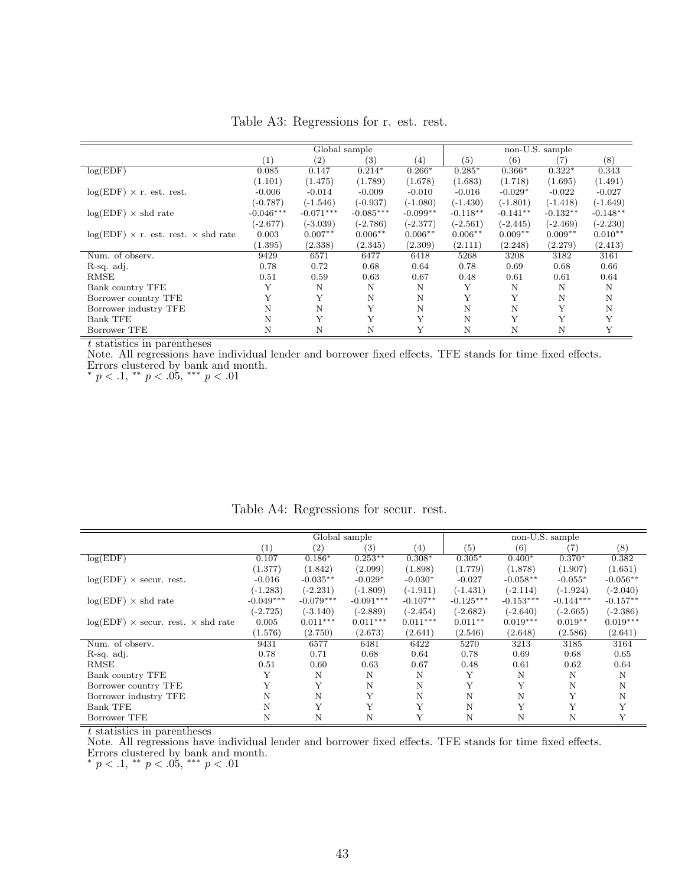<span id="page-43-0"></span>

|                                                    |             | Global sample<br>non-U.S. sample |                   |            |            |            |            |            |
|----------------------------------------------------|-------------|----------------------------------|-------------------|------------|------------|------------|------------|------------|
|                                                    | (1)         | (2)                              | $\left( 3\right)$ | (4)        | (5)        | (6)        | (7)        | (8)        |
| log(EDF)                                           | 0.085       | 0.147                            | $0.214*$          | $0.266*$   | $0.285*$   | $0.366*$   | $0.322*$   | 0.343      |
|                                                    | (1.101)     | (1.475)                          | (1.789)           | (1.678)    | (1.683)    | (1.718)    | (1.695)    | (1.491)    |
| $log(EDF) \times r$ . est. rest.                   | $-0.006$    | $-0.014$                         | $-0.009$          | $-0.010$   | $-0.016$   | $-0.029*$  | $-0.022$   | $-0.027$   |
|                                                    | $(-0.787)$  | $(-1.546)$                       | $(-0.937)$        | $(-1.080)$ | $(-1.430)$ | $(-1.801)$ | $(-1.418)$ | $(-1.649)$ |
| $log(EDF) \times shd$ rate                         | $-0.046***$ | $-0.071***$                      | $-0.085***$       | $-0.099**$ | $-0.118**$ | $-0.141**$ | $-0.132**$ | $-0.148**$ |
|                                                    | $(-2.677)$  | $(-3.039)$                       | $(-2.786)$        | $(-2.377)$ | $(-2.561)$ | $(-2.445)$ | $(-2.469)$ | $(-2.230)$ |
| $log(EDF) \times r$ . est. rest. $\times$ shd rate | 0.003       | $0.007**$                        | $0.006**$         | $0.006**$  | $0.006**$  | $0.009**$  | $0.009**$  | $0.010**$  |
|                                                    | (1.395)     | (2.338)                          | (2.345)           | (2.309)    | (2.111)    | (2.248)    | (2.279)    | (2.413)    |
| Num. of observ.                                    | 9429        | 6571                             | 6477              | 6418       | 5268       | 3208       | 3182       | 3161       |
| R-sq. adj.                                         | 0.78        | 0.72                             | 0.68              | 0.64       | 0.78       | 0.69       | 0.68       | 0.66       |
| RMSE                                               | 0.51        | 0.59                             | 0.63              | 0.67       | 0.48       | 0.61       | 0.61       | 0.64       |
| Bank country TFE                                   | Y           | N                                | N                 | N          | Υ          | N          | N          | N          |
| Borrower country TFE                               |             | Υ                                | N                 | N          | Y          | Y          | N          | N          |
| Borrower industry TFE                              | N           | N                                | Υ                 | N          | N          | N          | Y          | Ν          |
| <b>Bank TFE</b>                                    | N           | Y                                | Y                 | Y          | N          | Y          | Y          | Y          |
| Borrower TFE                                       | N           | N                                | N                 | Y          | N          | N          | N          | Y          |

Table A3: Regressions for r. est. rest.

Note. All regressions have individual lender and borrower fixed effects. TFE stands for time fixed effects. Errors clustered by bank and month.

\*  $p < .1,$  \*\*  $p < .05,$  \*\*\*  $p < .01$ 

<span id="page-43-1"></span>

|                                                  |             |                   | Global sample     |            |                   |             | non-U.S. sample |            |
|--------------------------------------------------|-------------|-------------------|-------------------|------------|-------------------|-------------|-----------------|------------|
|                                                  | (1)         | $\left( 2\right)$ | $\left( 3\right)$ | (4)        | $\left( 5\right)$ | (6)         | (7)             | (8)        |
| log(EDF)                                         | 0.107       | $0.186*$          | $0.253**$         | $0.308*$   | $0.305*$          | $0.400*$    | $0.370*$        | 0.382      |
|                                                  | (1.377)     | (1.842)           | (2.099)           | (1.898)    | (1.779)           | (1.878)     | (1.907)         | (1.651)    |
| $log(EDF) \times secur.$ rest.                   | $-0.016$    | $-0.035**$        | $-0.029*$         | $-0.030*$  | $-0.027$          | $-0.058**$  | $-0.055*$       | $-0.056**$ |
|                                                  | $(-1.283)$  | $(-2.231)$        | $(-1.809)$        | $(-1.911)$ | $(-1.431)$        | $(-2.114)$  | $(-1.924)$      | $(-2.040)$ |
| $log(EDF) \times shd$ rate                       | $-0.049***$ | $-0.079***$       | $-0.091***$       | $-0.107**$ | $-0.125***$       | $-0.153***$ | $-0.144***$     | $-0.157**$ |
|                                                  | $(-2.725)$  | $(-3.140)$        | $(-2.889)$        | $(-2.454)$ | $(-2.682)$        | $(-2.640)$  | $(-2.665)$      | $(-2.386)$ |
| $log(EDF) \times secur.$ rest. $\times$ shd rate | 0.005       | $0.011***$        | $0.011***$        | $0.011***$ | $0.011**$         | $0.019***$  | $0.019**$       | $0.019***$ |
|                                                  | (1.576)     | (2.750)           | (2.673)           | (2.641)    | (2.546)           | (2.648)     | (2.586)         | (2.641)    |
| Num. of observ.                                  | 9431        | 6577              | 6481              | 6422       | 5270              | 3213        | 3185            | 3164       |
| R-sq. adj.                                       | 0.78        | 0.71              | 0.68              | 0.64       | 0.78              | 0.69        | 0.68            | 0.65       |
| <b>RMSE</b>                                      | 0.51        | 0.60              | 0.63              | 0.67       | 0.48              | 0.61        | 0.62            | 0.64       |
| Bank country TFE                                 | Y           | N                 | N                 | N          | Y                 | N           | N               | N          |
| Borrower country TFE                             | Y           | Y                 | N                 | N          | Y                 | Υ           | N               | N          |
| Borrower industry TFE                            | N           | N                 | Y                 | N          | N                 | N           | Y               | N          |
| <b>Bank TFE</b>                                  | N           | Y                 | Y                 | Y          | N                 | Y           | $\mathbf v$     | Y          |
| Borrower TFE                                     | N           | N                 | N                 |            | N                 | N           | N               | Y          |

Table A4: Regressions for secur. rest.

t statistics in parentheses

Note. All regressions have individual lender and borrower fixed effects. TFE stands for time fixed effects. Errors clustered by bank and month.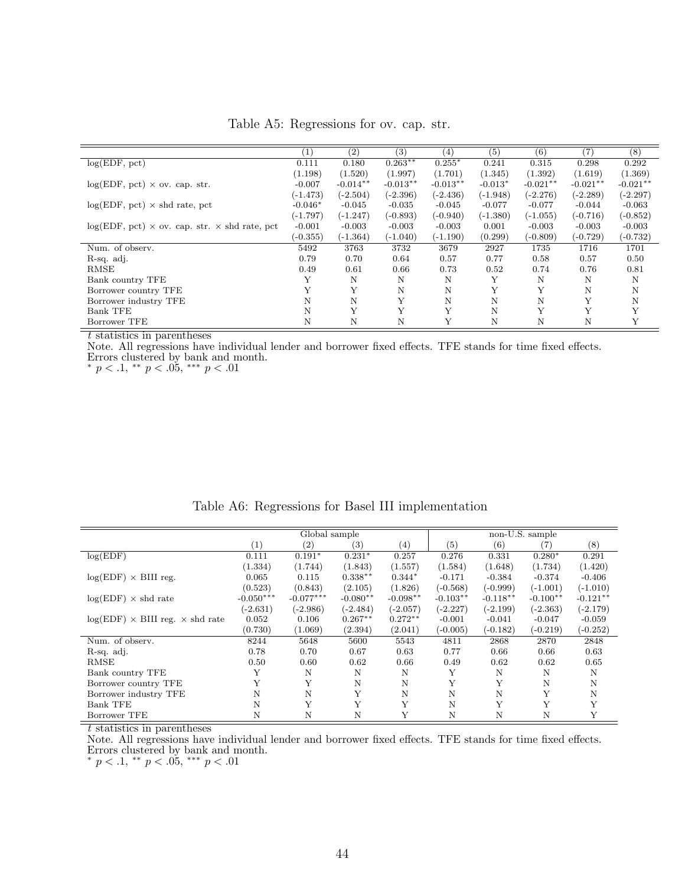<span id="page-44-0"></span>

|                                                           | $\left(1\right)$ | (2)        | (3)        | (4)        | (5)        | (6)        | 7)         | (8)        |
|-----------------------------------------------------------|------------------|------------|------------|------------|------------|------------|------------|------------|
| log(EDF, pct)                                             | 0.111            | 0.180      | $0.263**$  | $0.255*$   | 0.241      | 0.315      | 0.298      | 0.292      |
|                                                           | (1.198)          | (1.520)    | (1.997)    | (1.701)    | (1.345)    | (1.392)    | (1.619)    | (1.369)    |
| $log(EDF, pct) \times ov. cap. str.$                      | $-0.007$         | $-0.014**$ | $-0.013**$ | $-0.013**$ | $-0.013*$  | $-0.021**$ | $-0.021**$ | $-0.021**$ |
|                                                           | $(-1.473)$       | $(-2.504)$ | $(-2.396)$ | $(-2.436)$ | $(-1.948)$ | $(-2.276)$ | $(-2.289)$ | $(-2.297)$ |
| $log(EDF, pct) \times shd$ rate, pct                      | $-0.046*$        | $-0.045$   | $-0.035$   | $-0.045$   | $-0.077$   | $-0.077$   | $-0.044$   | $-0.063$   |
|                                                           | (-1.797)         | $(-1.247)$ | $(-0.893)$ | $(-0.940)$ | $(-1.380)$ | $(-1.055)$ | $(-0.716)$ | $(-0.852)$ |
| $log(EDF, pct) \times ov. cap. str. \times shd rate, pct$ | $-0.001$         | $-0.003$   | $-0.003$   | $-0.003$   | 0.001      | $-0.003$   | $-0.003$   | $-0.003$   |
|                                                           | $(-0.355)$       | $(-1.364)$ | $(-1.040)$ | $(-1.190)$ | (0.299)    | $(-0.809)$ | $(-0.729)$ | $(-0.732)$ |
| Num. of observ.                                           | 5492             | 3763       | 3732       | 3679       | 2927       | 1735       | 1716       | 1701       |
| R-sq. adj.                                                | 0.79             | 0.70       | 0.64       | 0.57       | 0.77       | 0.58       | 0.57       | 0.50       |
| RMSE                                                      | 0.49             | 0.61       | 0.66       | 0.73       | 0.52       | 0.74       | 0.76       | 0.81       |
| Bank country TFE                                          |                  | N          | Ν          | N          | Y          | N          | N          | N          |
| Borrower country TFE                                      |                  | Y          | N          | N          | Y          | Y          | N          | N          |
| Borrower industry TFE                                     | Ν                | N          | Υ          | N          | N          | N          | Υ          | N          |
| <b>Bank TFE</b>                                           | N                | Y          | Y          | Y          | N          | Y          | Y          | Y          |
| Borrower TFE                                              | N                | N          | N          | Y          | N          | N          | N          | Υ          |

Table A5: Regressions for ov. cap. str.

Note. All regressions have individual lender and borrower fixed effects. TFE stands for time fixed effects. Errors clustered by bank and month.

\*  $p < .1,$  \*\*  $p < .05,$  \*\*\*  $p < .01$ 

<span id="page-44-1"></span>

|                                               |             | Global sample     |            |            |            |            | non-U.S. sample |            |
|-----------------------------------------------|-------------|-------------------|------------|------------|------------|------------|-----------------|------------|
|                                               | (1)         | $\left( 2\right)$ | (3)        | (4)        | (5)        | (6)        | (7)             | $^{(8)}$   |
| log(EDF)                                      | 0.111       | $0.191*$          | $0.231*$   | 0.257      | 0.276      | 0.331      | $0.280*$        | 0.291      |
|                                               | (1.334)     | (1.744)           | (1.843)    | (1.557)    | (1.584)    | (1.648)    | (1.734)         | (1.420)    |
| $log(EDF) \times BIII$ reg.                   | 0.065       | 0.115             | $0.338**$  | $0.344*$   | $-0.171$   | $-0.384$   | $-0.374$        | $-0.406$   |
|                                               | (0.523)     | (0.843)           | (2.105)    | (1.826)    | $(-0.568)$ | $(-0.999)$ | $(-1.001)$      | $(-1.010)$ |
| $log(EDF) \times shd$ rate                    | $-0.050***$ | $-0.077***$       | $-0.080**$ | $-0.098**$ | $-0.103**$ | $-0.118**$ | $-0.100**$      | $-0.121**$ |
|                                               | $(-2.631)$  | $(-2.986)$        | $(-2.484)$ | $(-2.057)$ | $(-2.227)$ | $(-2.199)$ | $(-2.363)$      | $(-2.179)$ |
| $log(EDF) \times BIII$ reg. $\times$ shd rate | 0.052       | 0.106             | $0.267**$  | $0.272**$  | $-0.001$   | $-0.041$   | $-0.047$        | $-0.059$   |
|                                               | (0.730)     | (1.069)           | (2.394)    | (2.041)    | $(-0.005)$ | $(-0.182)$ | $(-0.219)$      | $(-0.252)$ |
| Num. of observ.                               | 8244        | 5648              | 5600       | 5543       | 4811       | 2868       | 2870            | 2848       |
| R-sq. adj.                                    | 0.78        | 0.70              | 0.67       | 0.63       | 0.77       | 0.66       | 0.66            | 0.63       |
| RMSE                                          | 0.50        | 0.60              | 0.62       | 0.66       | 0.49       | 0.62       | 0.62            | 0.65       |
| Bank country TFE                              | Υ           | N                 | N          | N          | Υ          | N          | N               | N          |
| Borrower country TFE                          | Y           | Y                 | N          | N          | Y          | Y          | N               | N          |
| Borrower industry TFE                         | Ν           | N                 | Y          | N          | N          | N          | Y               | Ν          |
| <b>Bank TFE</b>                               | Ν           | Y                 | Y          | Y          | N          | Y          | Y               | Y          |
| Borrower TFE                                  | N           | Ν                 | N          | Y          | N          | N          | N               | Y          |

Table A6: Regressions for Basel III implementation

t statistics in parentheses

Note. All regressions have individual lender and borrower fixed effects. TFE stands for time fixed effects. Errors clustered by bank and month.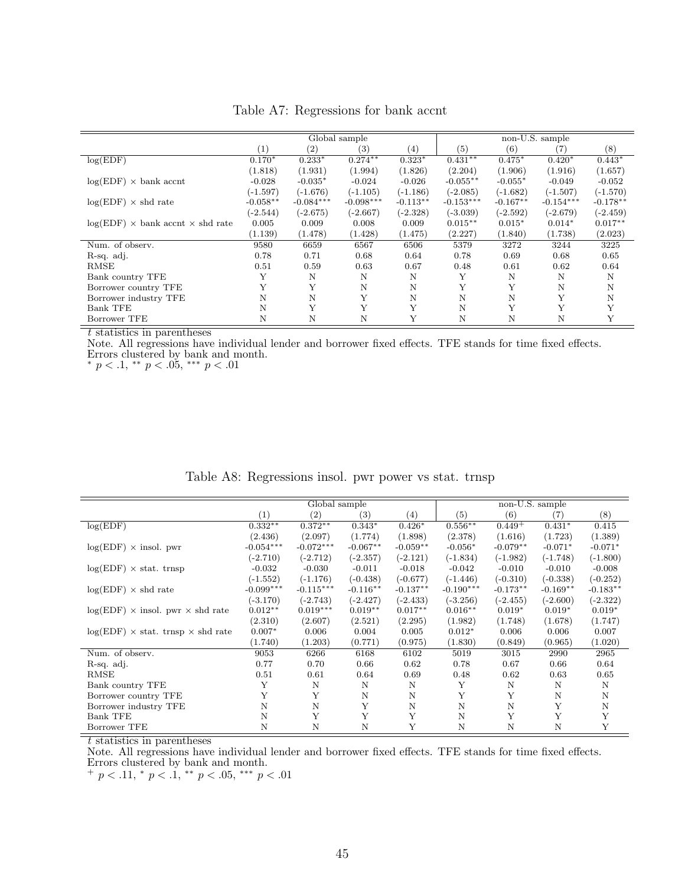|                                                  |            | non-U.S. sample<br>Global sample |                   |                   |             |             |             |            |
|--------------------------------------------------|------------|----------------------------------|-------------------|-------------------|-------------|-------------|-------------|------------|
|                                                  | (1)        | $\left( 2\right)$                | $\left( 3\right)$ | $\left( 4\right)$ | (5)         | (6)         | (7)         | (8)        |
| log(EDF)                                         | $0.170*$   | $0.233*$                         | $0.274***$        | $0.323*$          | $0.431***$  | $0.475*$    | $0.420*$    | $0.443*$   |
|                                                  | (1.818)    | (1.931)                          | (1.994)           | (1.826)           | (2.204)     | (1.906)     | (1.916)     | (1.657)    |
| $log(EDF) \times bank$ accnt                     | $-0.028$   | $-0.035*$                        | $-0.024$          | $-0.026$          | $-0.055**$  | $-0.055*$   | $-0.049$    | $-0.052$   |
|                                                  | $(-1.597)$ | $(-1.676)$                       | $(-1.105)$        | $(-1.186)$        | $(-2.085)$  | $(-1.682)$  | $(-1.507)$  | $(-1.570)$ |
| $log(EDF) \times shd$ rate                       | $-0.058**$ | $-0.084***$                      | $-0.098***$       | $-0.113**$        | $-0.153***$ | $-0.167**$  | $-0.154***$ | $-0.178**$ |
|                                                  | $(-2.544)$ | $(-2.675)$                       | $(-2.667)$        | $(-2.328)$        | $(-3.039)$  | $(-2.592)$  | $(-2.679)$  | $(-2.459)$ |
| $log(EDF)$ $\times$ bank accnt $\times$ shd rate | 0.005      | 0.009                            | 0.008             | 0.009             | $0.015**$   | $0.015*$    | $0.014*$    | $0.017**$  |
|                                                  | (1.139)    | (1.478)                          | (1.428)           | (1.475)           | (2.227)     | (1.840)     | (1.738)     | (2.023)    |
| Num. of observ.                                  | 9580       | 6659                             | 6567              | 6506              | 5379        | 3272        | 3244        | 3225       |
| R-sq. adj.                                       | 0.78       | 0.71                             | 0.68              | 0.64              | 0.78        | 0.69        | 0.68        | 0.65       |
| <b>RMSE</b>                                      | 0.51       | 0.59                             | 0.63              | 0.67              | 0.48        | 0.61        | 0.62        | 0.64       |
| Bank country TFE                                 | Y          | N                                | N                 | N                 | Υ           | N           | N           | N          |
| Borrower country TFE                             | Y          | Y                                | N                 | N                 | Y           | Y           | Ν           | N          |
| Borrower industry TFE                            | N          | N                                | Υ                 | N                 | N           | N           | Y           | N          |
| <b>Bank TFE</b>                                  | N          | Y                                | Υ                 | Y                 | N           | Y           | Y           | Y          |
| Borrower TFE                                     | Ν          | N                                | N                 | Y                 | N           | $\mathbf N$ | Ν           | Y          |

Table A7: Regressions for bank accnt

Note. All regressions have individual lender and borrower fixed effects. TFE stands for time fixed effects. Errors clustered by bank and month.

\*  $p < .1,$  \*\*  $p < .05,$  \*\*\*  $p < .01$ 

|                                                 |             | Global sample     |            |            |             | non-U.S. sample |            |            |
|-------------------------------------------------|-------------|-------------------|------------|------------|-------------|-----------------|------------|------------|
|                                                 | (1)         | $\left( 2\right)$ | (3)        | (4)        | (5)         | (6)             | (7)        | (8)        |
| log(EDF)                                        | $0.332**$   | $0.372**$         | $0.343*$   | $0.426*$   | $0.556**$   | $0.449 +$       | $0.431*$   | 0.415      |
|                                                 | (2.436)     | (2.097)           | (1.774)    | (1.898)    | (2.378)     | (1.616)         | (1.723)    | (1.389)    |
| $log(EDF) \times$ insol. pwr                    | $-0.054***$ | $-0.072***$       | $-0.067**$ | $-0.059**$ | $-0.056*$   | $-0.079**$      | $-0.071*$  | $-0.071*$  |
|                                                 | $(-2.710)$  | $(-2.712)$        | $(-2.357)$ | $(-2.121)$ | $(-1.834)$  | $(-1.982)$      | $(-1.748)$ | $(-1.800)$ |
| $log(EDF) \times stat.$ trnsp                   | $-0.032$    | $-0.030$          | $-0.011$   | $-0.018$   | $-0.042$    | $-0.010$        | $-0.010$   | $-0.008$   |
|                                                 | $(-1.552)$  | $(-1.176)$        | $(-0.438)$ | $(-0.677)$ | $(-1.446)$  | $(-0.310)$      | $(-0.338)$ | $(-0.252)$ |
| $log(EDF) \times shd$ rate                      | $-0.099***$ | $-0.115***$       | $-0.116**$ | $-0.137**$ | $-0.190***$ | $-0.173**$      | $-0.169**$ | $-0.183**$ |
|                                                 | $(-3.170)$  | $(-2.743)$        | $(-2.427)$ | $(-2.433)$ | $(-3.256)$  | $(-2.455)$      | $(-2.600)$ | $(-2.322)$ |
| $log(EDF)$ × insol. pwr × shd rate              | $0.012**$   | $0.019***$        | $0.019**$  | $0.017**$  | $0.016**$   | $0.019*$        | $0.019*$   | $0.019*$   |
|                                                 | (2.310)     | (2.607)           | (2.521)    | (2.295)    | (1.982)     | (1.748)         | (1.678)    | (1.747)    |
| $log(EDF) \times$ stat. trnsp $\times$ shd rate | $0.007*$    | 0.006             | 0.004      | 0.005      | $0.012*$    | 0.006           | 0.006      | 0.007      |
|                                                 | (1.740)     | (1.203)           | (0.771)    | (0.975)    | (1.830)     | (0.849)         | (0.965)    | (1.020)    |
| Num. of observ.                                 | 9053        | 6266              | 6168       | 6102       | 5019        | 3015            | 2990       | 2965       |
| R-sq. adj.                                      | 0.77        | 0.70              | 0.66       | 0.62       | 0.78        | 0.67            | 0.66       | 0.64       |
| RMSE                                            | 0.51        | 0.61              | 0.64       | 0.69       | 0.48        | 0.62            | 0.63       | 0.65       |
| Bank country TFE                                | Y           | N                 | N          | N          | Y           | N               | N          | N          |
| Borrower country TFE                            | Y           | Y                 | N          | N          | Y           | Y               | N          | N          |
| Borrower industry TFE                           | N           | $\mathbf N$       | Υ          | N          | N           | N               | Y          | N          |
| <b>Bank TFE</b>                                 | N           | Y                 | Y          | Y          | N           | Y               | Y          | Y          |
| Borrower TFE                                    | N           | $\mathbf N$       | Ν          | Y          | $\mathbf N$ | N               | N          | Y          |

Table A8: Regressions insol. pwr power vs stat. trnsp

t statistics in parentheses

Note. All regressions have individual lender and borrower fixed effects. TFE stands for time fixed effects. Errors clustered by bank and month.

 $+p < .11, * p < .1, ** p < .05, ** p < .01$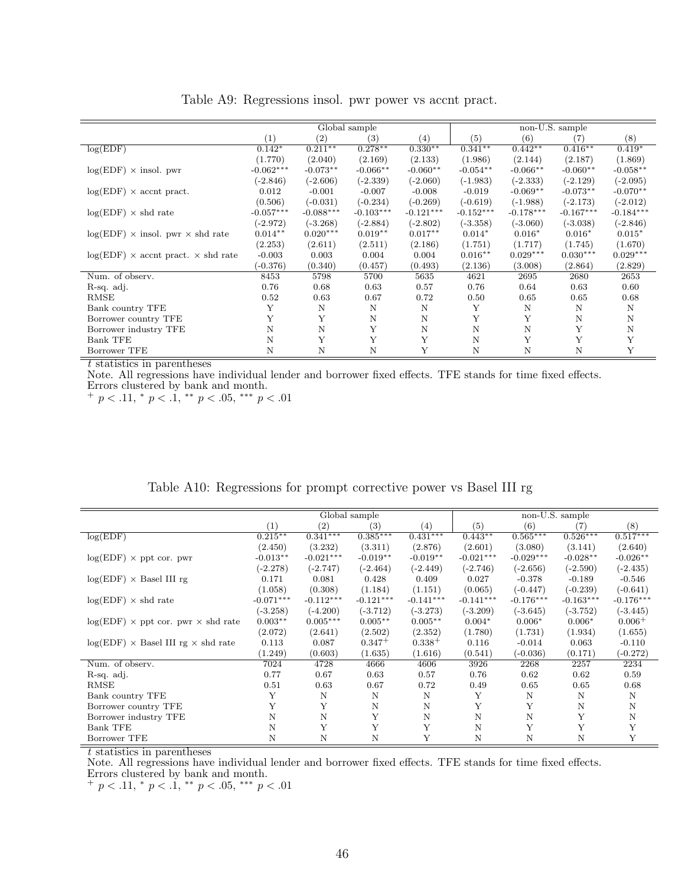|                                                  |             |             | Global sample |             |             |             | non-U.S. sample |             |
|--------------------------------------------------|-------------|-------------|---------------|-------------|-------------|-------------|-----------------|-------------|
|                                                  | (1)         | (2)         | (3)           | (4)         | (5)         | (6)         | (7)             | (8)         |
| log(EDF)                                         | $0.142*$    | $0.211**$   | $0.278**$     | $0.330**$   | $0.341**$   | $0.442**$   | $0.416**$       | $0.419*$    |
|                                                  | (1.770)     | (2.040)     | (2.169)       | (2.133)     | (1.986)     | (2.144)     | (2.187)         | (1.869)     |
| $log(EDF) \times insol.$ pwr                     | $-0.062***$ | $-0.073**$  | $-0.066**$    | $-0.060**$  | $-0.054**$  | $-0.066**$  | $-0.060**$      | $-0.058**$  |
|                                                  | $(-2.846)$  | $(-2.606)$  | $(-2.339)$    | $(-2.060)$  | $(-1.983)$  | $(-2.333)$  | $(-2.129)$      | $(-2.095)$  |
| $log(EDF) \times$ accnt pract.                   | 0.012       | $-0.001$    | $-0.007$      | $-0.008$    | $-0.019$    | $-0.069**$  | $-0.073**$      | $-0.070**$  |
|                                                  | (0.506)     | $(-0.031)$  | $(-0.234)$    | $(-0.269)$  | $(-0.619)$  | $(-1.988)$  | $(-2.173)$      | $(-2.012)$  |
| $log(EDF) \times shd$ rate                       | $-0.057***$ | $-0.088***$ | $-0.103***$   | $-0.121***$ | $-0.152***$ | $-0.178***$ | $-0.167***$     | $-0.184***$ |
|                                                  | $(-2.972)$  | $(-3.268)$  | $(-2.884)$    | $(-2.802)$  | $(-3.358)$  | $(-3.060)$  | $(-3.038)$      | $(-2.846)$  |
| $log(EDF)$ x insol. pwr x shd rate               | $0.014**$   | $0.020***$  | $0.019**$     | $0.017**$   | $0.014*$    | $0.016*$    | $0.016*$        | $0.015*$    |
|                                                  | (2.253)     | (2.611)     | (2.511)       | (2.186)     | (1.751)     | (1.717)     | (1.745)         | (1.670)     |
| $log(EDF) \times$ accnt pract. $\times$ shd rate | $-0.003$    | 0.003       | 0.004         | 0.004       | $0.016**$   | $0.029***$  | $0.030***$      | $0.029***$  |
|                                                  | $(-0.376)$  | (0.340)     | (0.457)       | (0.493)     | (2.136)     | (3.008)     | (2.864)         | (2.829)     |
| Num. of observ.                                  | 8453        | 5798        | 5700          | 5635        | 4621        | 2695        | 2680            | 2653        |
| R-sq. adj.                                       | 0.76        | 0.68        | 0.63          | 0.57        | 0.76        | 0.64        | 0.63            | 0.60        |
| RMSE                                             | 0.52        | 0.63        | 0.67          | 0.72        | 0.50        | 0.65        | 0.65            | 0.68        |
| Bank country TFE                                 | Y           | N           | N             | N           | Y           | N           | N               | N           |
| Borrower country TFE                             | Y           | Y           | $\mathbf N$   | Ν           | Y           | Y           | N               | N           |
| Borrower industry TFE                            | Ν           | N           | Υ             | N           | N           | $\mathbf N$ | Y               | $\mathbf N$ |
| <b>Bank TFE</b>                                  | N           | Y           | Y             | Y           | N           | Y           | Y               | Y           |
| Borrower TFE                                     | Ν           | Ν           | N             | Υ           | Ν           | N           | N               | Y           |

Table A9: Regressions insol. pwr power vs accnt pract.

Note. All regressions have individual lender and borrower fixed effects. TFE stands for time fixed effects. Errors clustered by bank and month.

 $+p < .11,$  \*  $p < .1,$  \*\*  $p < .05,$  \*\*\*  $p < .01$ 

<span id="page-46-0"></span>

|                                                  |             |                   | Global sample |             |             |             | non-U.S. sample |             |
|--------------------------------------------------|-------------|-------------------|---------------|-------------|-------------|-------------|-----------------|-------------|
|                                                  | (1)         | $\left( 2\right)$ | (3)           | (4)         | (5)         | (6)         | (7)             | (8)         |
| log(EDF)                                         | $0.215***$  | $0.341***$        | $0.385***$    | $0.431***$  | $0.443**$   | $0.565***$  | $0.526***$      | $0.517***$  |
|                                                  |             |                   | (3.311)       |             | (2.601)     | (3.080)     | (3.141)         |             |
|                                                  | (2.450)     | (3.232)           |               | (2.876)     |             |             |                 | (2.640)     |
| $log(EDF) \times$ ppt cor. pwr                   | $-0.013**$  | $-0.021***$       | $-0.019**$    | $-0.019**$  | $-0.021***$ | $-0.029***$ | $-0.028**$      | $-0.026**$  |
|                                                  | $(-2.278)$  | $(-2.747)$        | $(-2.464)$    | $(-2.449)$  | $(-2.746)$  | $(-2.656)$  | $(-2.590)$      | $(-2.435)$  |
| $log(EDF) \times$ Basel III rg                   | 0.171       | 0.081             | 0.428         | 0.409       | 0.027       | $-0.378$    | $-0.189$        | $-0.546$    |
|                                                  | (1.058)     | (0.308)           | (1.184)       | (1.151)     | (0.065)     | $(-0.447)$  | $(-0.239)$      | $(-0.641)$  |
| $log(EDF) \times shd$ rate                       | $-0.071***$ | $-0.112***$       | $-0.121***$   | $-0.141***$ | $-0.141***$ | $-0.176***$ | $-0.163***$     | $-0.176***$ |
|                                                  | $(-3.258)$  | $(-4.200)$        | $(-3.712)$    | $(-3.273)$  | $(-3.209)$  | $(-3.645)$  | $(-3.752)$      | $(-3.445)$  |
| $log(EDF) \times$ ppt cor. pwr $\times$ shd rate | $0.003**$   | $0.005***$        | $0.005**$     | $0.005**$   | $0.004*$    | $0.006*$    | $0.006*$        | $0.006+$    |
|                                                  | (2.072)     | (2.641)           | (2.502)       | (2.352)     | (1.780)     | (1.731)     | (1.934)         | (1.655)     |
| $log(EDF) \times$ Basel III rg $\times$ shd rate | 0.113       | 0.087             | $0.347+$      | $0.338 +$   | 0.116       | $-0.014$    | 0.063           | $-0.110$    |
|                                                  | (1.249)     | (0.603)           | (1.635)       | (1.616)     | (0.541)     | $(-0.036)$  | (0.171)         | $(-0.272)$  |
| Num. of observ.                                  | 7024        | 4728              | 4666          | 4606        | 3926        | 2268        | 2257            | 2234        |
| R-sq. adj.                                       | 0.77        | 0.67              | 0.63          | 0.57        | 0.76        | 0.62        | 0.62            | 0.59        |
| RMSE                                             | 0.51        | 0.63              | 0.67          | 0.72        | 0.49        | 0.65        | 0.65            | 0.68        |
| Bank country TFE                                 | Y           | N                 | N             | N           | Υ           | N           | N               | N           |
| Borrower country TFE                             | Y           | Y                 | $\mathbf N$   | N           | Y           | Υ           | N               | N           |
| Borrower industry TFE                            | N           | N                 | Y             | N           | N           | Ν           | Y               | N           |
| Bank TFE                                         | Ν           | Y                 | Y             | Y           | N           | Y           | Y               | Y           |
| Borrower TFE                                     | N           | N                 | Ν             | Y           | N           | Ν           | N               | Y           |

Table A10: Regressions for prompt corrective power vs Basel III rg

t statistics in parentheses

Note. All regressions have individual lender and borrower fixed effects. TFE stands for time fixed effects. Errors clustered by bank and month.

+  $p < .11$ , \*  $p < .1$ , \*\*  $p < .05$ , \*\*\*  $p < .01$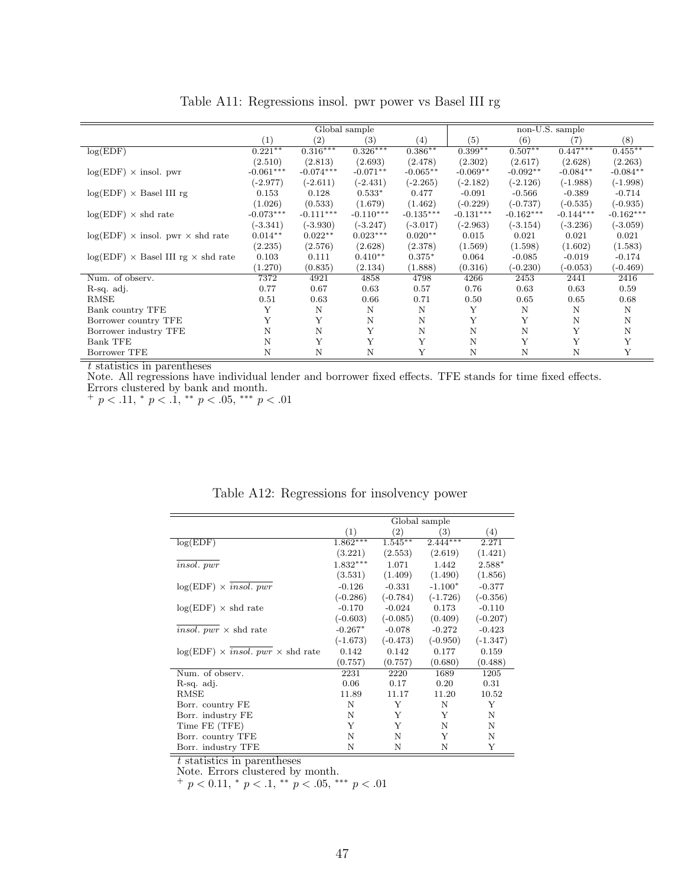<span id="page-47-0"></span>

|                                                  |             |                   | Global sample |             |             |             | non-U.S. sample |             |
|--------------------------------------------------|-------------|-------------------|---------------|-------------|-------------|-------------|-----------------|-------------|
|                                                  | (1)         | $\left( 2\right)$ | (3)           | (4)         | (5)         | (6)         | (7)             | (8)         |
| log(EDF)                                         | $0.221**$   | $0.316***$        | $0.326***$    | $0.386**$   | $0.399**$   | $0.507**$   | $0.447***$      | $0.455***$  |
|                                                  | (2.510)     | (2.813)           | (2.693)       | (2.478)     | (2.302)     | (2.617)     | (2.628)         | (2.263)     |
| $log(EDF) \times insol.$ pwr                     | $-0.061***$ | $-0.074***$       | $-0.071**$    | $-0.065**$  | $-0.069**$  | $-0.092**$  | $-0.084**$      | $-0.084**$  |
|                                                  | $(-2.977)$  | $(-2.611)$        | $(-2.431)$    | $(-2.265)$  | $(-2.182)$  | $(-2.126)$  | $(-1.988)$      | $(-1.998)$  |
| $log(EDF) \times$ Basel III rg                   | 0.153       | 0.128             | $0.533*$      | 0.477       | $-0.091$    | $-0.566$    | $-0.389$        | $-0.714$    |
|                                                  | (1.026)     | (0.533)           | (1.679)       | (1.462)     | $(-0.229)$  | $(-0.737)$  | $(-0.535)$      | $(-0.935)$  |
| $log(EDF) \times shd$ rate                       | $-0.073***$ | $-0.111***$       | $-0.110***$   | $-0.135***$ | $-0.131***$ | $-0.162***$ | $-0.144***$     | $-0.162***$ |
|                                                  | $(-3.341)$  | $(-3.930)$        | $(-3.247)$    | $(-3.017)$  | $(-2.963)$  | $(-3.154)$  | $(-3.236)$      | $(-3.059)$  |
| $log(EDF)$ × insol. pwr × shd rate               | $0.014**$   | $0.022**$         | $0.023***$    | $0.020**$   | 0.015       | 0.021       | 0.021           | 0.021       |
|                                                  | (2.235)     | (2.576)           | (2.628)       | (2.378)     | (1.569)     | (1.598)     | (1.602)         | (1.583)     |
| $log(EDF) \times$ Basel III rg $\times$ shd rate | 0.103       | 0.111             | $0.410**$     | $0.375*$    | 0.064       | $-0.085$    | $-0.019$        | $-0.174$    |
|                                                  | (1.270)     | (0.835)           | (2.134)       | (1.888)     | (0.316)     | $-0.230)$   | $(-0.053)$      | $(-0.469)$  |
| Num. of observ.                                  | 7372        | 4921              | 4858          | 4798        | 4266        | 2453        | 2441            | 2416        |
| R-sq. adj.                                       | 0.77        | 0.67              | 0.63          | 0.57        | 0.76        | 0.63        | 0.63            | 0.59        |
| <b>RMSE</b>                                      | 0.51        | 0.63              | 0.66          | 0.71        | 0.50        | 0.65        | 0.65            | 0.68        |
| Bank country TFE                                 | Y           | N                 | N             | N           | Y           | N           | N               | N           |
| Borrower country TFE                             | Y           | Y                 | N             | N           | Y           | Y           | N               | $\mathbf N$ |
| Borrower industry TFE                            | N           | N                 | Y             | N           | N           | $\mathbf N$ | Y               | N           |
| Bank TFE                                         | N           | Y                 | Y             | Y           | N           | Y           | Y               | Y           |
| Borrower TFE                                     | N           | N                 | N             |             | N           | N           | N               | Y           |

Table A11: Regressions insol. pwr power vs Basel III rg

Note. All regressions have individual lender and borrower fixed effects. TFE stands for time fixed effects. Errors clustered by bank and month.

 $+ p < .11, * p < .1, ** p < .05, ** p < .01$ 

|                                              |            |            | Global sample |            |
|----------------------------------------------|------------|------------|---------------|------------|
|                                              | (1)        | (2)        | (3)           | (4)        |
| $log(ED\overline{F})$                        | $1.862***$ | $1.545**$  | $2.444***$    | 2.271      |
|                                              | (3.221)    | (2.553)    | (2.619)       | (1.421)    |
| <i>insol.</i> pwr                            | $1.832***$ | 1.071      | 1.442         | $2.588*$   |
|                                              | (3.531)    | (1.409)    | (1.490)       | (1.856)    |
| $log(EDF) \times insol. pwr$                 | $-0.126$   | $-0.331$   | $-1.100*$     | $-0.377$   |
|                                              | $(-0.286)$ | $(-0.784)$ | $(-1.726)$    | $(-0.356)$ |
| $log(EDF) \times shd$ rate                   | $-0.170$   | $-0.024$   | 0.173         | $-0.110$   |
|                                              | $(-0.603)$ | $(-0.085)$ | (0.409)       | $(-0.207)$ |
| <i>insol.</i> $pwr \times$ shd rate          | $-0.267*$  | $-0.078$   | $-0.272$      | $-0.423$   |
|                                              | $(-1.673)$ | $(-0.473)$ | $(-0.950)$    | $(-1.347)$ |
| $log(EDF) \times insol. pwr \times shd rate$ | 0.142      | 0.142      | 0.177         | 0.159      |
|                                              | (0.757)    | (0.757)    | (0.680)       | (0.488)    |
| Num. of observ.                              | 2231       | 2220       | 1689          | 1205       |
| R-sq. adj.                                   | 0.06       | 0.17       | 0.20          | 0.31       |
| RMSE                                         | 11.89      | 11.17      | 11.20         | 10.52      |
| Borr. country FE                             | Ν          | Y          | N             | Y          |
| Borr. industry FE                            | N          | Y          | Y             | N          |
| Time FE (TFE)                                | Y          | Y          | N             | N          |
| Borr. country TFE                            | N          | N          | Y             | Ν          |
| Borr. industry TFE                           | N          | N          | N             | Y          |

Table A12: Regressions for insolvency power

t statistics in parentheses

Note. Errors clustered by month.

 $^{+}$  p < 0.11,  $^{*}$  p < .1,  $^{**}$  p < .05,  $^{***}$  p < .01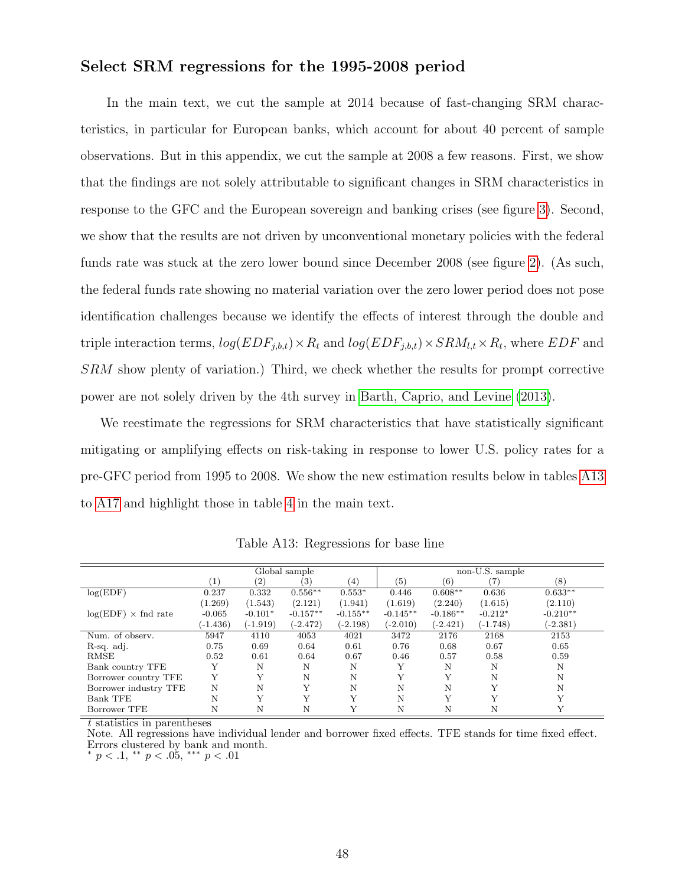#### <span id="page-48-0"></span>Select SRM regressions for the 1995-2008 period

In the main text, we cut the sample at 2014 because of fast-changing SRM characteristics, in particular for European banks, which account for about 40 percent of sample observations. But in this appendix, we cut the sample at 2008 a few reasons. First, we show that the findings are not solely attributable to significant changes in SRM characteristics in response to the GFC and the European sovereign and banking crises (see figure [3\)](#page-28-0). Second, we show that the results are not driven by unconventional monetary policies with the federal funds rate was stuck at the zero lower bound since December 2008 (see figure [2\)](#page-27-0). (As such, the federal funds rate showing no material variation over the zero lower period does not pose identification challenges because we identify the effects of interest through the double and triple interaction terms,  $log(EDF_{j,b,t}) \times R_t$  and  $log(EDF_{j,b,t}) \times SRM_{l,t} \times R_t$ , where  $EDF$  and SRM show plenty of variation.) Third, we check whether the results for prompt corrective power are not solely driven by the 4th survey in [Barth, Caprio, and Levine](#page-24-3) [\(2013\)](#page-24-3).

We reestimate the regressions for SRM characteristics that have statistically significant mitigating or amplifying effects on risk-taking in response to lower U.S. policy rates for a pre-GFC period from 1995 to 2008. We show the new estimation results below in tables [A13](#page-48-1) to [A17](#page-50-0) and highlight those in table [4](#page-33-0) in the main text.

<span id="page-48-1"></span>

|                             |                   |             | Global sample     |            |            |            | non-U.S. sample |            |
|-----------------------------|-------------------|-------------|-------------------|------------|------------|------------|-----------------|------------|
|                             | $\left( 1\right)$ | (2)         | $\left( 3\right)$ | (4)        | (5)        | (6)        |                 | (8)        |
| log(EDF)                    | 0.237             | 0.332       | $0.556**$         | $0.553*$   | 0.446      | $0.608**$  | 0.636           | $0.633**$  |
|                             | (1.269)           | (1.543)     | (2.121)           | (1.941)    | (1.619)    | (2.240)    | (1.615)         | (2.110)    |
| $log(EDF) \times find$ rate | $-0.065$          | $-0.101*$   | $-0.157**$        | $-0.155**$ | $-0.145**$ | $-0.186**$ | $-0.212*$       | $-0.210**$ |
|                             | $(-1.436)$        | $(-1.919)$  | $(-2.472)$        | $(-2.198)$ | $(-2.010)$ | $(-2.421)$ | $(-1.748)$      | $(-2.381)$ |
| Num. of observ.             | 5947              | 4110        | 4053              | 4021       | 3472       | 2176       | 2168            | 2153       |
| R-sq. adj.                  | 0.75              | 0.69        | 0.64              | 0.61       | 0.76       | 0.68       | 0.67            | 0.65       |
| <b>RMSE</b>                 | 0.52              | 0.61        | 0.64              | 0.67       | 0.46       | 0.57       | 0.58            | 0.59       |
| Bank country TFE            |                   | N           | N                 | N          |            | N          |                 | N          |
| Borrower country TFE        | Y                 | Y           | N                 | N          | Y          | Y          | N               | N          |
| Borrower industry TFE       | N                 | N           | Y                 | N          | N          | N          |                 | N          |
| <b>Bank TFE</b>             | N                 | $\mathbf v$ | Y                 |            | N          | Y          |                 |            |
| Borrower TFE                |                   | Ν           | Ν                 |            | N          | Ν          |                 |            |

Table A13: Regressions for base line

t statistics in parentheses

Note. All regressions have individual lender and borrower fixed effects. TFE stands for time fixed effect. Errors clustered by bank and month.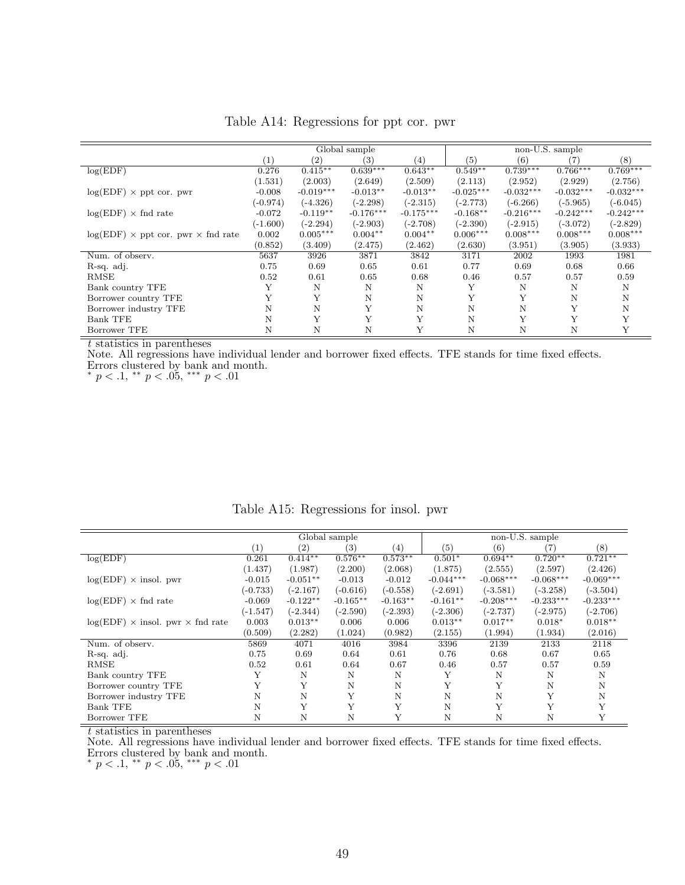|                                                  |                  |                   | Global sample |             |                   |             | non-U.S. sample |             |
|--------------------------------------------------|------------------|-------------------|---------------|-------------|-------------------|-------------|-----------------|-------------|
|                                                  | $\left(1\right)$ | $\left( 2\right)$ | (3)           | (4)         | $\left( 5\right)$ | (6)         |                 | (8)         |
| log(EDF)                                         | 0.276            | $0.415***$        | $0.639***$    | $0.643**$   | $0.549**$         | $0.739***$  | $0.766***$      | $0.769***$  |
|                                                  | (1.531)          | (2.003)           | (2.649)       | (2.509)     | (2.113)           | (2.952)     | (2.929)         | (2.756)     |
| $log(EDF) \times$ ppt cor. pwr                   | $-0.008$         | $-0.019***$       | $-0.013**$    | $-0.013**$  | $-0.025***$       | $-0.032***$ | $-0.032***$     | $-0.032***$ |
|                                                  | $(-0.974)$       | $(-4.326)$        | $(-2.298)$    | $(-2.315)$  | $(-2.773)$        | $(-6.266)$  | $(-5.965)$      | $(-6.045)$  |
| $log(EDF) \times find$ rate                      | $-0.072$         | $-0.119**$        | $-0.176***$   | $-0.175***$ | $-0.168**$        | $-0.216***$ | $-0.242***$     | $-0.242***$ |
|                                                  | $(-1.600)$       | $(-2.294)$        | $(-2.903)$    | $(-2.708)$  | $(-2.390)$        | $(-2.915)$  | $(-3.072)$      | $(-2.829)$  |
| $log(EDF) \times$ ppt cor. pwr $\times$ fnd rate | 0.002            | $0.005***$        | $0.004**$     | $0.004**$   | $0.006***$        | $0.008***$  | $0.008***$      | $0.008***$  |
|                                                  | (0.852)          | (3.409)           | (2.475)       | (2.462)     | (2.630)           | (3.951)     | (3.905)         | (3.933)     |
| Num. of observ.                                  | 5637             | 3926              | 3871          | 3842        | 3171              | 2002        | 1993            | 1981        |
| R-sq. adj.                                       | 0.75             | 0.69              | 0.65          | 0.61        | 0.77              | 0.69        | 0.68            | 0.66        |
| RMSE                                             | 0.52             | 0.61              | 0.65          | 0.68        | 0.46              | 0.57        | 0.57            | 0.59        |
| Bank country TFE                                 | Y                | N                 | N             | N           | Y                 | N           | N               | N           |
| Borrower country TFE                             |                  |                   | N             | N           | Y                 | Υ           | Ν               | Ν           |
| Borrower industry TFE                            | N                | Ν                 | Y             | N           | N                 | N           |                 | Ν           |
| <b>Bank TFE</b>                                  | N                |                   | Y             | Y           | N                 | Y           |                 |             |
| Borrower TFE                                     | N                | N                 | N             | Y           | N                 | N           | Ν               | Y           |

Table A14: Regressions for ppt cor. pwr

Note. All regressions have individual lender and borrower fixed effects. TFE stands for time fixed effects. Errors clustered by bank and month.

\*  $p < .1,$  \*\*  $p < .05,$  \*\*\*  $p < .01$ 

|                                    |                  |                   | Global sample     |            |             |             | non-U.S. sample |             |
|------------------------------------|------------------|-------------------|-------------------|------------|-------------|-------------|-----------------|-------------|
|                                    | $\left(1\right)$ | $\left( 2\right)$ | $\left( 3\right)$ | (4)        | (5)         | (6)         | 7               | (8)         |
| log(EDF)                           | 0.261            | $0.414**$         | $0.576**$         | $0.573**$  | $0.501*$    | $0.694**$   | $0.720**$       | $0.721**$   |
|                                    | (1.437)          | (1.987)           | (2.200)           | (2.068)    | (1.875)     | (2.555)     | (2.597)         | (2.426)     |
| $log(EDF) \times insol.$ pwr       | $-0.015$         | $-0.051**$        | $-0.013$          | $-0.012$   | $-0.044***$ | $-0.068***$ | $-0.068***$     | $-0.069***$ |
|                                    | $(-0.733)$       | $(-2.167)$        | $(-0.616)$        | $(-0.558)$ | $(-2.691)$  | $(-3.581)$  | $(-3.258)$      | $(-3.504)$  |
| $log(EDF) \times find$ rate        | $-0.069$         | $-0.122**$        | $-0.165**$        | $-0.163**$ | $-0.161**$  | $-0.208***$ | $-0.233***$     | $-0.233***$ |
|                                    | $(-1.547)$       | $(-2.344)$        | $(-2.590)$        | $(-2.393)$ | $(-2.306)$  | $(-2.737)$  | $(-2.975)$      | $(-2.706)$  |
| $log(EDF)$ × insol. pwr × fnd rate | 0.003            | $0.013**$         | 0.006             | 0.006      | $0.013**$   | $0.017**$   | $0.018*$        | $0.018**$   |
|                                    | (0.509)          | (2.282)           | (1.024)           | (0.982)    | (2.155)     | (1.994)     | (1.934)         | (2.016)     |
| Num. of observ.                    | 5869             | 4071              | 4016              | 3984       | 3396        | 2139        | 2133            | 2118        |
| R-sq. adj.                         | 0.75             | 0.69              | 0.64              | 0.61       | 0.76        | 0.68        | 0.67            | 0.65        |
| <b>RMSE</b>                        | 0.52             | 0.61              | 0.64              | 0.67       | 0.46        | 0.57        | 0.57            | 0.59        |
| Bank country TFE                   | Υ                | N                 | Ν                 | N          | Υ           | N           | N               | Ν           |
| Borrower country TFE               | Υ                | Y                 | Ν                 | N          | Υ           | Y           | N               | N           |
| Borrower industry TFE              | N                | N                 | Y                 | N          | N           | Ν           | Y               | N           |
| <b>Bank TFE</b>                    | N                | Y                 | Y                 | Y          | N           | Y           | Y               | Y           |
| Borrower TFE                       | N                | N                 | Ν                 | Y          | N           | N           | N               | Y           |

Table A15: Regressions for insol. pwr

t statistics in parentheses

Note. All regressions have individual lender and borrower fixed effects. TFE stands for time fixed effects. Errors clustered by bank and month.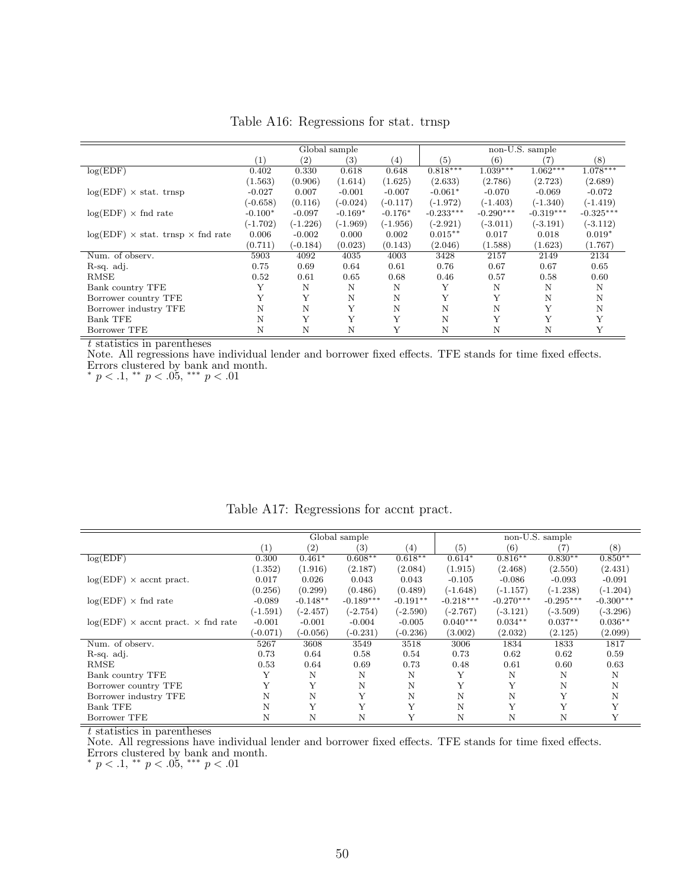|                                                 |            |                   | Global sample     |            |             |             | non-U.S. sample |             |
|-------------------------------------------------|------------|-------------------|-------------------|------------|-------------|-------------|-----------------|-------------|
|                                                 | (1)        | $\left( 2\right)$ | $\left( 3\right)$ | (4)        | (5)         | (6)         | (7)             | (8)         |
| log(EDF)                                        | 0.402      | 0.330             | 0.618             | 0.648      | $0.818***$  | $1.039***$  | $1.062***$      | $1.078***$  |
|                                                 | (1.563)    | (0.906)           | (1.614)           | (1.625)    | (2.633)     | (2.786)     | (2.723)         | (2.689)     |
| $log(EDF) \times$ stat. trnsp                   | $-0.027$   | 0.007             | $-0.001$          | $-0.007$   | $-0.061*$   | $-0.070$    | $-0.069$        | $-0.072$    |
|                                                 | $(-0.658)$ | (0.116)           | $(-0.024)$        | $(-0.117)$ | $(-1.972)$  | $(-1.403)$  | $(-1.340)$      | $(-1.419)$  |
| $log(EDF) \times find$ rate                     | $-0.100*$  | $-0.097$          | $-0.169*$         | $-0.176*$  | $-0.233***$ | $-0.290***$ | $-0.319***$     | $-0.325***$ |
|                                                 | $(-1.702)$ | $(-1.226)$        | $(-1.969)$        | $(-1.956)$ | $(-2.921)$  | $(-3.011)$  | $(-3.191)$      | $(-3.112)$  |
| $log(EDF) \times$ stat. trnsp $\times$ fnd rate | 0.006      | $-0.002$          | 0.000             | 0.002      | $0.015***$  | 0.017       | 0.018           | $0.019*$    |
|                                                 | (0.711)    | $(-0.184)$        | (0.023)           | (0.143)    | (2.046)     | (1.588)     | (1.623)         | (1.767)     |
| Num. of observ.                                 | 5903       | 4092              | 4035              | 4003       | 3428        | 2157        | 2149            | 2134        |
| R-sq. adj.                                      | 0.75       | 0.69              | 0.64              | 0.61       | 0.76        | 0.67        | 0.67            | 0.65        |
| RMSE                                            | 0.52       | 0.61              | 0.65              | 0.68       | 0.46        | 0.57        | 0.58            | 0.60        |
| Bank country TFE                                | Y          | N                 | N                 | N          | Y           | N           | N               | N           |
| Borrower country TFE                            | Y          | Y                 | N                 | N          | Υ           | Y           | N               | Ν           |
| Borrower industry TFE                           | N          | Ν                 | Y                 | N          | N           | Ν           | Y               | Ν           |
| <b>Bank TFE</b>                                 | N          | Y                 | Y                 | Y          | N           | Y           | Y               |             |
| Borrower TFE                                    | N          | N                 | N                 | Y          | N           | N           | Ν               |             |

Table A16: Regressions for stat. trnsp

Note. All regressions have individual lender and borrower fixed effects. TFE stands for time fixed effects. Errors clustered by bank and month.

\*  $p < .1,$  \*\*  $p < .05,$  \*\*\*  $p < .01$ 

<span id="page-50-0"></span>

|                                             |            |                   | Global sample |                  |             |             | non-U.S. sample |             |
|---------------------------------------------|------------|-------------------|---------------|------------------|-------------|-------------|-----------------|-------------|
|                                             | (1)        | $\left( 2\right)$ | (3)           | $\left(4\right)$ | (5)         | (6)         | (7)             | (8)         |
| log(EDF)                                    | 0.300      | $0.461*$          | $0.608**$     | $0.618**$        | $0.614*$    | $0.816**$   | $0.830**$       | $0.850**$   |
|                                             | (1.352)    | (1.916)           | (2.187)       | (2.084)          | (1.915)     | (2.468)     | (2.550)         | (2.431)     |
| $log(EDF) \times$ accnt pract.              | 0.017      | 0.026             | 0.043         | 0.043            | $-0.105$    | $-0.086$    | $-0.093$        | $-0.091$    |
|                                             | (0.256)    | (0.299)           | (0.486)       | (0.489)          | $(-1.648)$  | $(-1.157)$  | $(-1.238)$      | $(-1.204)$  |
| $log(EDF) \times find$ rate                 | $-0.089$   | $-0.148**$        | $-0.189***$   | $-0.191**$       | $-0.218***$ | $-0.270***$ | $-0.295***$     | $-0.300***$ |
|                                             | $(-1.591)$ | $(-2.457)$        | $(-2.754)$    | $(-2.590)$       | $(-2.767)$  | $(-3.121)$  | $(-3.509)$      | $(-3.296)$  |
| $log(EDF)$ × accnt pract. $\times$ fnd rate | $-0.001$   | $-0.001$          | $-0.004$      | $-0.005$         | $0.040***$  | $0.034**$   | $0.037**$       | $0.036**$   |
|                                             | $(-0.071)$ | $(-0.056)$        | (-0.231)      | $(-0.236)$       | (3.002)     | (2.032)     | (2.125)         | (2.099)     |
| Num. of observ.                             | 5267       | 3608              | 3549          | 3518             | 3006        | 1834        | 1833            | 1817        |
| R-sq. adj.                                  | 0.73       | 0.64              | 0.58          | 0.54             | 0.73        | 0.62        | 0.62            | 0.59        |
| <b>RMSE</b>                                 | 0.53       | 0.64              | 0.69          | 0.73             | 0.48        | 0.61        | 0.60            | 0.63        |
| Bank country TFE                            |            | N                 | N             | Ν                | Y           | Ν           | N               | N           |
| Borrower country TFE                        |            | Y                 | N             | N                | Y           | Y           | N               | N           |
| Borrower industry TFE                       | N          | N                 | Y             | N                | N           | N           | Y               | N           |
| Bank TFE                                    | N          | Y                 | Y             | Y                | Ν           | Y           | Y               |             |
| Borrower TFE                                | N          | N                 | N             | Y                | N           | N           | N               |             |

Table A17: Regressions for accnt pract.

t statistics in parentheses

Note. All regressions have individual lender and borrower fixed effects. TFE stands for time fixed effects. Errors clustered by bank and month.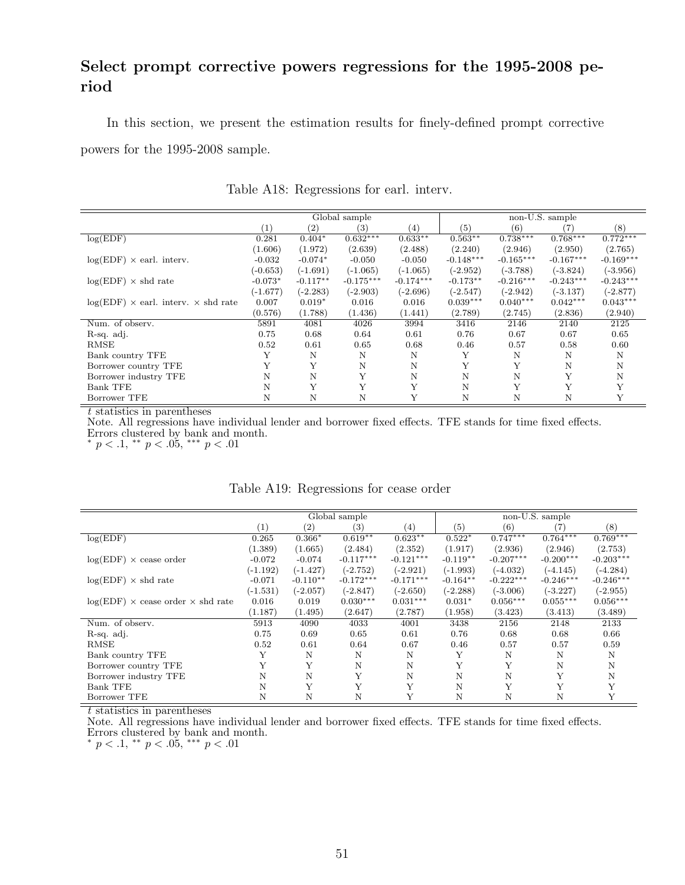## <span id="page-51-0"></span>Select prompt corrective powers regressions for the 1995-2008 period

In this section, we present the estimation results for finely-defined prompt corrective powers for the 1995-2008 sample.

|                                                   |            |                   | Global sample |                   |             |             | non-U.S. sample |             |
|---------------------------------------------------|------------|-------------------|---------------|-------------------|-------------|-------------|-----------------|-------------|
|                                                   | (1)        | $\left( 2\right)$ | (3)           | $\left( 4\right)$ | (5)         | (6)         | (7)             | (8)         |
| log(EDF)                                          | 0.281      | $0.404*$          | $0.632***$    | $0.633**$         | $0.563**$   | $0.738***$  | $0.768***$      | $0.772***$  |
|                                                   | (1.606)    | (1.972)           | (2.639)       | (2.488)           | (2.240)     | (2.946)     | (2.950)         | (2.765)     |
| $log(EDF) \times$ earl. interv.                   | $-0.032$   | $-0.074*$         | $-0.050$      | $-0.050$          | $-0.148***$ | $-0.165***$ | $-0.167***$     | $-0.169***$ |
|                                                   | $(-0.653)$ | $(-1.691)$        | $(-1.065)$    | $(-1.065)$        | $(-2.952)$  | $(-3.788)$  | $(-3.824)$      | $(-3.956)$  |
| $log(EDF) \times shd$ rate                        | $-0.073*$  | $-0.117**$        | $-0.175***$   | $-0.174***$       | $-0.173**$  | $-0.216***$ | $-0.243***$     | $-0.243***$ |
|                                                   | $(-1.677)$ | $(-2.283)$        | $(-2.903)$    | $(-2.696)$        | $(-2.547)$  | $(-2.942)$  | $(-3.137)$      | $(-2.877)$  |
| $log(EDF) \times$ earl. interv. $\times$ shd rate | 0.007      | $0.019*$          | 0.016         | 0.016             | $0.039***$  | $0.040***$  | $0.042***$      | $0.043***$  |
|                                                   | (0.576)    | (1.788)           | (1.436)       | (1.441)           | (2.789)     | (2.745)     | (2.836)         | (2.940)     |
| Num. of observ.                                   | 5891       | 4081              | 4026          | 3994              | 3416        | 2146        | 2140            | 2125        |
| R-sq. adj.                                        | 0.75       | 0.68              | 0.64          | 0.61              | 0.76        | 0.67        | 0.67            | 0.65        |
| RMSE                                              | 0.52       | 0.61              | 0.65          | 0.68              | 0.46        | 0.57        | 0.58            | 0.60        |
| Bank country TFE                                  | Y          | N                 | N             | Ν                 | Y           | N           | N               | N           |
| Borrower country TFE                              |            | Y                 | N             | N                 | Y           | Y           | N               | N           |
| Borrower industry TFE                             | N          | N                 | Y             | N                 | N           | Ν           | Y               | N           |
| <b>Bank TFE</b>                                   | N          | Y                 | Y             | Y                 | N           | Y           | Y               | Y           |
| Borrower TFE                                      | Ν          | N                 | N             | Υ                 | N           | N           | N               | Y           |

Table A18: Regressions for earl. interv.

t statistics in parentheses

Note. All regressions have individual lender and borrower fixed effects. TFE stands for time fixed effects.

Errors clustered by bank and month.

\*  $p < .1,$  \*\*  $p < .05,$  \*\*\*  $p < .01$ 

|                                                 |            |                   | Global sample |                  |            |             | non-U.S. sample |             |
|-------------------------------------------------|------------|-------------------|---------------|------------------|------------|-------------|-----------------|-------------|
|                                                 | (1)        | $\left( 2\right)$ | (3)           | $\left(4\right)$ | (5)        | (6)         | (7)             | (8)         |
| log(EDF)                                        | 0.265      | $0.366*$          | $0.619**$     | $0.623**$        | $0.522*$   | $0.747***$  | $0.764***$      | $0.769***$  |
|                                                 | (1.389)    | (1.665)           | (2.484)       | (2.352)          | (1.917)    | (2.936)     | (2.946)         | (2.753)     |
| $log(EDF) \times$ cease order                   | $-0.072$   | $-0.074$          | $-0.117***$   | $-0.121***$      | $-0.119**$ | $-0.207***$ | $-0.200***$     | $-0.203***$ |
|                                                 | $(-1.192)$ | $(-1.427)$        | $(-2.752)$    | $(-2.921)$       | $(-1.993)$ | $(-4.032)$  | $(-4.145)$      | $(-4.284)$  |
| $log(EDF) \times shd$ rate                      | $-0.071$   | $-0.110**$        | $-0.172***$   | $-0.171***$      | $-0.164**$ | $-0.222***$ | $-0.246***$     | $-0.246***$ |
|                                                 | $(-1.531)$ | $(-2.057)$        | $(-2.847)$    | $(-2.650)$       | $(-2.288)$ | $(-3.006)$  | $(-3.227)$      | $(-2.955)$  |
| $log(EDF) \times$ cease order $\times$ shd rate | 0.016      | 0.019             | $0.030***$    | $0.031***$       | $0.031*$   | $0.056***$  | $0.055***$      | $0.056***$  |
|                                                 | (1.187)    | (1.495)           | (2.647)       | (2.787)          | (1.958)    | (3.423)     | (3.413)         | (3.489)     |
| Num. of observ.                                 | 5913       | 4090              | 4033          | 4001             | 3438       | 2156        | 2148            | 2133        |
| R-sq. adj.                                      | 0.75       | 0.69              | 0.65          | 0.61             | 0.76       | 0.68        | 0.68            | 0.66        |
| <b>RMSE</b>                                     | 0.52       | 0.61              | 0.64          | 0.67             | 0.46       | 0.57        | 0.57            | 0.59        |
| Bank country TFE                                | Y          | N                 | N             | N                | Y          | N           | N               | N           |
| Borrower country TFE                            | Y          | Y                 | N             | N                | Y          | Y           | N               | N           |
| Borrower industry TFE                           | N          | N                 | Y             | N                | N          | N           | Υ               | N           |
| <b>Bank TFE</b>                                 | N          | Y                 | Y             | Y                | N          | Y           | Y               | Y           |
| Borrower TFE                                    | Ν          | N                 | N             | Y                | N          | N           | N               | Y           |

Table A19: Regressions for cease order

 $\overline{t}$  statistics in parentheses

Note. All regressions have individual lender and borrower fixed effects. TFE stands for time fixed effects. Errors clustered by bank and month.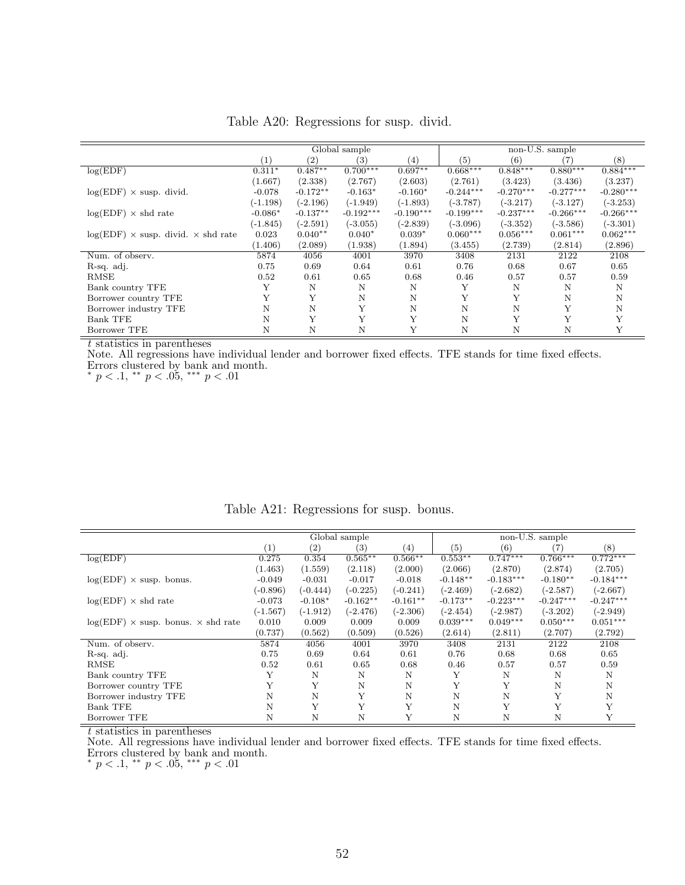|                                                  |            |            | Global sample    |                   |             |             | non-U.S. sample |                  |
|--------------------------------------------------|------------|------------|------------------|-------------------|-------------|-------------|-----------------|------------------|
|                                                  | (1)        | (2)        | $\left(3\right)$ | $\left( 4\right)$ | (5)         | (6)         | (7              | $\left(8\right)$ |
| log(EDF)                                         | $0.311*$   | $0.487**$  | $0.700***$       | $0.697**$         | $0.668***$  | $0.848***$  | $0.880***$      | $0.884***$       |
|                                                  | (1.667)    | (2.338)    | (2.767)          | (2.603)           | (2.761)     | (3.423)     | (3.436)         | (3.237)          |
| $log(EDF) \times$ susp. divid.                   | $-0.078$   | $-0.172**$ | $-0.163*$        | $-0.160*$         | $-0.244***$ | $-0.270***$ | $-0.277***$     | $-0.280***$      |
|                                                  | $(-1.198)$ | $(-2.196)$ | $(-1.949)$       | $(-1.893)$        | $(-3.787)$  | $(-3.217)$  | $(-3.127)$      | $(-3.253)$       |
| $log(EDF) \times shd$ rate                       | $-0.086*$  | $-0.137**$ | $-0.192***$      | $-0.190***$       | $-0.199***$ | $-0.237***$ | $-0.266***$     | $-0.266***$      |
|                                                  | $(-1.845)$ | $(-2.591)$ | $(-3.055)$       | $(-2.839)$        | $(-3.096)$  | $(-3.352)$  | $(-3.586)$      | $(-3.301)$       |
| $log(EDF) \times$ susp. divid. $\times$ shd rate | 0.023      | $0.040**$  | $0.040*$         | $0.039*$          | $0.060***$  | $0.056***$  | $0.061***$      | $0.062***$       |
|                                                  | (1.406)    | (2.089)    | (1.938)          | (1.894)           | (3.455)     | (2.739)     | (2.814)         | (2.896)          |
| Num. of observ.                                  | 5874       | 4056       | 4001             | 3970              | 3408        | 2131        | 2122            | 2108             |
| R-sq. adj.                                       | 0.75       | 0.69       | 0.64             | 0.61              | 0.76        | 0.68        | 0.67            | 0.65             |
| RMSE                                             | 0.52       | 0.61       | 0.65             | 0.68              | 0.46        | 0.57        | 0.57            | 0.59             |
| Bank country TFE                                 | Y          | N          | Ν                | N                 | Y           | N           | N               | N                |
| Borrower country TFE                             | Y          | Y          | N                | N                 | Y           | Υ           | N               | N                |
| Borrower industry TFE                            | N          | N          | Y                | N                 | N           | N           | Y               | N                |
| <b>Bank TFE</b>                                  | N          | Y          | Y                | Y                 | N           | Y           | Y               | Y                |
| Borrower TFE                                     | N          | N          | N                | Y                 | N           | N           | N               | Y                |

Table A20: Regressions for susp. divid.

Note. All regressions have individual lender and borrower fixed effects. TFE stands for time fixed effects. Errors clustered by bank and month.

\*  $p < .1,$  \*\*  $p < .05,$  \*\*\*  $p < .01$ 

|                                                  |            |            | Global sample |                   |            |             | non-U.S. sample |             |
|--------------------------------------------------|------------|------------|---------------|-------------------|------------|-------------|-----------------|-------------|
|                                                  | (1)        | (2)        | (3)           | $\left( 4\right)$ | (5)        | (6)         | (7)             | (8)         |
| log(EDF)                                         | 0.275      | 0.354      | $0.565**$     | $0.566**$         | $0.553**$  | $0.747***$  | $0.766***$      | $0.772***$  |
|                                                  | (1.463)    | (1.559)    | (2.118)       | (2.000)           | (2.066)    | (2.870)     | (2.874)         | (2.705)     |
| $log(EDF) \times susp.$ bonus.                   | $-0.049$   | $-0.031$   | $-0.017$      | $-0.018$          | $-0.148**$ | $-0.183***$ | $-0.180**$      | $-0.184***$ |
|                                                  | $(-0.896)$ | $(-0.444)$ | $(-0.225)$    | $(-0.241)$        | $(-2.469)$ | $(-2.682)$  | $(-2.587)$      | $(-2.667)$  |
| $log(EDF) \times shd$ rate                       | $-0.073$   | $-0.108*$  | $-0.162**$    | $-0.161**$        | $-0.173**$ | $-0.223***$ | $-0.247***$     | $-0.247***$ |
|                                                  | $(-1.567)$ | $(-1.912)$ | $(-2.476)$    | $(-2.306)$        | $(-2.454)$ | $(-2.987)$  | $(-3.202)$      | $(-2.949)$  |
| $log(EDF) \times$ susp. bonus. $\times$ shd rate | 0.010      | 0.009      | 0.009         | 0.009             | $0.039***$ | $0.049***$  | $0.050***$      | $0.051***$  |
|                                                  | (0.737)    | (0.562)    | (0.509)       | (0.526)           | (2.614)    | (2.811)     | (2.707)         | (2.792)     |
| Num. of observ.                                  | 5874       | 4056       | 4001          | 3970              | 3408       | 2131        | 2122            | 2108        |
| R-sq. adj.                                       | 0.75       | 0.69       | 0.64          | 0.61              | 0.76       | 0.68        | 0.68            | 0.65        |
| <b>RMSE</b>                                      | 0.52       | 0.61       | 0.65          | 0.68              | 0.46       | 0.57        | 0.57            | 0.59        |
| Bank country TFE                                 | Y          | N          | N             | N                 | Y          | N           | N               | N           |
| Borrower country TFE                             |            | Y          | N             | N                 | Y          | Y           | N               | N           |
| Borrower industry TFE                            | N          | N          | Y             | N                 | Ν          | N           | Y               | N           |
| <b>Bank TFE</b>                                  | N          | Y          | Y             | Υ                 | N          | Y           | Y               |             |
| Borrower TFE                                     | N          | Ν          | N             | Y                 | N          | N           | N               |             |

Table A21: Regressions for susp. bonus.

t statistics in parentheses

Note. All regressions have individual lender and borrower fixed effects. TFE stands for time fixed effects. Errors clustered by bank and month.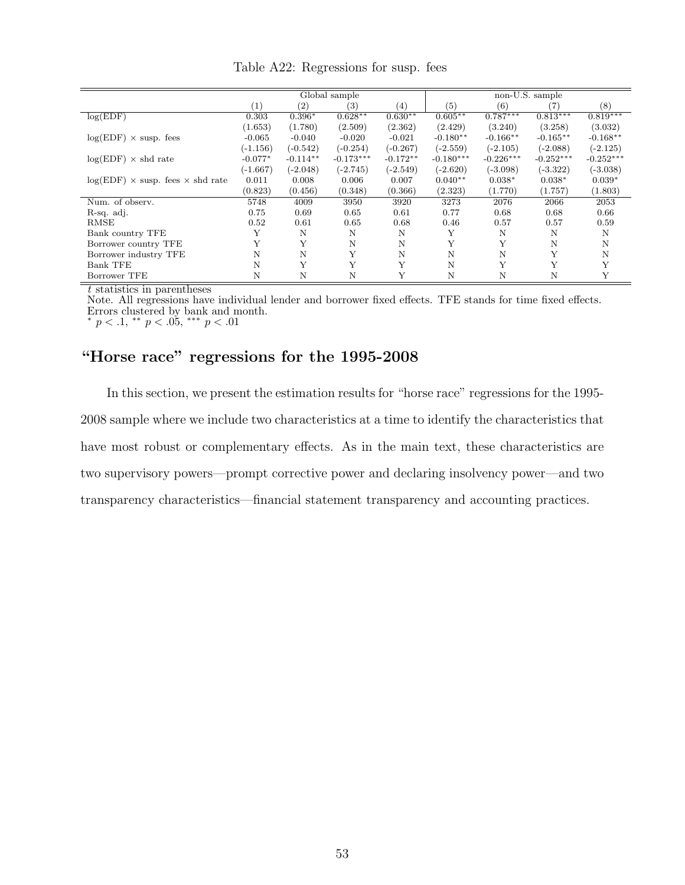|                                                | Global sample    |                   |                   |            | non-U.S. sample |             |             |             |  |
|------------------------------------------------|------------------|-------------------|-------------------|------------|-----------------|-------------|-------------|-------------|--|
|                                                | $\left(1\right)$ | $\left( 2\right)$ | $\left( 3\right)$ | (4)        | (5)             | (6)         | (7)         | (8)         |  |
| log(EDF)                                       | 0.303            | $0.396*$          | $0.628**$         | $0.630**$  | $0.605**$       | $0.787***$  | $0.813***$  | $0.819***$  |  |
|                                                | (1.653)          | (1.780)           | (2.509)           | (2.362)    | (2.429)         | (3.240)     | (3.258)     | (3.032)     |  |
| $log(EDF) \times$ susp. fees                   | $-0.065$         | $-0.040$          | $-0.020$          | $-0.021$   | $-0.180**$      | $-0.166**$  | $-0.165**$  | $-0.168**$  |  |
|                                                | $(-1.156)$       | $(-0.542)$        | $(-0.254)$        | $(-0.267)$ | $(-2.559)$      | $(-2.105)$  | $(-2.088)$  | $(-2.125)$  |  |
| $log(EDF) \times shd$ rate                     | $-0.077*$        | $-0.114**$        | $-0.173***$       | $-0.172**$ | $-0.180***$     | $-0.226***$ | $-0.252***$ | $-0.252***$ |  |
|                                                | $(-1.667)$       | $(-2.048)$        | $(-2.745)$        | $(-2.549)$ | $(-2.620)$      | $(-3.098)$  | $(-3.322)$  | $(-3.038)$  |  |
| $log(EDF) \times$ susp. fees $\times$ shd rate | 0.011            | 0.008             | 0.006             | 0.007      | $0.040**$       | $0.038*$    | $0.038*$    | $0.039*$    |  |
|                                                | (0.823)          | (0.456)           | (0.348)           | (0.366)    | (2.323)         | (1.770)     | (1.757)     | (1.803)     |  |
| Num. of observ.                                | 5748             | 4009              | 3950              | 3920       | 3273            | 2076        | 2066        | 2053        |  |
| R-sq. adj.                                     | 0.75             | 0.69              | 0.65              | 0.61       | 0.77            | 0.68        | 0.68        | 0.66        |  |
| <b>RMSE</b>                                    | 0.52             | 0.61              | 0.65              | 0.68       | 0.46            | 0.57        | 0.57        | 0.59        |  |
| Bank country TFE                               | Υ                | N                 | N                 | N          | Υ               | N           | N           | N           |  |
| Borrower country TFE                           | Y                | Y                 | N                 | N          | Y               | Y           | N           | N           |  |
| Borrower industry TFE                          | N                | N                 | Y                 | N          | N               | N           | Y           | N           |  |
| Bank TFE                                       | N                | Y                 | Y                 | Y          | N               | Y           | Y           | Y           |  |
| Borrower TFE                                   | N                | N                 | N                 | Y          | Ν               | N           | Ν           | Υ           |  |

Table A22: Regressions for susp. fees

Note. All regressions have individual lender and borrower fixed effects. TFE stands for time fixed effects. Errors clustered by bank and month.

\*  $p < .1$ , \*\*  $p < .05$ , \*\*\*  $p < .01$ 

#### "Horse race" regressions for the 1995-2008

In this section, we present the estimation results for "horse race" regressions for the 1995- 2008 sample where we include two characteristics at a time to identify the characteristics that have most robust or complementary effects. As in the main text, these characteristics are two supervisory powers—prompt corrective power and declaring insolvency power—and two transparency characteristics—financial statement transparency and accounting practices.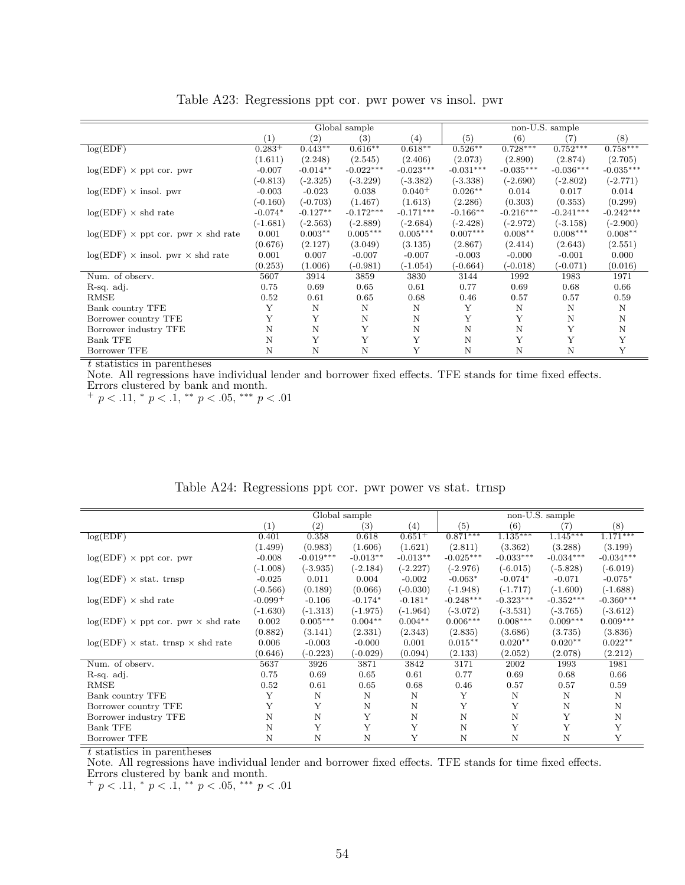<span id="page-54-0"></span>

|                                                  | Global sample |            |             |             | non-U.S. sample |             |             |             |  |
|--------------------------------------------------|---------------|------------|-------------|-------------|-----------------|-------------|-------------|-------------|--|
|                                                  | (1)           | (2)        | (3)         | (4)         | (5)             | (6)         | (7)         | (8)         |  |
| log(EDF)                                         | $0.283^{+}$   | $0.443**$  | $0.616**$   | $0.618**$   | $0.526**$       | $0.728***$  | $0.752***$  | $0.758***$  |  |
|                                                  | (1.611)       | (2.248)    | (2.545)     | (2.406)     | (2.073)         | (2.890)     | (2.874)     | (2.705)     |  |
| $log(EDF) \times$ ppt cor. pwr                   | $-0.007$      | $-0.014**$ | $-0.022***$ | $-0.023***$ | $-0.031***$     | $-0.035***$ | $-0.036***$ | $-0.035***$ |  |
|                                                  | $(-0.813)$    | $(-2.325)$ | $(-3.229)$  | $(-3.382)$  | $(-3.338)$      | $(-2.690)$  | $(-2.802)$  | $(-2.771)$  |  |
| $log(EDF) \times insol.$ pwr                     | $-0.003$      | $-0.023$   | 0.038       | $0.040^{+}$ | $0.026**$       | 0.014       | 0.017       | 0.014       |  |
|                                                  | $(-0.160)$    | $(-0.703)$ | (1.467)     | (1.613)     | (2.286)         | (0.303)     | (0.353)     | (0.299)     |  |
| $log(EDF) \times shd$ rate                       | $-0.074*$     | $-0.127**$ | $-0.172***$ | $-0.171***$ | $-0.166**$      | $-0.216***$ | $-0.241***$ | $-0.242***$ |  |
|                                                  | (-1.681)      | $(-2.563)$ | $(-2.889)$  | $(-2.684)$  | $(-2.428)$      | (-2.972)    | $(-3.158)$  | $(-2.900)$  |  |
| $log(EDF) \times$ ppt cor. pwr $\times$ shd rate | 0.001         | $0.003**$  | $0.005***$  | $0.005***$  | $0.007***$      | $0.008**$   | $0.008***$  | $0.008**$   |  |
|                                                  | (0.676)       | (2.127)    | (3.049)     | (3.135)     | (2.867)         | (2.414)     | (2.643)     | (2.551)     |  |
| $log(EDF)$ × insol. pwr × shd rate               | 0.001         | 0.007      | $-0.007$    | $-0.007$    | $-0.003$        | $-0.000$    | $-0.001$    | 0.000       |  |
|                                                  | (0.253)       | (1.006)    | (-0.981)    | $(-1.054)$  | $(-0.664)$      | $(-0.018)$  | $(-0.071)$  | (0.016)     |  |
| Num. of observ.                                  | 5607          | 3914       | 3859        | 3830        | 3144            | 1992        | 1983        | 1971        |  |
| R-sq. adj.                                       | 0.75          | 0.69       | 0.65        | 0.61        | 0.77            | 0.69        | 0.68        | 0.66        |  |
| RMSE                                             | 0.52          | 0.61       | 0.65        | 0.68        | 0.46            | 0.57        | 0.57        | 0.59        |  |
| Bank country TFE                                 | Y             | N          | N           | N           | Y               | N           | N           | N           |  |
| Borrower country TFE                             | Y             | Y          | N           | N           | Y               | Υ           | N           | N           |  |
| Borrower industry TFE                            | N             | N          | Y           | N           | N               | N           | Y           | N           |  |
| <b>Bank TFE</b>                                  | N             | Y          | Y           | Y           | N               | Y           | Y           | Y           |  |
| Borrower TFE                                     | Ν             | Ν          | N           | Y           | N               | N           | N           | Y           |  |

Table A23: Regressions ppt cor. pwr power vs insol. pwr

Note. All regressions have individual lender and borrower fixed effects. TFE stands for time fixed effects. Errors clustered by bank and month.

 $+p < .11,$  \*  $p < .1,$  \*\*  $p < .05,$  \*\*\*  $p < .01$ 

|                                                  | Global sample |             |            |                   | non-U.S. sample |             |             |             |  |
|--------------------------------------------------|---------------|-------------|------------|-------------------|-----------------|-------------|-------------|-------------|--|
|                                                  | (1)           | (2)         | (3)        | $\left( 4\right)$ | (5)             | (6)         | (7)         | (8)         |  |
| log(EDF)                                         | 0.401         | 0.358       | 0.618      | $0.651+$          | $0.871***$      | $1.135***$  | $1.145***$  | $1.171***$  |  |
|                                                  | (1.499)       | (0.983)     | (1.606)    | (1.621)           | (2.811)         | (3.362)     | (3.288)     | (3.199)     |  |
| $log(EDF) \times$ ppt cor. pwr                   | $-0.008$      | $-0.019***$ | $-0.013**$ | $-0.013**$        | $-0.025***$     | $-0.033***$ | $-0.034***$ | $-0.034***$ |  |
|                                                  | $(-1.008)$    | $(-3.935)$  | $(-2.184)$ | $(-2.227)$        | $(-2.976)$      | $(-6.015)$  | $(-5.828)$  | $(-6.019)$  |  |
| $log(EDF) \times stat.$ trnsp                    | $-0.025$      | 0.011       | 0.004      | $-0.002$          | $-0.063*$       | $-0.074*$   | $-0.071$    | $-0.075*$   |  |
|                                                  | $(-0.566)$    | (0.189)     | (0.066)    | $(-0.030)$        | $(-1.948)$      | $(-1.717)$  | $(-1.600)$  | $(-1.688)$  |  |
| $log(EDF) \times shd$ rate                       | $-0.099 +$    | $-0.106$    | $-0.174*$  | $-0.181*$         | $-0.248***$     | $-0.323***$ | $-0.352***$ | $-0.360***$ |  |
|                                                  | $(-1.630)$    | $(-1.313)$  | $(-1.975)$ | $(-1.964)$        | $(-3.072)$      | $(-3.531)$  | $(-3.765)$  | $(-3.612)$  |  |
| $log(EDF) \times$ ppt cor. pwr $\times$ shd rate | 0.002         | $0.005***$  | $0.004**$  | $0.004**$         | $0.006***$      | $0.008***$  | $0.009***$  | $0.009***$  |  |
|                                                  | (0.882)       | (3.141)     | (2.331)    | (2.343)           | (2.835)         | (3.686)     | (3.735)     | (3.836)     |  |
| $log(EDF) \times$ stat. trnsp $\times$ shd rate  | 0.006         | $-0.003$    | $-0.000$   | 0.001             | $0.015***$      | $0.020**$   | $0.020**$   | $0.022**$   |  |
|                                                  | (0.646)       | $(-0.223)$  | $(-0.029)$ | (0.094)           | (2.133)         | (2.052)     | (2.078)     | (2.212)     |  |
| Num. of observ.                                  | 5637          | 3926        | 3871       | 3842              | 3171            | 2002        | 1993        | 1981        |  |
| R-sq. adj.                                       | 0.75          | 0.69        | 0.65       | 0.61              | 0.77            | 0.69        | 0.68        | 0.66        |  |
| RMSE                                             | 0.52          | 0.61        | 0.65       | 0.68              | 0.46            | 0.57        | 0.57        | 0.59        |  |
| Bank country TFE                                 | Y             | N           | N          | $\mathbf N$       | Y               | N           | N           | N           |  |
| Borrower country TFE                             | Y             | Y           | N          | N                 | Y               | Y           | N           | N           |  |
| Borrower industry TFE                            | N             | N           | Y          | N                 | N               | N           | Y           | N           |  |
| <b>Bank TFE</b>                                  | N             | Y           | Y          | Y                 | N               | Y           | Y           | Y           |  |
| Borrower TFE                                     | N             | N           | N          | Y                 | N               | N           | N           | Y           |  |

Table A24: Regressions ppt cor. pwr power vs stat. trnsp

t statistics in parentheses

Note. All regressions have individual lender and borrower fixed effects. TFE stands for time fixed effects. Errors clustered by bank and month.

 $+p < .11, * p < .1, ** p < .05, ** p < .01$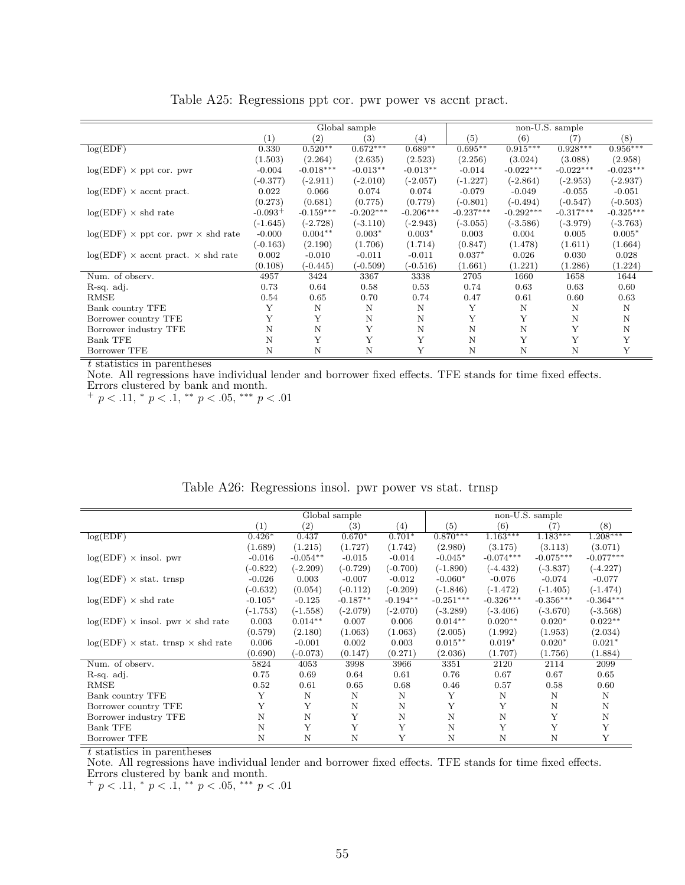|                                                  | Global sample |                   |             |             | non-U.S. sample |             |             |             |  |
|--------------------------------------------------|---------------|-------------------|-------------|-------------|-----------------|-------------|-------------|-------------|--|
|                                                  | (1)           | $\left( 2\right)$ | (3)         | (4)         | (5)             | (6)         | (7)         | (8)         |  |
| log(EDF)                                         | 0.330         | $0.520**$         | $0.672***$  | $0.689**$   | $0.695**$       | $0.915***$  | $0.928***$  | $0.956***$  |  |
|                                                  | (1.503)       | (2.264)           | (2.635)     | (2.523)     | (2.256)         | (3.024)     | (3.088)     | (2.958)     |  |
| $log(EDF) \times$ ppt cor. pwr                   | $-0.004$      | $-0.018***$       | $-0.013**$  | $-0.013**$  | $-0.014$        | $-0.022***$ | $-0.022***$ | $-0.023***$ |  |
|                                                  | (-0.377)      | $(-2.911)$        | $(-2.010)$  | $(-2.057)$  | $(-1.227)$      | $(-2.864)$  | $(-2.953)$  | $(-2.937)$  |  |
| $log(EDF) \times$ accnt pract.                   | 0.022         | 0.066             | 0.074       | 0.074       | $-0.079$        | $-0.049$    | $-0.055$    | $-0.051$    |  |
|                                                  | (0.273)       | (0.681)           | (0.775)     | (0.779)     | $(-0.801)$      | $(-0.494)$  | $(-0.547)$  | $(-0.503)$  |  |
| $log(EDF) \times shd$ rate                       | $-0.093+$     | $-0.159***$       | $-0.202***$ | $-0.206***$ | $-0.237***$     | $-0.292***$ | $-0.317***$ | $-0.325***$ |  |
|                                                  | $(-1.645)$    | $(-2.728)$        | $(-3.110)$  | $(-2.943)$  | $(-3.055)$      | $(-3.586)$  | $(-3.979)$  | $(-3.763)$  |  |
| $log(EDF) \times$ ppt cor. pwr $\times$ shd rate | $-0.000$      | $0.004**$         | $0.003*$    | $0.003*$    | 0.003           | 0.004       | 0.005       | $0.005*$    |  |
|                                                  | $(-0.163)$    | (2.190)           | (1.706)     | (1.714)     | (0.847)         | (1.478)     | (1.611)     | (1.664)     |  |
| $log(EDF) \times$ accnt pract. $\times$ shd rate | 0.002         | $-0.010$          | $-0.011$    | $-0.011$    | $0.037*$        | 0.026       | 0.030       | 0.028       |  |
|                                                  | (0.108)       | $(-0.445)$        | $(-0.509)$  | $(-0.516)$  | (1.661)         | (1.221)     | (1.286)     | (1.224)     |  |
| Num. of observ.                                  | 4957          | 3424              | 3367        | 3338        | 2705            | 1660        | 1658        | 1644        |  |
| R-sq. adj.                                       | 0.73          | 0.64              | 0.58        | 0.53        | 0.74            | 0.63        | 0.63        | 0.60        |  |
| RMSE                                             | 0.54          | 0.65              | 0.70        | 0.74        | 0.47            | 0.61        | 0.60        | 0.63        |  |
| Bank country TFE                                 | Υ             | N                 | $\mathbf N$ | N           | Y               | N           | N           | N           |  |
| Borrower country TFE                             | Y             | Y                 | N           | N           | Y               | Y           | N           | N           |  |
| Borrower industry TFE                            | Ν             | N                 | Y           | N           | N               | $\rm N$     | Y           | N           |  |
| <b>Bank TFE</b>                                  | N             | Y                 | Y           | Y           | N               | Y           | Y           | Y           |  |
| Borrower TFE                                     | Ν             | N                 | N           | Y           | N               | N           | Ν           | Y           |  |

Table A25: Regressions ppt cor. pwr power vs accnt pract.

Note. All regressions have individual lender and borrower fixed effects. TFE stands for time fixed effects. Errors clustered by bank and month.

 $+p < .11,$  \*  $p < .1,$  \*\*  $p < .05,$  \*\*\*  $p < .01$ 

|                                                 | Global sample |            |            |            | non-U.S. sample |             |                       |             |  |
|-------------------------------------------------|---------------|------------|------------|------------|-----------------|-------------|-----------------------|-------------|--|
|                                                 | (1)           | (2)        | (3)        | (4)        | (5)             | (6)         | (7)                   | (8)         |  |
| log(EDF)                                        | $0.426*$      | 0.437      | $0.670*$   | $0.701*$   | $0.870***$      | $1.163***$  | $1.\overline{183***}$ | $1.208***$  |  |
|                                                 | (1.689)       | (1.215)    | (1.727)    | (1.742)    | (2.980)         | (3.175)     | (3.113)               | (3.071)     |  |
| $log(EDF) \times insol.$ pwr                    | $-0.016$      | $-0.054**$ | $-0.015$   | $-0.014$   | $-0.045*$       | $-0.074***$ | $-0.075***$           | $-0.077***$ |  |
|                                                 | $(-0.822)$    | $(-2.209)$ | $(-0.729)$ | $(-0.700)$ | $(-1.890)$      | $(-4.432)$  | $(-3.837)$            | $(-4.227)$  |  |
| $log(EDF) \times$ stat. trnsp                   | $-0.026$      | 0.003      | $-0.007$   | $-0.012$   | $-0.060*$       | $-0.076$    | $-0.074$              | $-0.077$    |  |
|                                                 | $(-0.632)$    | (0.054)    | $(-0.112)$ | $(-0.209)$ | $(-1.846)$      | $(-1.472)$  | $(-1.405)$            | $(-1.474)$  |  |
| $log(EDF) \times shd$ rate                      | $-0.105*$     | $-0.125$   | $-0.187**$ | $-0.194**$ | $-0.251***$     | $-0.326***$ | $-0.356***$           | $-0.364***$ |  |
|                                                 | $(-1.753)$    | $(-1.558)$ | $(-2.079)$ | $(-2.070)$ | $(-3.289)$      | $(-3.406)$  | $(-3.670)$            | $(-3.568)$  |  |
| $log(EDF)$ × insol. pwr × shd rate              | 0.003         | $0.014**$  | 0.007      | 0.006      | $0.014**$       | $0.020**$   | $0.020*$              | $0.022**$   |  |
|                                                 | (0.579)       | (2.180)    | (1.063)    | (1.063)    | (2.005)         | (1.992)     | (1.953)               | (2.034)     |  |
| $log(EDF) \times$ stat. trnsp $\times$ shd rate | 0.006         | $-0.001$   | 0.002      | 0.003      | $0.015***$      | $0.019*$    | $0.020*$              | $0.021*$    |  |
|                                                 | (0.690)       | $(-0.073)$ | (0.147)    | (0.271)    | (2.036)         | (1.707)     | (1.756)               | (1.884)     |  |
| Num. of observ.                                 | 5824          | 4053       | 3998       | 3966       | 3351            | 2120        | 2114                  | 2099        |  |
| R-sq. adj.                                      | 0.75          | 0.69       | 0.64       | 0.61       | 0.76            | 0.67        | 0.67                  | 0.65        |  |
| RMSE                                            | 0.52          | 0.61       | 0.65       | 0.68       | 0.46            | 0.57        | 0.58                  | 0.60        |  |
| Bank country TFE                                | Y             | N          | N          | N          | Υ               | N           | N                     | N           |  |
| Borrower country TFE                            | Y             | Y          | N          | N          | Y               | Y           | N                     | N           |  |
| Borrower industry TFE                           | N             | N          | Y          | N          | N               | N           | Y                     | N           |  |
| <b>Bank TFE</b>                                 | N             | Y          | Y          | Y          | N               | Y           | Y                     | Y           |  |
| Borrower TFE                                    | N             | N          | N          | Y          | N               | N           | N                     | Y           |  |

Table A26: Regressions insol. pwr power vs stat. trnsp

t statistics in parentheses

Note. All regressions have individual lender and borrower fixed effects. TFE stands for time fixed effects. Errors clustered by bank and month.

 $+p < .11,$  \*  $p < .1,$  \*\*  $p < .05,$  \*\*\*  $p < .01$